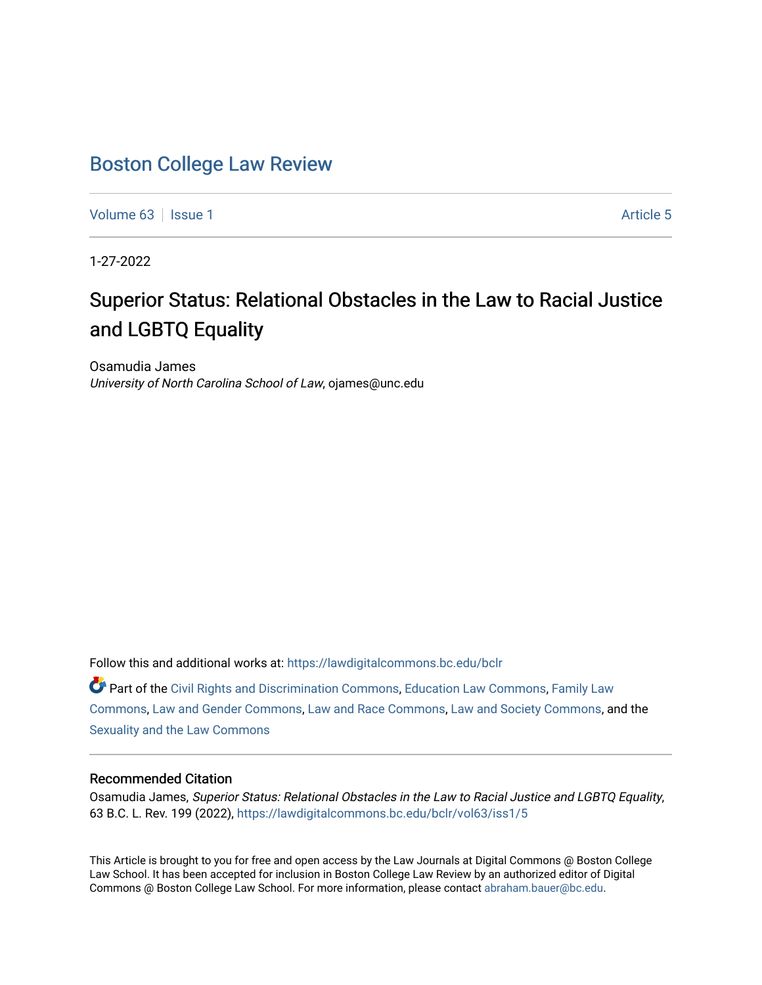## [Boston College Law Review](https://lawdigitalcommons.bc.edu/bclr)

[Volume 63](https://lawdigitalcommons.bc.edu/bclr/vol63) | [Issue 1](https://lawdigitalcommons.bc.edu/bclr/vol63/iss1) Article 5

1-27-2022

# Superior Status: Relational Obstacles in the Law to Racial Justice and LGBTQ Equality

Osamudia James University of North Carolina School of Law, ojames@unc.edu

Follow this and additional works at: [https://lawdigitalcommons.bc.edu/bclr](https://lawdigitalcommons.bc.edu/bclr?utm_source=lawdigitalcommons.bc.edu%2Fbclr%2Fvol63%2Fiss1%2F5&utm_medium=PDF&utm_campaign=PDFCoverPages) 

Part of the [Civil Rights and Discrimination Commons,](http://network.bepress.com/hgg/discipline/585?utm_source=lawdigitalcommons.bc.edu%2Fbclr%2Fvol63%2Fiss1%2F5&utm_medium=PDF&utm_campaign=PDFCoverPages) [Education Law Commons](http://network.bepress.com/hgg/discipline/596?utm_source=lawdigitalcommons.bc.edu%2Fbclr%2Fvol63%2Fiss1%2F5&utm_medium=PDF&utm_campaign=PDFCoverPages), [Family Law](http://network.bepress.com/hgg/discipline/602?utm_source=lawdigitalcommons.bc.edu%2Fbclr%2Fvol63%2Fiss1%2F5&utm_medium=PDF&utm_campaign=PDFCoverPages) [Commons](http://network.bepress.com/hgg/discipline/602?utm_source=lawdigitalcommons.bc.edu%2Fbclr%2Fvol63%2Fiss1%2F5&utm_medium=PDF&utm_campaign=PDFCoverPages), [Law and Gender Commons,](http://network.bepress.com/hgg/discipline/1298?utm_source=lawdigitalcommons.bc.edu%2Fbclr%2Fvol63%2Fiss1%2F5&utm_medium=PDF&utm_campaign=PDFCoverPages) [Law and Race Commons](http://network.bepress.com/hgg/discipline/1300?utm_source=lawdigitalcommons.bc.edu%2Fbclr%2Fvol63%2Fiss1%2F5&utm_medium=PDF&utm_campaign=PDFCoverPages), [Law and Society Commons,](http://network.bepress.com/hgg/discipline/853?utm_source=lawdigitalcommons.bc.edu%2Fbclr%2Fvol63%2Fiss1%2F5&utm_medium=PDF&utm_campaign=PDFCoverPages) and the [Sexuality and the Law Commons](http://network.bepress.com/hgg/discipline/877?utm_source=lawdigitalcommons.bc.edu%2Fbclr%2Fvol63%2Fiss1%2F5&utm_medium=PDF&utm_campaign=PDFCoverPages) 

### Recommended Citation

Osamudia James, Superior Status: Relational Obstacles in the Law to Racial Justice and LGBTQ Equality, 63 B.C. L. Rev. 199 (2022), [https://lawdigitalcommons.bc.edu/bclr/vol63/iss1/5](https://lawdigitalcommons.bc.edu/bclr/vol63/iss1/5?utm_source=lawdigitalcommons.bc.edu%2Fbclr%2Fvol63%2Fiss1%2F5&utm_medium=PDF&utm_campaign=PDFCoverPages)

This Article is brought to you for free and open access by the Law Journals at Digital Commons @ Boston College Law School. It has been accepted for inclusion in Boston College Law Review by an authorized editor of Digital Commons @ Boston College Law School. For more information, please contact [abraham.bauer@bc.edu.](mailto:abraham.bauer@bc.edu)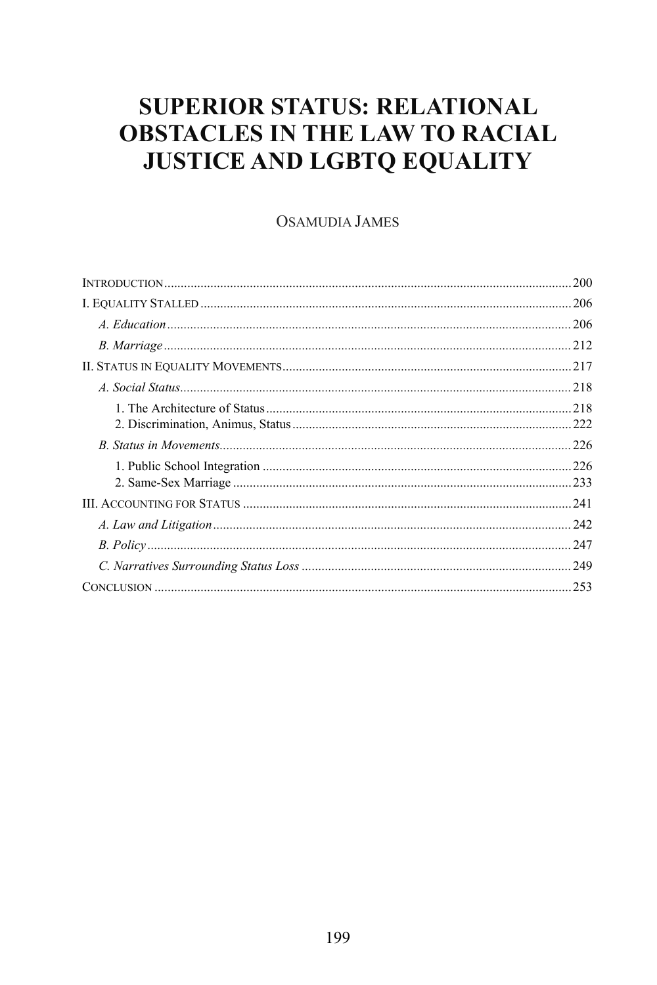# **SUPERIOR STATUS: RELATIONAL OBSTACLES IN THE LAW TO RACIAL JUSTICE AND LGBTQ EQUALITY**

### **OSAMUDIA JAMES**

| 200 |
|-----|
|     |
|     |
|     |
|     |
|     |
| 218 |
|     |
| 226 |
|     |
| 242 |
| 247 |
|     |
|     |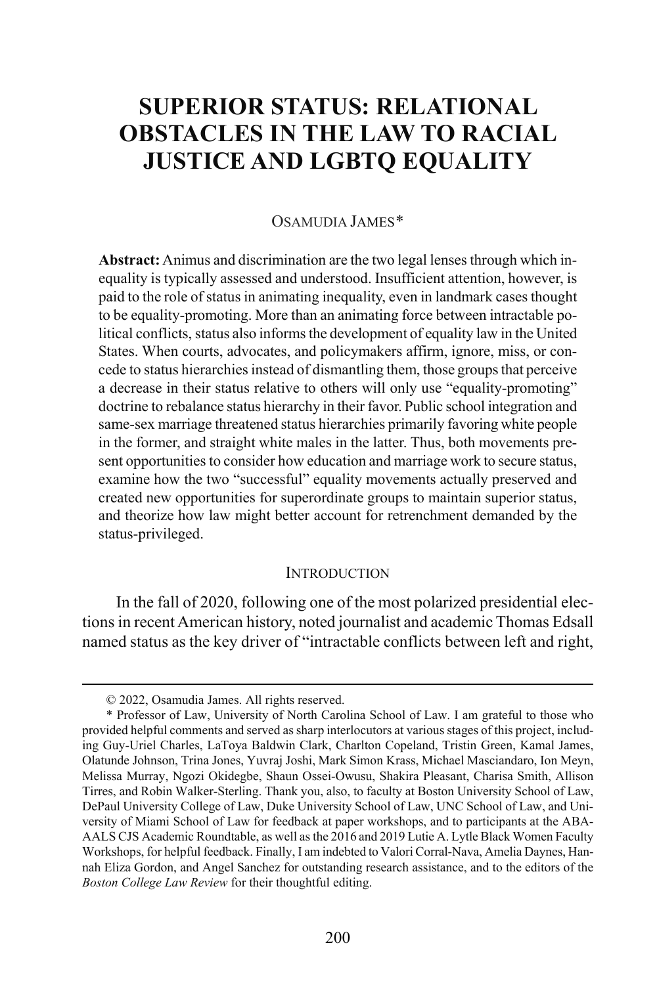# **SUPERIOR STATUS: RELATIONAL OBSTACLES IN THE LAW TO RACIAL JUSTICE AND LGBTQ EQUALITY**

#### OSAMUDIA JAMES[\\*](#page-2-0)

**Abstract:**Animus and discrimination are the two legal lenses through which inequality is typically assessed and understood. Insufficient attention, however, is paid to the role of status in animating inequality, even in landmark cases thought to be equality-promoting. More than an animating force between intractable political conflicts, status also informs the development of equality law in the United States. When courts, advocates, and policymakers affirm, ignore, miss, or concede to status hierarchies instead of dismantling them, those groups that perceive a decrease in their status relative to others will only use "equality-promoting" doctrine to rebalance status hierarchy in their favor. Public school integration and same-sex marriage threatened status hierarchies primarily favoring white people in the former, and straight white males in the latter. Thus, both movements present opportunities to consider how education and marriage work to secure status, examine how the two "successful" equality movements actually preserved and created new opportunities for superordinate groups to maintain superior status, and theorize how law might better account for retrenchment demanded by the status-privileged.

#### **INTRODUCTION**

In the fall of 2020, following one of the most polarized presidential elections in recent American history, noted journalist and academic Thomas Edsall named status as the key driver of "intractable conflicts between left and right,

 <sup>© 2022,</sup> Osamudia James. All rights reserved.

<span id="page-2-0"></span><sup>\*</sup> Professor of Law, University of North Carolina School of Law. I am grateful to those who provided helpful comments and served as sharp interlocutors at various stages of this project, including Guy-Uriel Charles, LaToya Baldwin Clark, Charlton Copeland, Tristin Green, Kamal James, Olatunde Johnson, Trina Jones, Yuvraj Joshi, Mark Simon Krass, Michael Masciandaro, Ion Meyn, Melissa Murray, Ngozi Okidegbe, Shaun Ossei-Owusu, Shakira Pleasant, Charisa Smith, Allison Tirres, and Robin Walker-Sterling. Thank you, also, to faculty at Boston University School of Law, DePaul University College of Law, Duke University School of Law, UNC School of Law, and University of Miami School of Law for feedback at paper workshops, and to participants at the ABA-AALS CJS Academic Roundtable, as well as the 2016 and 2019 Lutie A. Lytle Black Women Faculty Workshops, for helpful feedback. Finally, I am indebted to Valori Corral-Nava, Amelia Daynes, Hannah Eliza Gordon, and Angel Sanchez for outstanding research assistance, and to the editors of the *Boston College Law Review* for their thoughtful editing.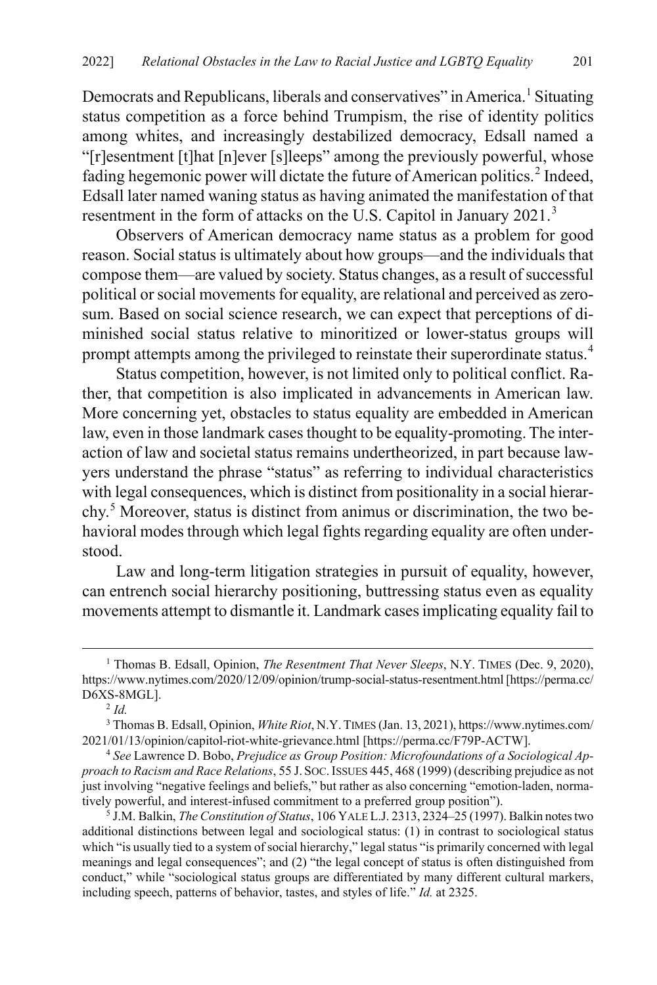Democrats and Republicans, liberals and conservatives" in America.<sup>[1](#page-3-0)</sup> Situating status competition as a force behind Trumpism, the rise of identity politics among whites, and increasingly destabilized democracy, Edsall named a "[r]esentment [t]hat [n]ever [s]leeps" among the previously powerful, whose fading hegemonic power will dictate the future of American politics.<sup>[2](#page-3-1)</sup> Indeed, Edsall later named waning status as having animated the manifestation of that resentment in the form of attacks on the U.S. Capitol in January 2021.<sup>[3](#page-3-2)</sup>

Observers of American democracy name status as a problem for good reason. Social status is ultimately about how groups—and the individuals that compose them—are valued by society. Status changes, as a result of successful political or social movements for equality, are relational and perceived as zerosum. Based on social science research, we can expect that perceptions of diminished social status relative to minoritized or lower-status groups will prompt attempts among the privileged to reinstate their superordinate status.<sup>[4](#page-3-3)</sup>

Status competition, however, is not limited only to political conflict. Rather, that competition is also implicated in advancements in American law. More concerning yet, obstacles to status equality are embedded in American law, even in those landmark cases thought to be equality-promoting. The interaction of law and societal status remains undertheorized, in part because lawyers understand the phrase "status" as referring to individual characteristics with legal consequences, which is distinct from positionality in a social hierarchy.[5](#page-3-4) Moreover, status is distinct from animus or discrimination, the two behavioral modes through which legal fights regarding equality are often understood.

<span id="page-3-5"></span>Law and long-term litigation strategies in pursuit of equality, however, can entrench social hierarchy positioning, buttressing status even as equality movements attempt to dismantle it. Landmark cases implicating equality fail to

<span id="page-3-4"></span><sup>5</sup> J.M. Balkin, *The Constitution of Status*, 106 YALE L.J. 2313, 2324–25 (1997). Balkin notes two additional distinctions between legal and sociological status: (1) in contrast to sociological status which "is usually tied to a system of social hierarchy," legal status "is primarily concerned with legal meanings and legal consequences"; and (2) "the legal concept of status is often distinguished from conduct," while "sociological status groups are differentiated by many different cultural markers, including speech, patterns of behavior, tastes, and styles of life." *Id.* at 2325.

<span id="page-3-0"></span> <sup>1</sup> Thomas B. Edsall, Opinion, *The Resentment That Never Sleeps*, N.Y. TIMES (Dec. 9, 2020), https://www.nytimes.com/2020/12/09/opinion/trump-social-status-resentment.html [https://perma.cc/ D6XS-8MGL].

<sup>2</sup> *Id.*

<span id="page-3-2"></span><span id="page-3-1"></span><sup>3</sup> Thomas B. Edsall, Opinion, *White Riot*, N.Y.TIMES (Jan. 13, 2021), https://www.nytimes.com/ 2021/01/13/opinion/capitol-riot-white-grievance.html [https://perma.cc/F79P-ACTW].

<span id="page-3-3"></span><sup>4</sup> *See* Lawrence D. Bobo, *Prejudice as Group Position: Microfoundations of a Sociological Approach to Racism and Race Relations*, 55 J. SOC.ISSUES 445, 468 (1999) (describing prejudice as not just involving "negative feelings and beliefs," but rather as also concerning "emotion-laden, normatively powerful, and interest-infused commitment to a preferred group position").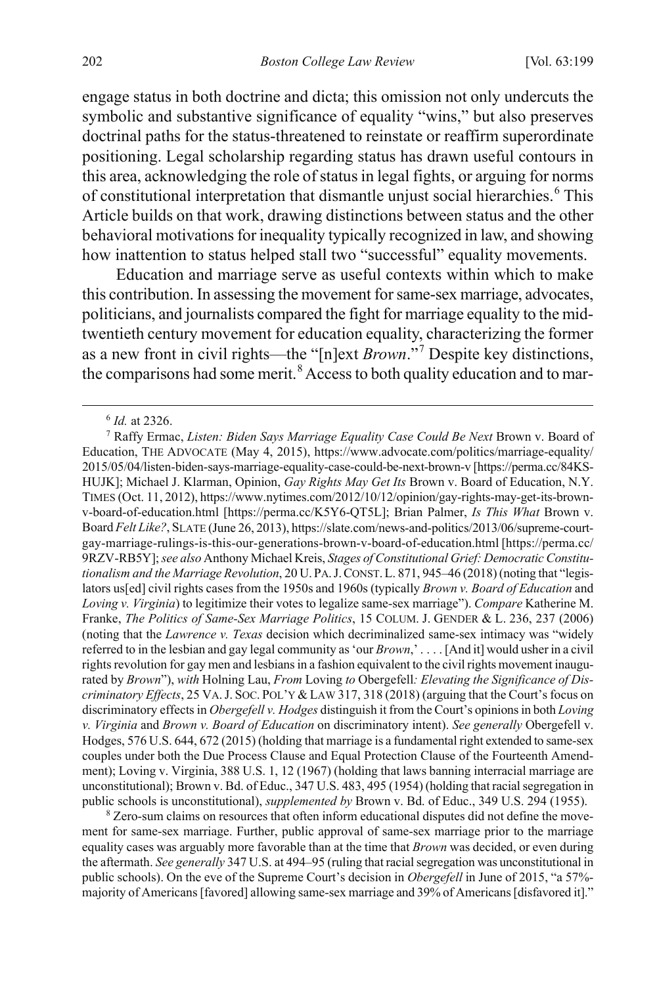engage status in both doctrine and dicta; this omission not only undercuts the symbolic and substantive significance of equality "wins," but also preserves doctrinal paths for the status-threatened to reinstate or reaffirm superordinate positioning. Legal scholarship regarding status has drawn useful contours in this area, acknowledging the role of status in legal fights, or arguing for norms of constitutional interpretation that dismantle unjust social hierarchies.<sup>[6](#page-4-0)</sup> This Article builds on that work, drawing distinctions between status and the other behavioral motivations for inequality typically recognized in law, and showing how inattention to status helped stall two "successful" equality movements.

Education and marriage serve as useful contexts within which to make this contribution. In assessing the movement for same-sex marriage, advocates, politicians, and journalists compared the fight for marriage equality to the midtwentieth century movement for education equality, characterizing the former as a new front in civil rights—the "[n]ext *Brown*."[7](#page-4-1) Despite key distinctions, the comparisons had some merit.<sup>[8](#page-4-2)</sup> Access to both quality education and to mar-

<span id="page-4-2"></span>ment for same-sex marriage. Further, public approval of same-sex marriage prior to the marriage equality cases was arguably more favorable than at the time that *Brown* was decided, or even during the aftermath. *See generally* 347 U.S. at 494–95 (ruling that racial segregation was unconstitutional in public schools). On the eve of the Supreme Court's decision in *Obergefell* in June of 2015, "a 57% majority of Americans [favored] allowing same-sex marriage and 39% of Americans [disfavored it]."

<span id="page-4-3"></span> <sup>6</sup> *Id.* at 2326.

<span id="page-4-1"></span><span id="page-4-0"></span><sup>&</sup>lt;sup>7</sup> Raffy Ermac, *Listen: Biden Says Marriage Equality Case Could Be Next* Brown v. Board of Education, THE ADVOCATE (May 4, 2015), https://www.advocate.com/politics/marriage-equality/ 2015/05/04/listen-biden-says-marriage-equality-case-could-be-next-brown-v [https://perma.cc/84KS-HUJK]; Michael J. Klarman, Opinion, *Gay Rights May Get Its* Brown v. Board of Education, N.Y. TIMES (Oct. 11, 2012), https://www.nytimes.com/2012/10/12/opinion/gay-rights-may-get-its-brownv-board-of-education.html [https://perma.cc/K5Y6-QT5L]; Brian Palmer, *Is This What* Brown v. Board *Felt Like?*, SLATE (June 26, 2013), https://slate.com/news-and-politics/2013/06/supreme-courtgay-marriage-rulings-is-this-our-generations-brown-v-board-of-education.html [https://perma.cc/ 9RZV-RB5Y]; *see also* Anthony Michael Kreis, *Stages of Constitutional Grief: Democratic Constitutionalism and the Marriage Revolution*, 20 U. PA.J.CONST.L. 871, 945–46 (2018) (noting that "legislators us[ed] civil rights cases from the 1950s and 1960s (typically *Brown v. Board of Education* and *Loving v. Virginia*) to legitimize their votes to legalize same-sex marriage"). *Compare* Katherine M. Franke, *The Politics of Same-Sex Marriage Politics*, 15 COLUM. J. GENDER & L. 236, 237 (2006) (noting that the *Lawrence v. Texas* decision which decriminalized same-sex intimacy was "widely referred to in the lesbian and gay legal community as 'our *Brown*,' . . . . [And it] would usher in a civil rights revolution for gay men and lesbians in a fashion equivalent to the civil rights movement inaugurated by *Brown*"), *with* Holning Lau, *From* Loving *to* Obergefell*: Elevating the Significance of Discriminatory Effects*, 25 VA.J. SOC. POL'Y & LAW 317, 318 (2018) (arguing that the Court's focus on discriminatory effects in *Obergefell v. Hodges* distinguish it from the Court's opinions in both *Loving v. Virginia* and *Brown v. Board of Education* on discriminatory intent). *See generally* Obergefell v. Hodges, 576 U.S. 644, 672 (2015) (holding that marriage is a fundamental right extended to same-sex couples under both the Due Process Clause and Equal Protection Clause of the Fourteenth Amendment); Loving v. Virginia, 388 U.S. 1, 12 (1967) (holding that laws banning interracial marriage are unconstitutional); Brown v. Bd. of Educ., 347 U.S. 483, 495 (1954) (holding that racial segregation in public schools is unconstitutional), *supplemented by* Brown v. Bd. of Educ., 349 U.S. 294 (1955). <sup>8</sup> Zero-sum claims on resources that often inform educational disputes did not define the move-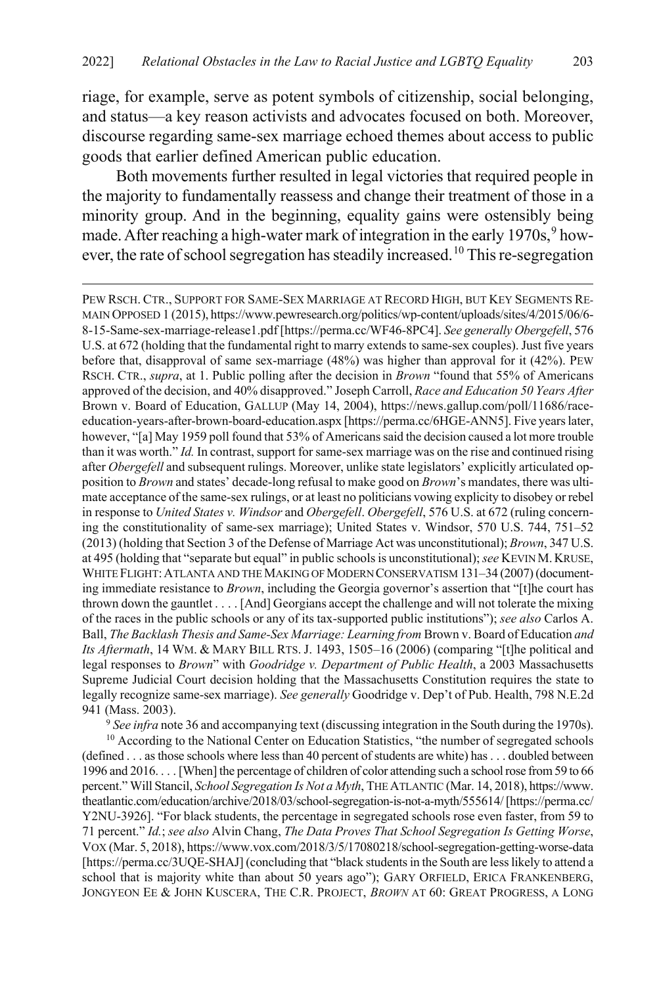riage, for example, serve as potent symbols of citizenship, social belonging, and status—a key reason activists and advocates focused on both. Moreover, discourse regarding same-sex marriage echoed themes about access to public goods that earlier defined American public education.

Both movements further resulted in legal victories that required people in the majority to fundamentally reassess and change their treatment of those in a minority group. And in the beginning, equality gains were ostensibly being made. After reaching a high-water mark of integration in the early  $1970s$  $1970s$  $1970s$ ,  $9how-$ ever, the rate of school segregation has steadily increased.<sup>[10](#page-5-1)</sup> This re-segregation

<span id="page-5-2"></span> $\overline{a}$ 

PEW RSCH. CTR., SUPPORT FOR SAME-SEX MARRIAGE AT RECORD HIGH, BUT KEY SEGMENTS RE-MAIN OPPOSED 1 (2015), https://www.pewresearch.org/politics/wp-content/uploads/sites/4/2015/06/6- 8-15-Same-sex-marriage-release1.pdf [https://perma.cc/WF46-8PC4]. *See generally Obergefell*, 576 U.S. at 672 (holding that the fundamental right to marry extends to same-sex couples). Just five years before that, disapproval of same sex-marriage (48%) was higher than approval for it (42%). PEW RSCH. CTR., *supra*, at 1. Public polling after the decision in *Brown* "found that 55% of Americans approved of the decision, and 40% disapproved." Joseph Carroll, *Race and Education 50 Years After*  Brown v. Board of Education, GALLUP (May 14, 2004), https://news.gallup.com/poll/11686/raceeducation-years-after-brown-board-education.aspx [https://perma.cc/6HGE-ANN5]. Five years later, however, "[a] May 1959 poll found that 53% of Americans said the decision caused a lot more trouble than it was worth." *Id.* In contrast, support for same-sex marriage was on the rise and continued rising after *Obergefell* and subsequent rulings. Moreover, unlike state legislators' explicitly articulated opposition to *Brown* and states' decade-long refusal to make good on *Brown*'s mandates, there was ultimate acceptance of the same-sex rulings, or at least no politicians vowing explicity to disobey or rebel in response to *United States v. Windsor* and *Obergefell*. *Obergefell*, 576 U.S. at 672 (ruling concerning the constitutionality of same-sex marriage); United States v. Windsor, 570 U.S. 744, 751–52 (2013) (holding that Section 3 of the Defense of Marriage Act was unconstitutional); *Brown*, 347 U.S. at 495 (holding that "separate but equal" in public schools is unconstitutional);*see* KEVIN M. KRUSE, WHITE FLIGHT: ATLANTA AND THE MAKING OF MODERN CONSERVATISM 131-34 (2007) (documenting immediate resistance to *Brown*, including the Georgia governor's assertion that "[t]he court has thrown down the gauntlet . . . . [And] Georgians accept the challenge and will not tolerate the mixing of the races in the public schools or any of its tax-supported public institutions"); *see also* Carlos A. Ball, *The Backlash Thesis and Same-Sex Marriage: Learning from Brown v. Board of Education and Its Aftermath*, 14 WM. & MARY BILL RTS. J. 1493, 1505–16 (2006) (comparing "[t]he political and legal responses to *Brown*" with *Goodridge v. Department of Public Health*, a 2003 Massachusetts Supreme Judicial Court decision holding that the Massachusetts Constitution requires the state to legally recognize same-sex marriage). *See generally* Goodridge v. Dep't of Pub. Health, 798 N.E.2d

941 (Mass. 2003). 9 *See infra* not[e 36](#page-10-0) and accompanying text (discussing integration in the South during the 1970s).

<span id="page-5-1"></span><span id="page-5-0"></span><sup>10</sup> According to the National Center on Education Statistics, "the number of segregated schools (defined . . . as those schools where less than 40 percent of students are white) has . . . doubled between 1996 and 2016. . . . [When] the percentage of children of color attending such a school rose from 59 to 66 percent." Will Stancil, *School Segregation Is Not a Myth*, THE ATLANTIC (Mar. 14, 2018), https://www. theatlantic.com/education/archive/2018/03/school-segregation-is-not-a-myth/555614/[https://perma.cc/ Y2NU-3926]. "For black students, the percentage in segregated schools rose even faster, from 59 to 71 percent." *Id.*; *see also* Alvin Chang, *The Data Proves That School Segregation Is Getting Worse*, VOX (Mar. 5, 2018), https://www.vox.com/2018/3/5/17080218/school-segregation-getting-worse-data [https://perma.cc/3UQE-SHAJ] (concluding that "black students in the South are less likely to attend a school that is majority white than about 50 years ago"); GARY ORFIELD, ERICA FRANKENBERG, JONGYEON EE & JOHN KUSCERA, THE C.R. PROJECT, *BROWN* AT 60: GREAT PROGRESS, A LONG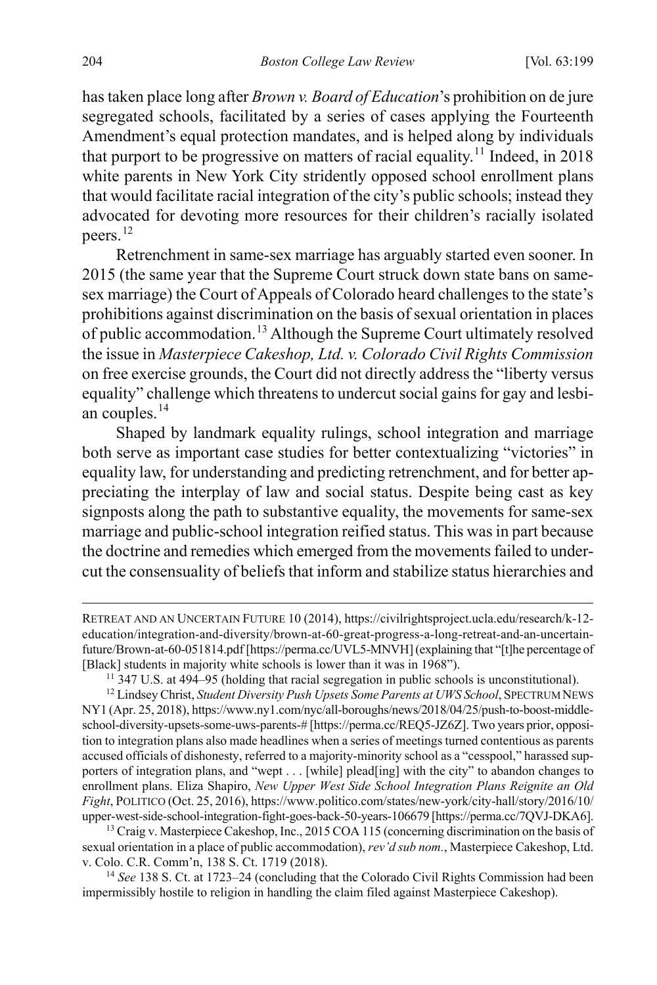has taken place long after *Brown v. Board of Education*'s prohibition on de jure segregated schools, facilitated by a series of cases applying the Fourteenth Amendment's equal protection mandates, and is helped along by individuals that purport to be progressive on matters of racial equality.<sup>[11](#page-6-0)</sup> Indeed, in 2018 white parents in New York City stridently opposed school enrollment plans that would facilitate racial integration of the city's public schools; instead they advocated for devoting more resources for their children's racially isolated peers.<sup>[12](#page-6-1)</sup>

Retrenchment in same-sex marriage has arguably started even sooner. In 2015 (the same year that the Supreme Court struck down state bans on samesex marriage) the Court of Appeals of Colorado heard challenges to the state's prohibitions against discrimination on the basis of sexual orientation in places of public accommodation.[13](#page-6-2) Although the Supreme Court ultimately resolved the issue in *Masterpiece Cakeshop, Ltd. v. Colorado Civil Rights Commission* on free exercise grounds, the Court did not directly address the "liberty versus equality" challenge which threatens to undercut social gains for gay and lesbi-an couples.<sup>[14](#page-6-3)</sup>

Shaped by landmark equality rulings, school integration and marriage both serve as important case studies for better contextualizing "victories" in equality law, for understanding and predicting retrenchment, and for better appreciating the interplay of law and social status. Despite being cast as key signposts along the path to substantive equality, the movements for same-sex marriage and public-school integration reified status. This was in part because the doctrine and remedies which emerged from the movements failed to undercut the consensuality of beliefs that inform and stabilize status hierarchies and

<span id="page-6-2"></span><sup>13</sup> Craig v. Masterpiece Cakeshop, Inc., 2015 COA 115 (concerning discrimination on the basis of sexual orientation in a place of public accommodation), *rev'd sub nom.*, Masterpiece Cakeshop, Ltd. v. Colo. C.R. Comm'n, 138 S. Ct. 1719 (2018).

<span id="page-6-3"></span><sup>14</sup> *See* 138 S. Ct. at 1723–24 (concluding that the Colorado Civil Rights Commission had been impermissibly hostile to religion in handling the claim filed against Masterpiece Cakeshop).

 $\overline{a}$ 

RETREAT AND AN UNCERTAIN FUTURE 10 (2014), https://civilrightsproject.ucla.edu/research/k-12 education/integration-and-diversity/brown-at-60-great-progress-a-long-retreat-and-an-uncertainfuture/Brown-at-60-051814.pdf [https://perma.cc/UVL5-MNVH] (explaining that "[t]he percentage of [Black] students in majority white schools is lower than it was in 1968"). 11 347 U.S. at 494–95 (holding that racial segregation in public schools is unconstitutional).

<span id="page-6-1"></span><span id="page-6-0"></span><sup>&</sup>lt;sup>12</sup> Lindsey Christ, *Student Diversity Push Upsets Some Parents at UWS School*, SPECTRUM NEWS NY1 (Apr. 25, 2018), https://www.ny1.com/nyc/all-boroughs/news/2018/04/25/push-to-boost-middleschool-diversity-upsets-some-uws-parents-# [https://perma.cc/REQ5-JZ6Z]. Two years prior, opposition to integration plans also made headlines when a series of meetings turned contentious as parents accused officials of dishonesty, referred to a majority-minority school as a "cesspool," harassed supporters of integration plans, and "wept . . . [while] plead[ing] with the city" to abandon changes to enrollment plans. Eliza Shapiro, *New Upper West Side School Integration Plans Reignite an Old Fight*, POLITICO (Oct. 25, 2016), https://www.politico.com/states/new-york/city-hall/story/2016/10/ upper-west-side-school-integration-fight-goes-back-50-years-106679 [https://perma.cc/7QVJ-DKA6].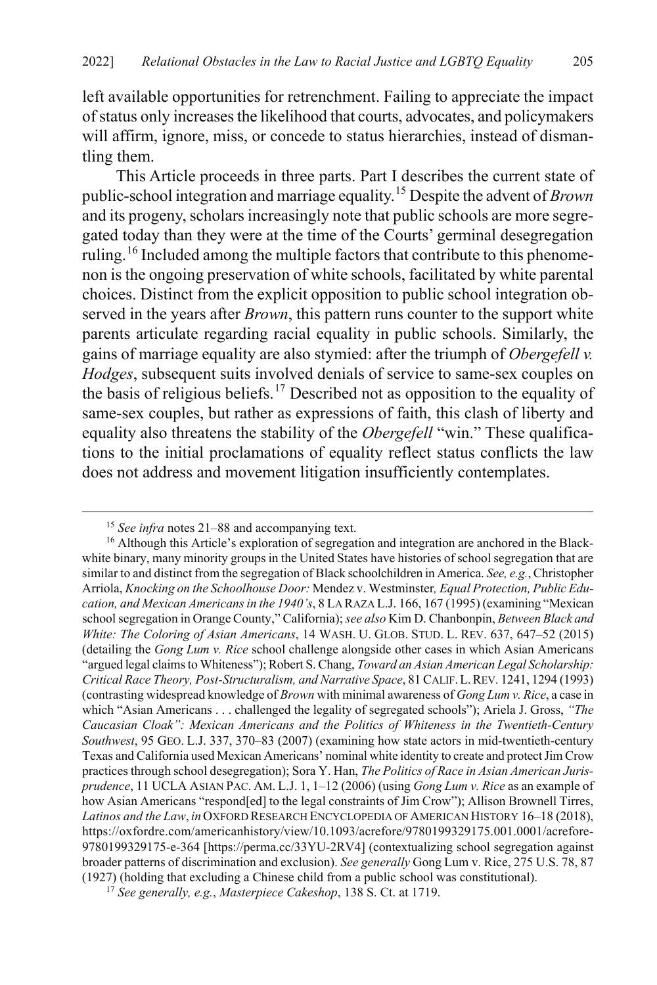left available opportunities for retrenchment. Failing to appreciate the impact of status only increases the likelihood that courts, advocates, and policymakers will affirm, ignore, miss, or concede to status hierarchies, instead of dismantling them.

This Article proceeds in three parts. Part I describes the current state of public-school integration and marriage equality.[15](#page-7-0) Despite the advent of *Brown* and its progeny, scholars increasingly note that public schools are more segregated today than they were at the time of the Courts' germinal desegregation ruling.<sup>[16](#page-7-1)</sup> Included among the multiple factors that contribute to this phenomenon is the ongoing preservation of white schools, facilitated by white parental choices. Distinct from the explicit opposition to public school integration observed in the years after *Brown*, this pattern runs counter to the support white parents articulate regarding racial equality in public schools. Similarly, the gains of marriage equality are also stymied: after the triumph of *Obergefell v. Hodges*, subsequent suits involved denials of service to same-sex couples on the basis of religious beliefs.<sup>[17](#page-7-2)</sup> Described not as opposition to the equality of same-sex couples, but rather as expressions of faith, this clash of liberty and equality also threatens the stability of the *Obergefell* "win." These qualifications to the initial proclamations of equality reflect status conflicts the law does not address and movement litigation insufficiently contemplates.

 <sup>15</sup> *See infra* note[s 21–](#page-8-0)[88](#page-18-0) and accompanying text.

<span id="page-7-1"></span><span id="page-7-0"></span><sup>&</sup>lt;sup>16</sup> Although this Article's exploration of segregation and integration are anchored in the Blackwhite binary, many minority groups in the United States have histories of school segregation that are similar to and distinct from the segregation of Black schoolchildren in America. *See, e.g.*, Christopher Arriola, *Knocking on the Schoolhouse Door:* Mendez v. Westminster*, Equal Protection, Public Education, and Mexican Americans in the 1940's*, 8 LA RAZA L.J. 166, 167 (1995) (examining "Mexican school segregation in Orange County," California); *see also* Kim D. Chanbonpin, *Between Black and White: The Coloring of Asian Americans*, 14 WASH. U. GLOB. STUD. L. REV. 637, 647–52 (2015) (detailing the *Gong Lum v. Rice* school challenge alongside other cases in which Asian Americans "argued legal claims to Whiteness"); Robert S. Chang, *Toward an Asian American Legal Scholarship: Critical Race Theory, Post-Structuralism, and Narrative Space*, 81 CALIF.L.REV. 1241, 1294 (1993) (contrasting widespread knowledge of *Brown* with minimal awareness of *Gong Lum v. Rice*, a case in which "Asian Americans . . . challenged the legality of segregated schools"); Ariela J. Gross, *"The Caucasian Cloak": Mexican Americans and the Politics of Whiteness in the Twentieth-Century Southwest*, 95 GEO. L.J. 337, 370–83 (2007) (examining how state actors in mid-twentieth-century Texas and California used Mexican Americans' nominal white identity to create and protect Jim Crow practices through school desegregation); Sora Y. Han, *The Politics of Race in Asian American Jurisprudence*, 11 UCLA ASIAN PAC. AM. L.J. 1, 1–12 (2006) (using *Gong Lum v. Rice* as an example of how Asian Americans "respond[ed] to the legal constraints of Jim Crow"); Allison Brownell Tirres, *Latinos and the Law*, *in* OXFORD RESEARCH ENCYCLOPEDIA OF AMERICAN HISTORY 16–18 (2018), https://oxfordre.com/americanhistory/view/10.1093/acrefore/9780199329175.001.0001/acrefore-9780199329175-e-364 [https://perma.cc/33YU-2RV4] (contextualizing school segregation against broader patterns of discrimination and exclusion). *See generally* Gong Lum v. Rice, 275 U.S. 78, 87 (1927) (holding that excluding a Chinese child from a public school was constitutional).

<span id="page-7-2"></span><sup>17</sup> *See generally, e.g.*, *Masterpiece Cakeshop*, 138 S. Ct. at 1719.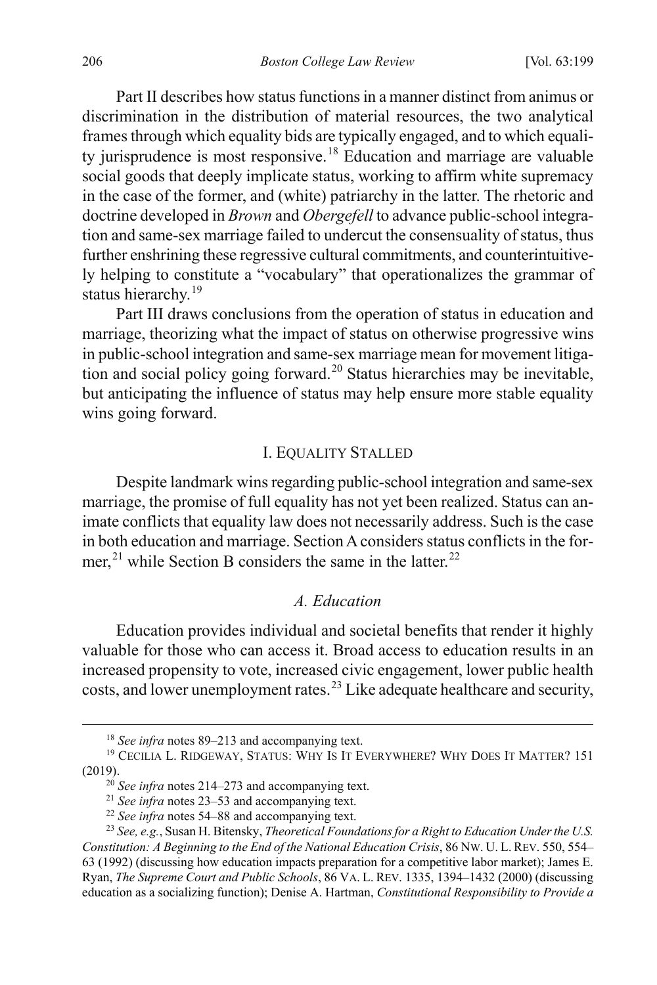Part II describes how status functions in a manner distinct from animus or discrimination in the distribution of material resources, the two analytical frames through which equality bids are typically engaged, and to which equali-ty jurisprudence is most responsive.<sup>[18](#page-8-2)</sup> Education and marriage are valuable social goods that deeply implicate status, working to affirm white supremacy in the case of the former, and (white) patriarchy in the latter. The rhetoric and doctrine developed in *Brown* and *Obergefell* to advance public-school integration and same-sex marriage failed to undercut the consensuality of status, thus further enshrining these regressive cultural commitments, and counterintuitively helping to constitute a "vocabulary" that operationalizes the grammar of status hierarchy.<sup>[19](#page-8-3)</sup>

<span id="page-8-8"></span>Part III draws conclusions from the operation of status in education and marriage, theorizing what the impact of status on otherwise progressive wins in public-school integration and same-sex marriage mean for movement litiga-tion and social policy going forward.<sup>[20](#page-8-4)</sup> Status hierarchies may be inevitable, but anticipating the influence of status may help ensure more stable equality wins going forward.

### I. EQUALITY STALLED

Despite landmark wins regarding public-school integration and same-sex marriage, the promise of full equality has not yet been realized. Status can animate conflicts that equality law does not necessarily address. Such is the case in both education and marriage. Section A considers status conflicts in the for-mer,<sup>[21](#page-8-5)</sup> while Section B considers the same in the latter.<sup>[22](#page-8-6)</sup>

#### <span id="page-8-1"></span>*A. Education*

<span id="page-8-0"></span>Education provides individual and societal benefits that render it highly valuable for those who can access it. Broad access to education results in an increased propensity to vote, increased civic engagement, lower public health costs, and lower unemployment rates.<sup>[23](#page-8-7)</sup> Like adequate healthcare and security,

 <sup>18</sup> *See infra* note[s 89–](#page-19-0)[213](#page-43-0) and accompanying text.

<span id="page-8-4"></span><span id="page-8-3"></span><span id="page-8-2"></span><sup>&</sup>lt;sup>19</sup> CECILIA L. RIDGEWAY, STATUS: WHY IS IT EVERYWHERE? WHY DOES IT MATTER? 151 (2019). <sup>20</sup> *See infra* note[s 214](#page-43-1)[–273](#page-55-0) and accompanying text.

<sup>21</sup> *See infra* note[s 23–](#page-8-1)[53](#page-13-0) and accompanying text.

<sup>22</sup> *See infra* note[s 54–](#page-14-0)[88](#page-18-0) and accompanying text.

<span id="page-8-7"></span><span id="page-8-6"></span><span id="page-8-5"></span><sup>23</sup> *See, e.g.*, Susan H. Bitensky, *Theoretical Foundations for a Right to Education Under the U.S. Constitution: A Beginning to the End of the National Education Crisis*, 86 NW. U. L. REV. 550, 554– 63 (1992) (discussing how education impacts preparation for a competitive labor market); James E. Ryan, *The Supreme Court and Public Schools*, 86 VA. L. REV. 1335, 1394–1432 (2000) (discussing education as a socializing function); Denise A. Hartman, *Constitutional Responsibility to Provide a*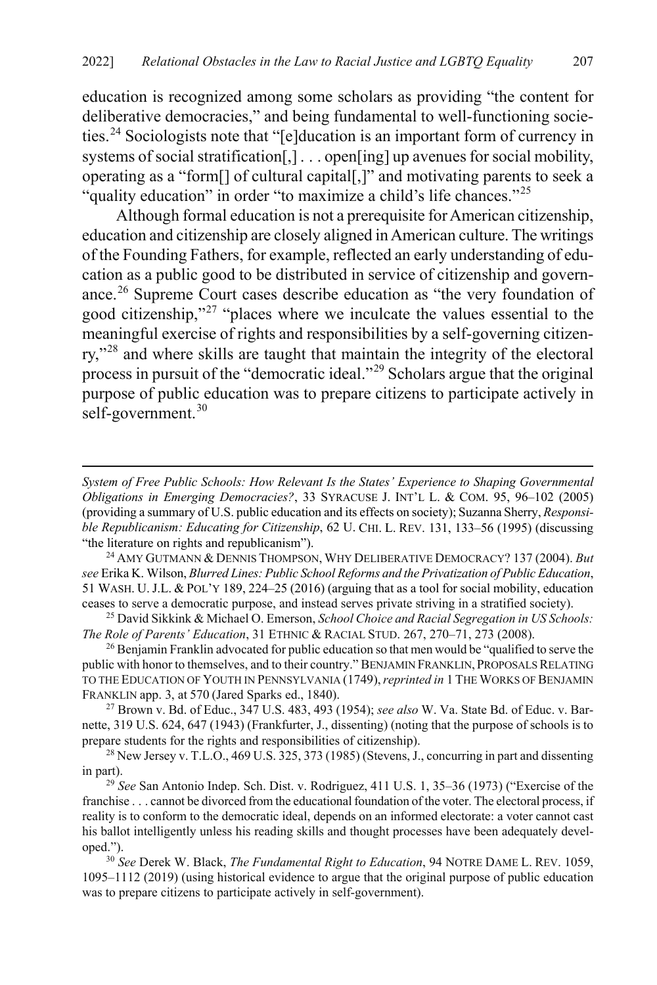education is recognized among some scholars as providing "the content for deliberative democracies," and being fundamental to well-functioning societies. [24](#page-9-0) Sociologists note that "[e]ducation is an important form of currency in systems of social stratification[,] . . . open[ing] up avenues for social mobility, operating as a "form[] of cultural capital[,]" and motivating parents to seek a "quality education" in order "to maximize a child's life chances."<sup>[25](#page-9-1)</sup>

<span id="page-9-7"></span>Although formal education is not a prerequisite for American citizenship, education and citizenship are closely aligned in American culture. The writings of the Founding Fathers, for example, reflected an early understanding of education as a public good to be distributed in service of citizenship and governance.[26](#page-9-2) Supreme Court cases describe education as "the very foundation of good citizenship,"[27](#page-9-3) "places where we inculcate the values essential to the meaningful exercise of rights and responsibilities by a self-governing citizenry,"[28](#page-9-4) and where skills are taught that maintain the integrity of the electoral process in pursuit of the "democratic ideal."[29](#page-9-5) Scholars argue that the original purpose of public education was to prepare citizens to participate actively in self-government.<sup>[30](#page-9-6)</sup>

 $\overline{a}$ 

<span id="page-9-0"></span><sup>24</sup> AMY GUTMANN & DENNIS THOMPSON, WHY DELIBERATIVE DEMOCRACY? 137 (2004). *But see* Erika K. Wilson, *Blurred Lines: Public School Reforms and the Privatization of Public Education*, 51 WASH. U.J.L. & POL'Y 189, 224–25 (2016) (arguing that as a tool for social mobility, education ceases to serve a democratic purpose, and instead serves private striving in a stratified society).

<span id="page-9-1"></span><sup>25</sup> David Sikkink & Michael O. Emerson, *School Choice and Racial Segregation in US Schools: The Role of Parents' Education*, 31 ETHNIC & RACIAL STUD. 267, 270–71, 273 (2008).

<span id="page-9-2"></span><sup>26</sup> Benjamin Franklin advocated for public education so that men would be "qualified to serve the public with honor to themselves, and to their country." BENJAMIN FRANKLIN, PROPOSALS RELATING TO THE EDUCATION OF YOUTH IN PENNSYLVANIA (1749),*reprinted in* 1 THE WORKS OF BENJAMIN FRANKLIN app. 3, at <sup>570</sup> (Jared Sparks ed., 1840). 27 Brown v. Bd. of Educ., 347 U.S. 483, 493 (1954); *see also* W. Va. State Bd. of Educ. v. Bar-

<span id="page-9-3"></span>nette, 319 U.S. 624, 647 (1943) (Frankfurter, J., dissenting) (noting that the purpose of schools is to prepare students for the rights and responsibilities of citizenship).

<span id="page-9-4"></span> $^{28}$  New Jersey v. T.L.O., 469 U.S. 325, 373 (1985) (Stevens, J., concurring in part and dissenting in part). 29 *See* San Antonio Indep. Sch. Dist. v. Rodriguez, 411 U.S. 1, 35–36 (1973) ("Exercise of the

<span id="page-9-5"></span>franchise . . . cannot be divorced from the educational foundation of the voter. The electoral process, if reality is to conform to the democratic ideal, depends on an informed electorate: a voter cannot cast his ballot intelligently unless his reading skills and thought processes have been adequately developed."). 30 *See* Derek W. Black, *The Fundamental Right to Education*, 94 NOTRE DAME L. REV. 1059,

<span id="page-9-6"></span>1095–1112 (2019) (using historical evidence to argue that the original purpose of public education was to prepare citizens to participate actively in self-government).

*System of Free Public Schools: How Relevant Is the States' Experience to Shaping Governmental Obligations in Emerging Democracies?*, 33 SYRACUSE J. INT'L L. & COM. 95, 96–102 (2005) (providing a summary of U.S. public education and its effects on society); Suzanna Sherry, *Responsible Republicanism: Educating for Citizenship*, 62 U. CHI. L. REV. 131, 133–56 (1995) (discussing "the literature on rights and republicanism").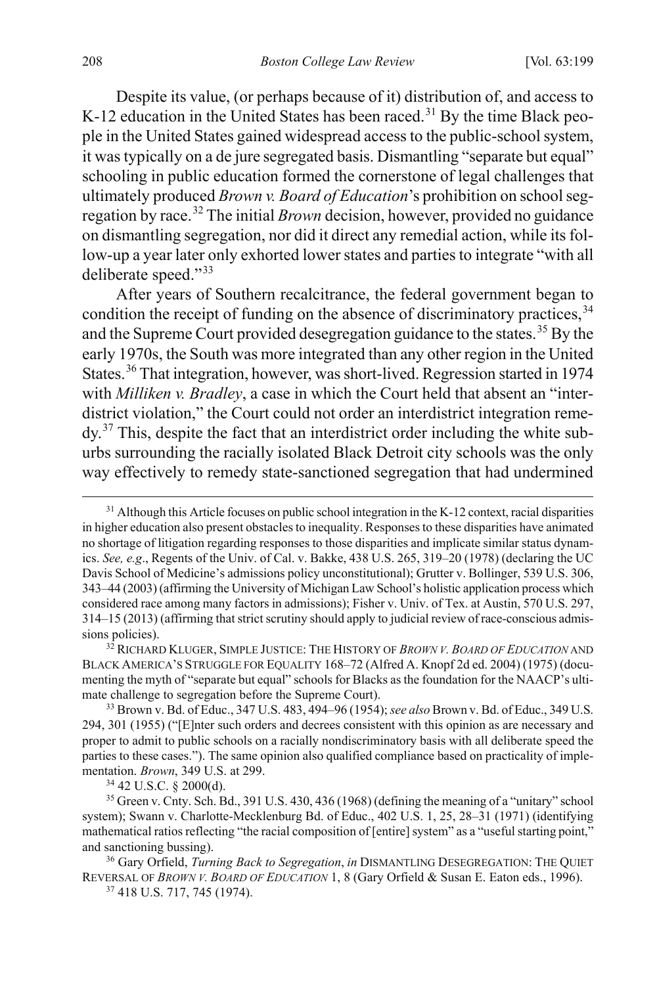Despite its value, (or perhaps because of it) distribution of, and access to K-12 education in the United States has been raced.<sup>[31](#page-10-1)</sup> By the time Black people in the United States gained widespread access to the public-school system, it was typically on a de jure segregated basis. Dismantling "separate but equal" schooling in public education formed the cornerstone of legal challenges that ultimately produced *Brown v. Board of Education*'s prohibition on school segregation by race.[32](#page-10-2) The initial *Brown* decision, however, provided no guidance on dismantling segregation, nor did it direct any remedial action, while its follow-up a year later only exhorted lower states and parties to integrate "with all deliberate speed."[33](#page-10-3)

<span id="page-10-8"></span><span id="page-10-0"></span>After years of Southern recalcitrance, the federal government began to condition the receipt of funding on the absence of discriminatory practices.<sup>[34](#page-10-4)</sup> and the Supreme Court provided desegregation guidance to the states.<sup>[35](#page-10-5)</sup> By the early 1970s, the South was more integrated than any other region in the United States.<sup>[36](#page-10-6)</sup> That integration, however, was short-lived. Regression started in 1974 with *Milliken v. Bradley*, a case in which the Court held that absent an "interdistrict violation," the Court could not order an interdistrict integration reme- $\mathrm{dv}^{37}$  $\mathrm{dv}^{37}$  $\mathrm{dv}^{37}$ . This, despite the fact that an interdistrict order including the white suburbs surrounding the racially isolated Black Detroit city schools was the only way effectively to remedy state-sanctioned segregation that had undermined

<span id="page-10-1"></span> $31$  Although this Article focuses on public school integration in the K-12 context, racial disparities in higher education also present obstacles to inequality. Responses to these disparities have animated no shortage of litigation regarding responses to those disparities and implicate similar status dynamics. *See, e.g*., Regents of the Univ. of Cal. v. Bakke, 438 U.S. 265, 319–20 (1978) (declaring the UC Davis School of Medicine's admissions policy unconstitutional); Grutter v. Bollinger, 539 U.S. 306, 343–44 (2003) (affirming the University of Michigan Law School's holistic application process which considered race among many factors in admissions); Fisher v. Univ. of Tex. at Austin, 570 U.S. 297, 314–15 (2013) (affirming that strict scrutiny should apply to judicial review of race-conscious admissions policies).

<span id="page-10-2"></span><sup>32</sup> RICHARD KLUGER, SIMPLE JUSTICE: THE HISTORY OF *BROWN V. BOARD OF EDUCATION* AND BLACK AMERICA'S STRUGGLE FOR EQUALITY 168–72 (Alfred A. Knopf 2d ed. 2004) (1975) (documenting the myth of "separate but equal" schools for Blacks as the foundation for the NAACP's ultimate challenge to segregation before the Supreme Court).

<span id="page-10-3"></span><sup>33</sup> Brown v. Bd. of Educ., 347 U.S. 483, 494–96 (1954); *see also* Brown v. Bd. of Educ., 349 U.S. 294, 301 (1955) ("[E]nter such orders and decrees consistent with this opinion as are necessary and proper to admit to public schools on a racially nondiscriminatory basis with all deliberate speed the parties to these cases."). The same opinion also qualified compliance based on practicality of implementation. *Brown*, 349 U.S. at 299.<br><sup>34</sup> 42 U.S.C. § 2000(d).

<span id="page-10-5"></span><span id="page-10-4"></span> $35$  Green v. Cnty. Sch. Bd., 391 U.S. 430, 436 (1968) (defining the meaning of a "unitary" school system); Swann v. Charlotte-Mecklenburg Bd. of Educ., 402 U.S. 1, 25, 28–31 (1971) (identifying mathematical ratios reflecting "the racial composition of [entire] system" as a "useful starting point," and sanctioning bussing).

<span id="page-10-7"></span><span id="page-10-6"></span><sup>36</sup> Gary Orfield, *Turning Back to Segregation*, *in* DISMANTLING DESEGREGATION: THE QUIET REVERSAL OF *BROWN V. BOARD OF EDUCATION* 1, 8 (Gary Orfield & Susan E. Eaton eds., 1996).

<sup>37</sup> 418 U.S. 717, 745 (1974).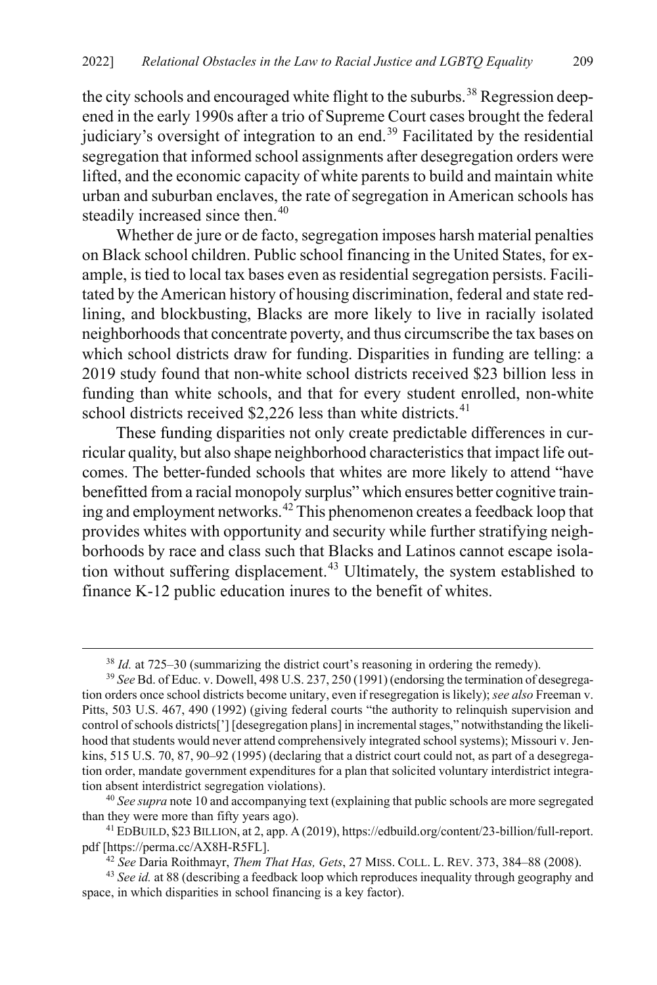the city schools and encouraged white flight to the suburbs.<sup>[38](#page-11-0)</sup> Regression deepened in the early 1990s after a trio of Supreme Court cases brought the federal judiciary's oversight of integration to an end.<sup>[39](#page-11-1)</sup> Facilitated by the residential segregation that informed school assignments after desegregation orders were lifted, and the economic capacity of white parents to build and maintain white urban and suburban enclaves, the rate of segregation in American schools has steadily increased since then.<sup>[40](#page-11-2)</sup>

Whether de jure or de facto, segregation imposes harsh material penalties on Black school children. Public school financing in the United States, for example, is tied to local tax bases even as residential segregation persists. Facilitated by the American history of housing discrimination, federal and state redlining, and blockbusting, Blacks are more likely to live in racially isolated neighborhoods that concentrate poverty, and thus circumscribe the tax bases on which school districts draw for funding. Disparities in funding are telling: a 2019 study found that non-white school districts received \$23 billion less in funding than white schools, and that for every student enrolled, non-white school districts received \$2,226 less than white districts.<sup>[41](#page-11-3)</sup>

These funding disparities not only create predictable differences in curricular quality, but also shape neighborhood characteristics that impact life outcomes. The better-funded schools that whites are more likely to attend "have benefitted from a racial monopoly surplus" which ensures better cognitive train-ing and employment networks.<sup>[42](#page-11-4)</sup> This phenomenon creates a feedback loop that provides whites with opportunity and security while further stratifying neighborhoods by race and class such that Blacks and Latinos cannot escape isola-tion without suffering displacement.<sup>[43](#page-11-5)</sup> Ultimately, the system established to finance K-12 public education inures to the benefit of whites.

<span id="page-11-2"></span><sup>40</sup> *See supra* not[e 10](#page-5-2) and accompanying text (explaining that public schools are more segregated than they were more than fifty years ago).

 <sup>38</sup> *Id.* at 725–30 (summarizing the district court's reasoning in ordering the remedy).

<span id="page-11-1"></span><span id="page-11-0"></span><sup>39</sup> *See* Bd. of Educ. v. Dowell, 498 U.S. 237, 250 (1991) (endorsing the termination of desegregation orders once school districts become unitary, even if resegregation is likely); *see also* Freeman v. Pitts, 503 U.S. 467, 490 (1992) (giving federal courts "the authority to relinquish supervision and control of schools districts['] [desegregation plans] in incremental stages," notwithstanding the likelihood that students would never attend comprehensively integrated school systems); Missouri v. Jenkins, 515 U.S. 70, 87, 90–92 (1995) (declaring that a district court could not, as part of a desegregation order, mandate government expenditures for a plan that solicited voluntary interdistrict integration absent interdistrict segregation violations).

<span id="page-11-3"></span><sup>41</sup> EDBUILD, \$23BILLION, at 2, app. A (2019), https://edbuild.org/content/23-billion/full-report. pdf [https://perma.cc/AX8H-R5FL].

<sup>42</sup> *See* Daria Roithmayr, *Them That Has, Gets*, 27 MISS. COLL. L. REV. 373, 384–88 (2008).

<span id="page-11-5"></span><span id="page-11-4"></span><sup>43</sup> *See id.* at 88 (describing a feedback loop which reproduces inequality through geography and space, in which disparities in school financing is a key factor).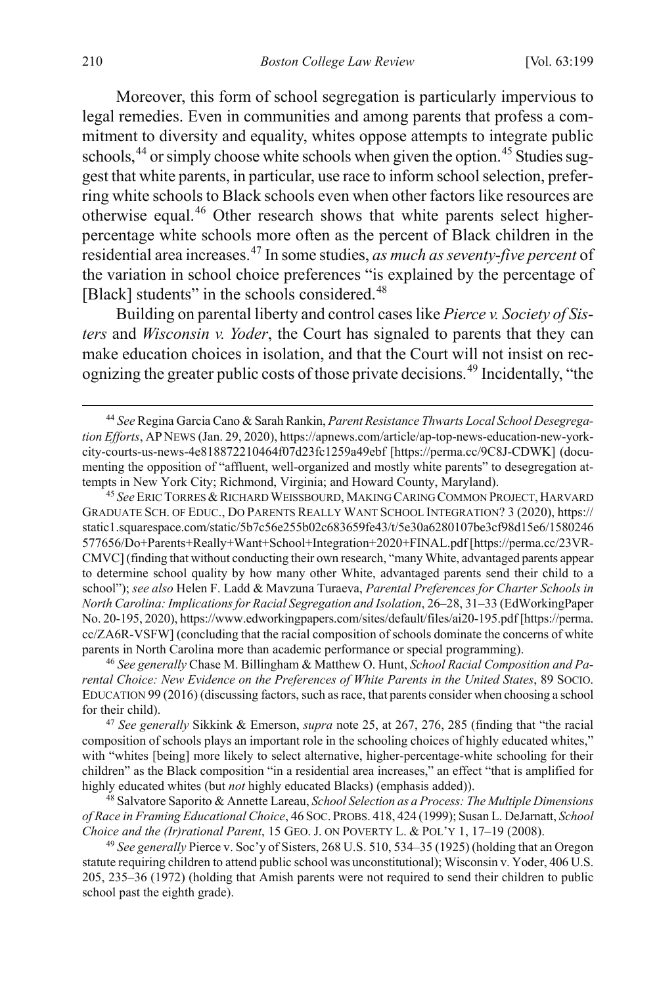Moreover, this form of school segregation is particularly impervious to legal remedies. Even in communities and among parents that profess a commitment to diversity and equality, whites oppose attempts to integrate public schools,  $44$  or simply choose white schools when given the option.  $45$  Studies suggest that white parents, in particular, use race to inform school selection, preferring white schools to Black schools even when other factors like resources are otherwise equal.[46](#page-12-2) Other research shows that white parents select higherpercentage white schools more often as the percent of Black children in the residential area increases.[47](#page-12-3) In some studies, *as much as seventy-five percent* of the variation in school choice preferences "is explained by the percentage of [Black] students" in the schools considered.<sup>[48](#page-12-4)</sup>

<span id="page-12-7"></span><span id="page-12-6"></span>Building on parental liberty and control cases like *Pierce v. Society of Sisters* and *Wisconsin v. Yoder*, the Court has signaled to parents that they can make education choices in isolation, and that the Court will not insist on recognizing the greater public costs of those private decisions.[49](#page-12-5) Incidentally, "the

<span id="page-12-1"></span><sup>45</sup> See ERIC TORRES & RICHARD WEISSBOURD, MAKING CARING COMMON PROJECT, HARVARD GRADUATE SCH. OF EDUC., DO PARENTS REALLY WANT SCHOOL INTEGRATION? 3 (2020), https:// static1.squarespace.com/static/5b7c56e255b02c683659fe43/t/5e30a6280107be3cf98d15e6/1580246 577656/Do+Parents+Really+Want+School+Integration+2020+FINAL.pdf [https://perma.cc/23VR-CMVC] (finding that without conducting their own research, "many White, advantaged parents appear to determine school quality by how many other White, advantaged parents send their child to a school"); *see also* Helen F. Ladd & Mavzuna Turaeva, *Parental Preferences for Charter Schools in North Carolina: Implications for Racial Segregation and Isolation*, 26–28, 31–33 (EdWorkingPaper No. 20-195, 2020), https://www.edworkingpapers.com/sites/default/files/ai20-195.pdf [https://perma. cc/ZA6R-VSFW] (concluding that the racial composition of schools dominate the concerns of white parents in North Carolina more than academic performance or special programming).

<span id="page-12-2"></span><sup>46</sup> *See generally* Chase M. Billingham & Matthew O. Hunt, *School Racial Composition and Parental Choice: New Evidence on the Preferences of White Parents in the United States*, 89 SOCIO. EDUCATION 99 (2016) (discussing factors, such as race, that parents consider when choosing a school for their child).

<span id="page-12-3"></span><sup>47</sup> *See generally* Sikkink & Emerson, *supra* note [25,](#page-9-7) at 267, 276, 285 (finding that "the racial composition of schools plays an important role in the schooling choices of highly educated whites," with "whites [being] more likely to select alternative, higher-percentage-white schooling for their children" as the Black composition "in a residential area increases," an effect "that is amplified for highly educated whites (but *not* highly educated Blacks) (emphasis added)).

<span id="page-12-4"></span>48 Salvatore Saporito & Annette Lareau, *School Selection as a Process: The Multiple Dimensions of Race in Framing Educational Choice*, 46 SOC.PROBS. 418, 424 (1999); Susan L. DeJarnatt, *School Choice and the (Ir)rational Parent*, 15 GEO. J. ON POVERTY L. & POL'Y 1, 17–19 (2008).

<span id="page-12-5"></span><sup>49</sup> *See generally* Pierce v. Soc'y of Sisters, 268 U.S. 510, 534–35 (1925) (holding that an Oregon statute requiring children to attend public school was unconstitutional); Wisconsin v. Yoder, 406 U.S. 205, 235–36 (1972) (holding that Amish parents were not required to send their children to public school past the eighth grade).

<span id="page-12-0"></span> <sup>44</sup> *See* Regina Garcia Cano & Sarah Rankin, *Parent Resistance Thwarts Local School Desegregation Efforts*, AP NEWS (Jan. 29, 2020), https://apnews.com/article/ap-top-news-education-new-yorkcity-courts-us-news-4e818872210464f07d23fc1259a49ebf [https://perma.cc/9C8J-CDWK] (documenting the opposition of "affluent, well-organized and mostly white parents" to desegregation attempts in New York City; Richmond, Virginia; and Howard County, Maryland).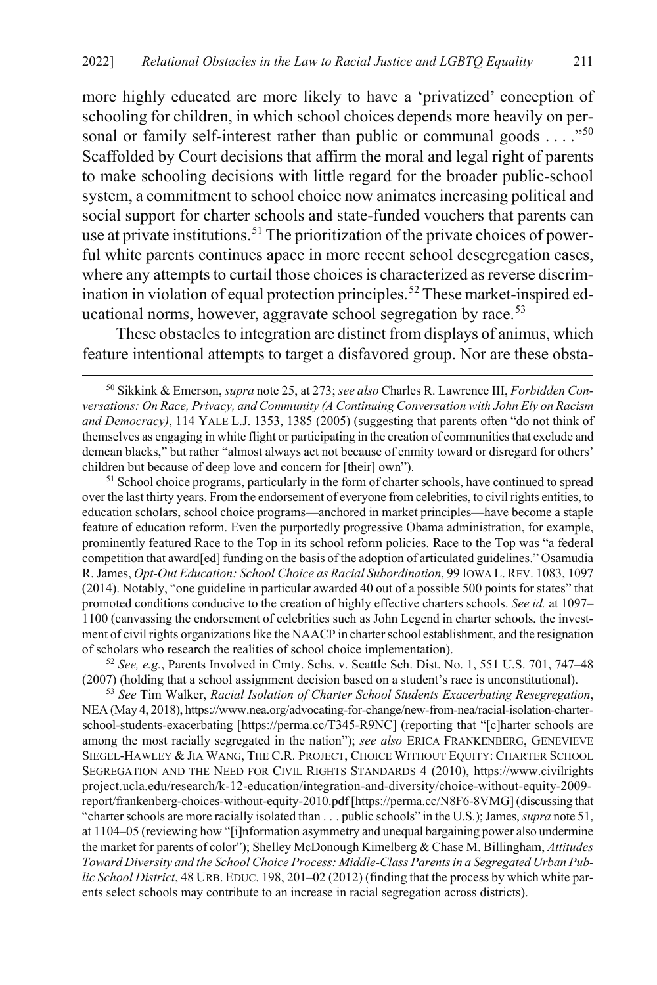more highly educated are more likely to have a 'privatized' conception of schooling for children, in which school choices depends more heavily on personal or family self-interest rather than public or communal goods . . . ."[50](#page-13-2) Scaffolded by Court decisions that affirm the moral and legal right of parents to make schooling decisions with little regard for the broader public-school system, a commitment to school choice now animates increasing political and social support for charter schools and state-funded vouchers that parents can use at private institutions.<sup>[51](#page-13-3)</sup> The prioritization of the private choices of powerful white parents continues apace in more recent school desegregation cases, where any attempts to curtail those choices is characterized as reverse discrim-ination in violation of equal protection principles.<sup>[52](#page-13-4)</sup> These market-inspired educational norms, however, aggravate school segregation by race. $53$ 

<span id="page-13-1"></span><span id="page-13-0"></span>These obstacles to integration are distinct from displays of animus, which feature intentional attempts to target a disfavored group. Nor are these obsta-

<span id="page-13-3"></span><sup>51</sup> School choice programs, particularly in the form of charter schools, have continued to spread over the last thirty years. From the endorsement of everyone from celebrities, to civil rights entities, to education scholars, school choice programs—anchored in market principles—have become a staple feature of education reform. Even the purportedly progressive Obama administration, for example, prominently featured Race to the Top in its school reform policies. Race to the Top was "a federal competition that award[ed] funding on the basis of the adoption of articulated guidelines." Osamudia R. James, *Opt-Out Education: School Choice as Racial Subordination*, 99 IOWA L.REV. 1083, 1097 (2014). Notably, "one guideline in particular awarded 40 out of a possible 500 points for states" that promoted conditions conducive to the creation of highly effective charters schools. *See id.* at 1097– 1100 (canvassing the endorsement of celebrities such as John Legend in charter schools, the investment of civil rights organizations like the NAACP in charter school establishment, and the resignation of scholars who research the realities of school choice implementation).

<span id="page-13-4"></span><sup>52</sup> *See, e.g.*, Parents Involved in Cmty. Schs. v. Seattle Sch. Dist. No. 1, 551 U.S. 701, 747–48 (2007) (holding that a school assignment decision based on a student's race is unconstitutional).

<span id="page-13-5"></span><sup>53</sup> *See* Tim Walker, *Racial Isolation of Charter School Students Exacerbating Resegregation*, NEA (May 4, 2018), https://www.nea.org/advocating-for-change/new-from-nea/racial-isolation-charterschool-students-exacerbating [https://perma.cc/T345-R9NC] (reporting that "[c]harter schools are among the most racially segregated in the nation"); *see also* ERICA FRANKENBERG, GENEVIEVE SIEGEL-HAWLEY & JIA WANG, THE C.R. PROJECT, CHOICE WITHOUT EQUITY: CHARTER SCHOOL SEGREGATION AND THE NEED FOR CIVIL RIGHTS STANDARDS 4 (2010), https://www.civilrights project.ucla.edu/research/k-12-education/integration-and-diversity/choice-without-equity-2009 report/frankenberg-choices-without-equity-2010.pdf [https://perma.cc/N8F6-8VMG] (discussing that "charter schools are more racially isolated than . . . public schools" in the U.S.); James,*supra* not[e 51,](#page-13-1) at 1104–05 (reviewing how "[i]nformation asymmetry and unequal bargaining power also undermine the market for parents of color"); Shelley McDonough Kimelberg & Chase M. Billingham, *Attitudes Toward Diversity and the School Choice Process: Middle-Class Parents in a Segregated Urban Public School District*, 48 URB. EDUC. 198, 201–02 (2012) (finding that the process by which white parents select schools may contribute to an increase in racial segregation across districts).

<span id="page-13-2"></span> <sup>50</sup> Sikkink & Emerson, *supra* not[e 25,](#page-9-7) at 273; *see also* Charles R. Lawrence III, *Forbidden Conversations: On Race, Privacy, and Community (A Continuing Conversation with John Ely on Racism and Democracy)*, 114 YALE L.J. 1353, 1385 (2005) (suggesting that parents often "do not think of themselves as engaging in white flight or participating in the creation of communities that exclude and demean blacks," but rather "almost always act not because of enmity toward or disregard for others' children but because of deep love and concern for [their] own").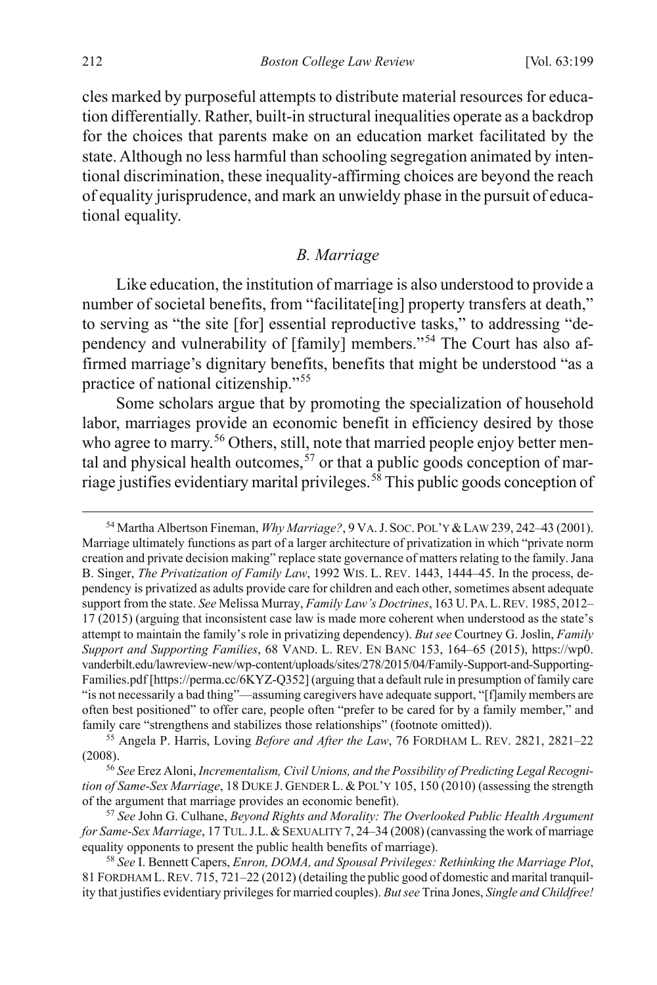cles marked by purposeful attempts to distribute material resources for education differentially. Rather, built-in structural inequalities operate as a backdrop for the choices that parents make on an education market facilitated by the state. Although no less harmful than schooling segregation animated by intentional discrimination, these inequality-affirming choices are beyond the reach of equality jurisprudence, and mark an unwieldy phase in the pursuit of educational equality.

#### <span id="page-14-6"></span><span id="page-14-0"></span>*B. Marriage*

Like education, the institution of marriage is also understood to provide a number of societal benefits, from "facilitate[ing] property transfers at death," to serving as "the site [for] essential reproductive tasks," to addressing "dependency and vulnerability of [family] members."[54](#page-14-1) The Court has also affirmed marriage's dignitary benefits, benefits that might be understood "as a practice of national citizenship."[55](#page-14-2)

Some scholars argue that by promoting the specialization of household labor, marriages provide an economic benefit in efficiency desired by those who agree to marry.<sup>[56](#page-14-3)</sup> Others, still, note that married people enjoy better mental and physical health outcomes,  $57$  or that a public goods conception of marriage justifies evidentiary marital privileges. [58](#page-14-5) This public goods conception of

<span id="page-14-1"></span> <sup>54</sup> Martha Albertson Fineman, *Why Marriage?*, 9 VA.J. SOC. POL'Y &LAW 239, 242–43 (2001). Marriage ultimately functions as part of a larger architecture of privatization in which "private norm creation and private decision making" replace state governance of matters relating to the family. Jana B. Singer, *The Privatization of Family Law*, 1992 WIS. L. REV. 1443, 1444–45. In the process, dependency is privatized as adults provide care for children and each other, sometimes absent adequate support from the state. *See* Melissa Murray, *Family Law's Doctrines*, 163 U. PA.L.REV. 1985, 2012– 17 (2015) (arguing that inconsistent case law is made more coherent when understood as the state's attempt to maintain the family's role in privatizing dependency). *But see* Courtney G. Joslin, *Family Support and Supporting Families*, 68 VAND. L. REV. EN BANC 153, 164–65 (2015), https://wp0. vanderbilt.edu/lawreview-new/wp-content/uploads/sites/278/2015/04/Family-Support-and-Supporting-Families.pdf [https://perma.cc/6KYZ-Q352] (arguing that a default rule in presumption of family care "is not necessarily a bad thing"—assuming caregivers have adequate support, "[f]amily members are often best positioned" to offer care, people often "prefer to be cared for by a family member," and family care "strengthens and stabilizes those relationships" (footnote omitted)).

<span id="page-14-2"></span><sup>55</sup> Angela P. Harris, Loving *Before and After the Law*, 76 FORDHAM L. REV. 2821, 2821–22 (2008). 56 *See* Erez Aloni, *Incrementalism, Civil Unions, and the Possibility of Predicting Legal Recogni-*

<span id="page-14-3"></span>*tion of Same-Sex Marriage*, 18 DUKE J. GENDER L. & POL'Y 105, 150 (2010) (assessing the strength of the argument that marriage provides an economic benefit).

<span id="page-14-4"></span><sup>57</sup> *See* John G. Culhane, *Beyond Rights and Morality: The Overlooked Public Health Argument for Same-Sex Marriage*, 17 TUL.J.L.&SEXUALITY 7, 24–34 (2008) (canvassing the work of marriage equality opponents to present the public health benefits of marriage).

<span id="page-14-5"></span><sup>58</sup> *See* I. Bennett Capers, *Enron, DOMA, and Spousal Privileges: Rethinking the Marriage Plot*, 81 FORDHAM L.REV. 715, 721–22 (2012) (detailing the public good of domestic and marital tranquility that justifies evidentiary privileges for married couples). *But see* Trina Jones, *Single and Childfree!*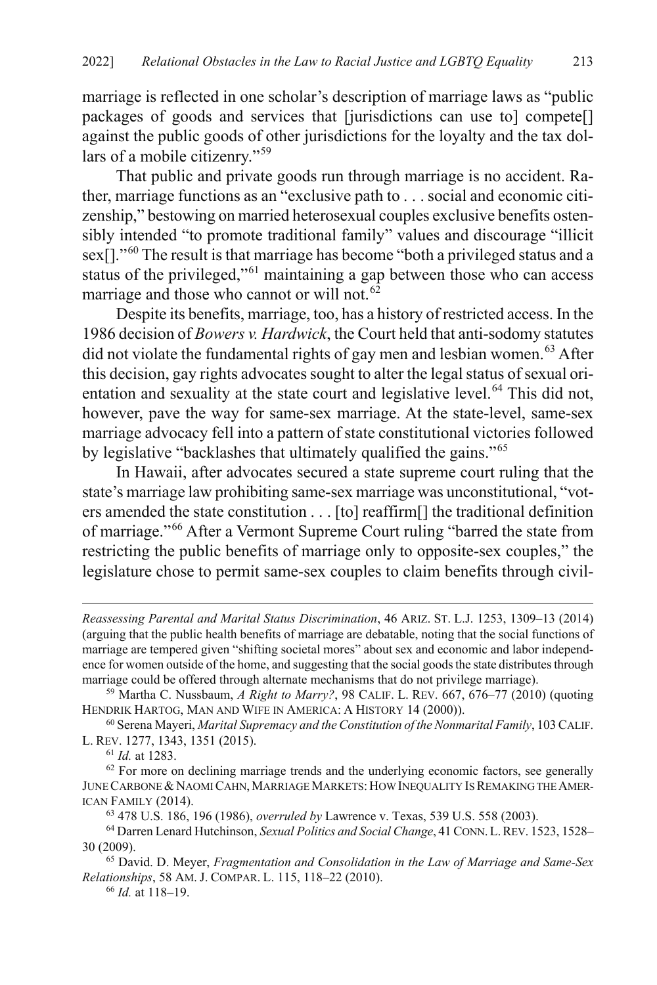marriage is reflected in one scholar's description of marriage laws as "public packages of goods and services that [jurisdictions can use to] compete[] against the public goods of other jurisdictions for the loyalty and the tax dollars of a mobile citizenry."[59](#page-15-0)

That public and private goods run through marriage is no accident. Rather, marriage functions as an "exclusive path to . . . social and economic citizenship," bestowing on married heterosexual couples exclusive benefits ostensibly intended "to promote traditional family" values and discourage "illicit sex[]."[60](#page-15-1) The result is that marriage has become "both a privileged status and a status of the privileged,"<sup>[61](#page-15-2)</sup> maintaining a gap between those who can access marriage and those who cannot or will not.<sup>[62](#page-15-3)</sup>

<span id="page-15-10"></span><span id="page-15-9"></span>Despite its benefits, marriage, too, has a history of restricted access. In the 1986 decision of *Bowers v. Hardwick*, the Court held that anti-sodomy statutes did not violate the fundamental rights of gay men and lesbian women. [63](#page-15-4) After this decision, gay rights advocates sought to alter the legal status of sexual ori-entation and sexuality at the state court and legislative level.<sup>[64](#page-15-5)</sup> This did not, however, pave the way for same-sex marriage. At the state-level, same-sex marriage advocacy fell into a pattern of state constitutional victories followed by legislative "backlashes that ultimately qualified the gains."<sup>[65](#page-15-6)</sup>

<span id="page-15-8"></span>In Hawaii, after advocates secured a state supreme court ruling that the state's marriage law prohibiting same-sex marriage was unconstitutional, "voters amended the state constitution . . . [to] reaffirm[] the traditional definition of marriage."[66](#page-15-7) After a Vermont Supreme Court ruling "barred the state from restricting the public benefits of marriage only to opposite-sex couples," the legislature chose to permit same-sex couples to claim benefits through civil-

 $\overline{a}$ 

*Reassessing Parental and Marital Status Discrimination*, 46 ARIZ. ST. L.J. 1253, 1309–13 (2014) (arguing that the public health benefits of marriage are debatable, noting that the social functions of marriage are tempered given "shifting societal mores" about sex and economic and labor independence for women outside of the home, and suggesting that the social goods the state distributes through marriage could be offered through alternate mechanisms that do not privilege marriage).

<span id="page-15-0"></span><sup>59</sup> Martha C. Nussbaum, *A Right to Marry?*, 98 CALIF. L. REV. 667, 676–77 (2010) (quoting HENDRIK HARTOG, MAN AND WIFE IN AMERICA: A HISTORY 14 (2000)).

<span id="page-15-1"></span><sup>60</sup> Serena Mayeri, *Marital Supremacy and the Constitution of the Nonmarital Family*, 103 CALIF. L. REV. 1277, 1343, 1351 (2015).

<sup>61</sup> *Id.* at 1283.

<span id="page-15-3"></span><span id="page-15-2"></span> $62$  For more on declining marriage trends and the underlying economic factors, see generally JUNE CARBONE & NAOMI CAHN, MARRIAGE MARKETS: HOW INEQUALITY IS REMAKING THE AMER-ICAN FAMILY (2014). 63 478 U.S. 186, 196 (1986), *overruled by* Lawrence v. Texas, 539 U.S. 558 (2003).

<span id="page-15-5"></span><span id="page-15-4"></span><sup>64</sup> Darren Lenard Hutchinson, *Sexual Politics and Social Change*, 41 CONN.L.REV. 1523, 1528– 30 (2009).

<span id="page-15-7"></span><span id="page-15-6"></span><sup>65</sup> David. D. Meyer, *Fragmentation and Consolidation in the Law of Marriage and Same-Sex Relationships*, 58 AM. J. COMPAR. L. 115, 118–22 (2010).

<sup>66</sup> *Id.* at 118–19.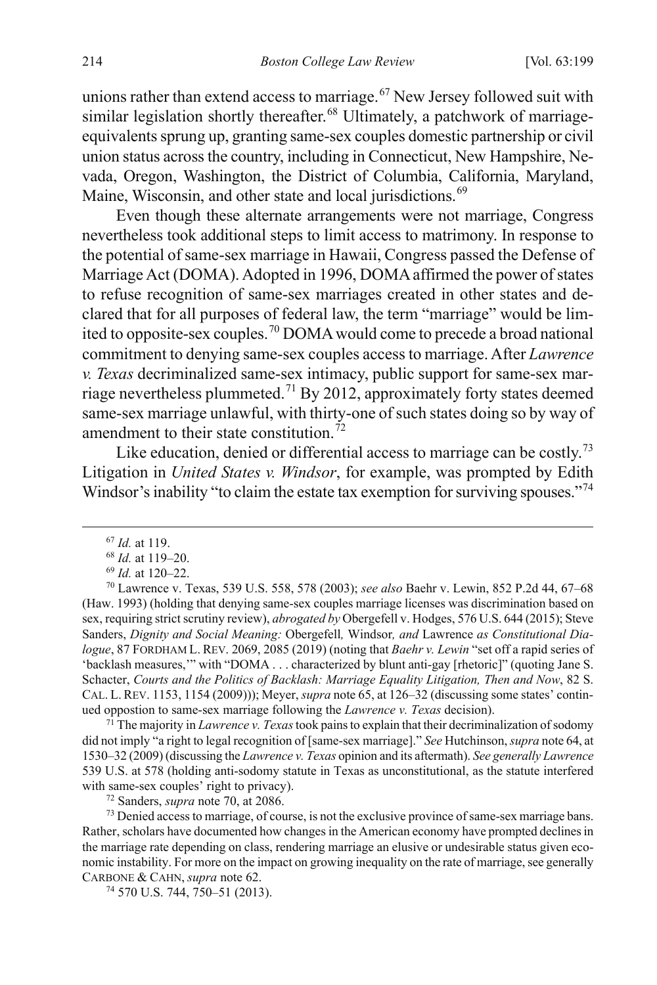unions rather than extend access to marriage.<sup>[67](#page-16-1)</sup> New Jersey followed suit with similar legislation shortly thereafter.<sup>[68](#page-16-2)</sup> Ultimately, a patchwork of marriageequivalents sprung up, granting same-sex couples domestic partnership or civil union status across the country, including in Connecticut, New Hampshire, Nevada, Oregon, Washington, the District of Columbia, California, Maryland, Maine, Wisconsin, and other state and local jurisdictions.<sup>[69](#page-16-3)</sup>

<span id="page-16-0"></span>Even though these alternate arrangements were not marriage, Congress nevertheless took additional steps to limit access to matrimony. In response to the potential of same-sex marriage in Hawaii, Congress passed the Defense of Marriage Act (DOMA). Adopted in 1996, DOMA affirmed the power of states to refuse recognition of same-sex marriages created in other states and declared that for all purposes of federal law, the term "marriage" would be lim-ited to opposite-sex couples.<sup>[70](#page-16-4)</sup> DOMA would come to precede a broad national commitment to denying same-sex couples access to marriage. After *Lawrence v. Texas* decriminalized same-sex intimacy, public support for same-sex mar-riage nevertheless plummeted.<sup>[71](#page-16-5)</sup> By 2012, approximately forty states deemed same-sex marriage unlawful, with thirty-one of such states doing so by way of amendment to their state constitution.<sup>[72](#page-16-6)</sup>

Like education, denied or differential access to marriage can be costly.<sup>[73](#page-16-7)</sup> Litigation in *United States v. Windsor*, for example, was prompted by Edith Windsor's inability "to claim the estate tax exemption for surviving spouses."<sup>[74](#page-16-8)</sup>

<span id="page-16-5"></span><sup>71</sup> The majority in *Lawrence v. Texas* took pains to explain that their decriminalization of sodomy did not imply "a right to legal recognition of [same-sex marriage]." *See* Hutchinson, *supra* not[e 64,](#page-15-9) at 1530–32 (2009) (discussing the *Lawrence v. Texas* opinion and its aftermath). *See generally Lawrence* 539 U.S. at 578 (holding anti-sodomy statute in Texas as unconstitutional, as the statute interfered with same-sex couples' right to privacy).

<sup>72</sup> Sanders, *supra* note [70,](#page-16-0) at 2086.

<span id="page-16-7"></span><span id="page-16-6"></span><sup>73</sup> Denied access to marriage, of course, is not the exclusive province of same-sex marriage bans. Rather, scholars have documented how changes in the American economy have prompted declines in the marriage rate depending on class, rendering marriage an elusive or undesirable status given economic instability. For more on the impact on growing inequality on the rate of marriage, see generally CARBONE & CAHN, *supra* not[e 62.](#page-15-10) 74 570 U.S. 744, 750–51 (2013).

<span id="page-16-8"></span>

 <sup>67</sup> *Id.* at 119.

<sup>68</sup> *Id.* at 119–20.

<sup>69</sup> *Id.* at 120–22.

<span id="page-16-4"></span><span id="page-16-3"></span><span id="page-16-2"></span><span id="page-16-1"></span><sup>70</sup> Lawrence v. Texas, 539 U.S. 558, 578 (2003); *see also* Baehr v. Lewin, 852 P.2d 44, 67–68 (Haw. 1993) (holding that denying same-sex couples marriage licenses was discrimination based on sex, requiring strict scrutiny review), *abrogated by* Obergefell v. Hodges, 576 U.S. 644 (2015); Steve Sanders, *Dignity and Social Meaning:* Obergefell*,* Windsor*, and* Lawrence *as Constitutional Dialogue*, 87 FORDHAM L. REV. 2069, 2085 (2019) (noting that *Baehr v. Lewin* "set off a rapid series of 'backlash measures,'" with "DOMA . . . characterized by blunt anti-gay [rhetoric]" (quoting Jane S. Schacter, *Courts and the Politics of Backlash: Marriage Equality Litigation, Then and Now*, 82 S. CAL. L. REV. 1153, 1154 (2009))); Meyer, *supra* not[e 65,](#page-15-8) at 126–32 (discussing some states' continued oppostion to same-sex marriage following the *Lawrence v. Texas* decision).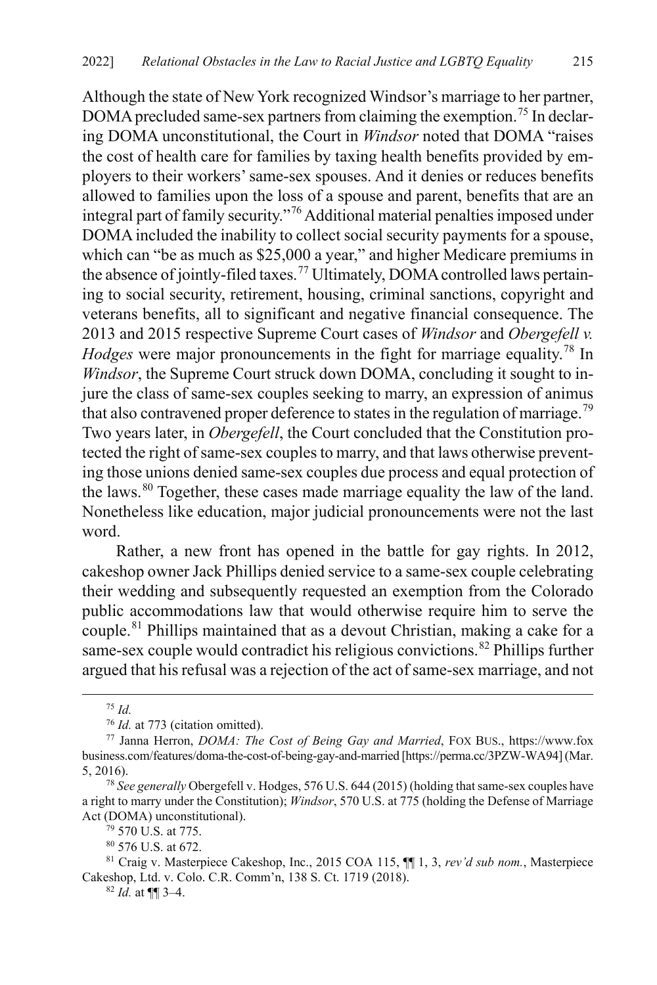Although the state of New York recognized Windsor's marriage to her partner, DOMA precluded same-sex partners from claiming the exemption.<sup>[75](#page-17-0)</sup> In declaring DOMA unconstitutional, the Court in *Windsor* noted that DOMA "raises the cost of health care for families by taxing health benefits provided by employers to their workers' same-sex spouses. And it denies or reduces benefits allowed to families upon the loss of a spouse and parent, benefits that are an integral part of family security."[76](#page-17-1) Additional material penalties imposed under DOMA included the inability to collect social security payments for a spouse, which can "be as much as \$25,000 a year," and higher Medicare premiums in the absence of jointly-filed taxes.<sup>[77](#page-17-2)</sup> Ultimately, DOMA controlled laws pertaining to social security, retirement, housing, criminal sanctions, copyright and veterans benefits, all to significant and negative financial consequence. The 2013 and 2015 respective Supreme Court cases of *Windsor* and *Obergefell v. Hodges* were major pronouncements in the fight for marriage equality.<sup>[78](#page-17-3)</sup> In *Windsor*, the Supreme Court struck down DOMA, concluding it sought to injure the class of same-sex couples seeking to marry, an expression of animus that also contravened proper deference to states in the regulation of marriage.<sup>[79](#page-17-4)</sup> Two years later, in *Obergefell*, the Court concluded that the Constitution protected the right of same-sex couples to marry, and that laws otherwise preventing those unions denied same-sex couples due process and equal protection of the laws.<sup>[80](#page-17-5)</sup> Together, these cases made marriage equality the law of the land. Nonetheless like education, major judicial pronouncements were not the last word.

<span id="page-17-8"></span>Rather, a new front has opened in the battle for gay rights. In 2012, cakeshop owner Jack Phillips denied service to a same-sex couple celebrating their wedding and subsequently requested an exemption from the Colorado public accommodations law that would otherwise require him to serve the couple. [81](#page-17-6) Phillips maintained that as a devout Christian, making a cake for a same-sex couple would contradict his religious convictions. [82](#page-17-7) Phillips further argued that his refusal was a rejection of the act of same-sex marriage, and not

<span id="page-17-9"></span> $^{75}$  *Id.* at 773 (citation omitted).

<span id="page-17-2"></span><span id="page-17-1"></span><span id="page-17-0"></span><sup>&</sup>lt;sup>77</sup> Janna Herron, *DOMA: The Cost of Being Gay and Married*, FOX BUS., https://www.fox business.com/features/doma-the-cost-of-being-gay-and-married [https://perma.cc/3PZW-WA94](Mar. 5, 2016). 78 *See generally* Obergefell v. Hodges, 576 U.S. 644 (2015) (holding that same-sex couples have

<span id="page-17-3"></span>a right to marry under the Constitution); *Windsor*, 570 U.S. at 775 (holding the Defense of Marriage Act (DOMA) unconstitutional).

<sup>79</sup> 570 U.S. at 775.

<sup>80</sup> 576 U.S. at 672.

<span id="page-17-7"></span><span id="page-17-6"></span><span id="page-17-5"></span><span id="page-17-4"></span><sup>81</sup> Craig v. Masterpiece Cakeshop, Inc., 2015 COA 115, ¶¶ 1, 3, *rev'd sub nom.*, Masterpiece Cakeshop, Ltd. v. Colo. C.R. Comm'n, 138 S. Ct. 1719 (2018).

<sup>82</sup> *Id.* at ¶¶ 3–4.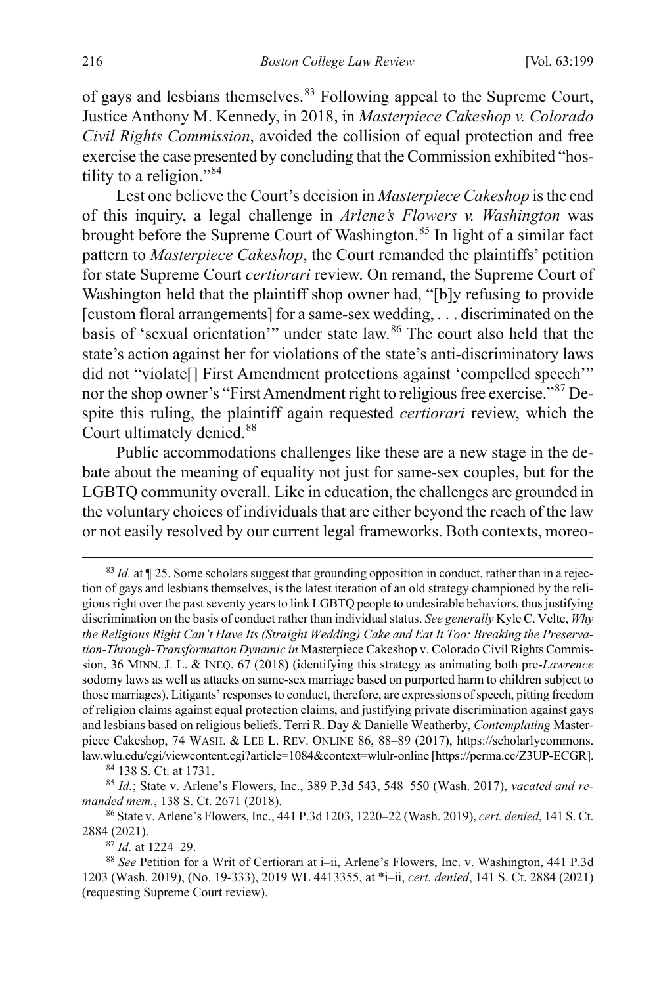of gays and lesbians themselves.<sup>[83](#page-18-1)</sup> Following appeal to the Supreme Court, Justice Anthony M. Kennedy, in 2018, in *Masterpiece Cakeshop v. Colorado Civil Rights Commission*, avoided the collision of equal protection and free exercise the case presented by concluding that the Commission exhibited "hos-tility to a religion."<sup>[84](#page-18-2)</sup>

Lest one believe the Court's decision in *Masterpiece Cakeshop* is the end of this inquiry, a legal challenge in *Arlene's Flowers v. Washington* was brought before the Supreme Court of Washington.<sup>[85](#page-18-3)</sup> In light of a similar fact pattern to *Masterpiece Cakeshop*, the Court remanded the plaintiffs' petition for state Supreme Court *certiorari* review. On remand, the Supreme Court of Washington held that the plaintiff shop owner had, "[b]y refusing to provide [custom floral arrangements] for a same-sex wedding, . . . discriminated on the basis of 'sexual orientation'" under state law. [86](#page-18-4) The court also held that the state's action against her for violations of the state's anti-discriminatory laws did not "violate<sup>[]</sup> First Amendment protections against 'compelled speech'" nor the shop owner's "First Amendment right to religious free exercise."<sup>[87](#page-18-5)</sup> Despite this ruling, the plaintiff again requested *certiorari* review, which the Court ultimately denied. [88](#page-18-6)

<span id="page-18-0"></span>Public accommodations challenges like these are a new stage in the debate about the meaning of equality not just for same-sex couples, but for the LGBTQ community overall. Like in education, the challenges are grounded in the voluntary choices of individuals that are either beyond the reach of the law or not easily resolved by our current legal frameworks. Both contexts, moreo-

<span id="page-18-1"></span> <sup>83</sup> *Id.* at ¶ 25. Some scholars suggest that grounding opposition in conduct, rather than in a rejection of gays and lesbians themselves, is the latest iteration of an old strategy championed by the religious right over the past seventy years to link LGBTQ people to undesirable behaviors, thus justifying discrimination on the basis of conduct rather than individual status. *See generally* Kyle C. Velte, *Why the Religious Right Can't Have Its (Straight Wedding) Cake and Eat It Too: Breaking the Preservation-Through-Transformation Dynamic in* Masterpiece Cakeshop v. Colorado Civil Rights Commission, 36 MINN. J. L. & INEQ. 67 (2018) (identifying this strategy as animating both pre-*Lawrence* sodomy laws as well as attacks on same-sex marriage based on purported harm to children subject to those marriages). Litigants' responses to conduct, therefore, are expressions of speech, pitting freedom of religion claims against equal protection claims, and justifying private discrimination against gays and lesbians based on religious beliefs. Terri R. Day & Danielle Weatherby, *Contemplating* Masterpiece Cakeshop, 74 WASH. & LEE L. REV. ONLINE 86, 88–89 (2017), https://scholarlycommons. law.wlu.edu/cgi/viewcontent.cgi?article=1084&context=wlulr-online [https://perma.cc/Z3UP-ECGR].

<span id="page-18-3"></span><span id="page-18-2"></span><sup>84</sup> 138 S. Ct. at 1731. 85 *Id.*; State v. Arlene's Flowers, Inc., 389 P.3d 543, 548–550 (Wash. 2017), *vacated and remanded mem.*, 138 S. Ct. 2671 (2018).

<span id="page-18-4"></span><sup>86</sup> State v. Arlene's Flowers, Inc., 441 P.3d 1203, 1220–22 (Wash. 2019), *cert. denied*, 141 S. Ct. 2884 (2021).

<sup>87</sup> *Id.* at 1224–29.

<span id="page-18-6"></span><span id="page-18-5"></span><sup>88</sup> *See* Petition for a Writ of Certiorari at i–ii, Arlene's Flowers, Inc. v. Washington, 441 P.3d 1203 (Wash. 2019), (No. 19-333), 2019 WL 4413355, at \*i–ii, *cert. denied*, 141 S. Ct. 2884 (2021) (requesting Supreme Court review).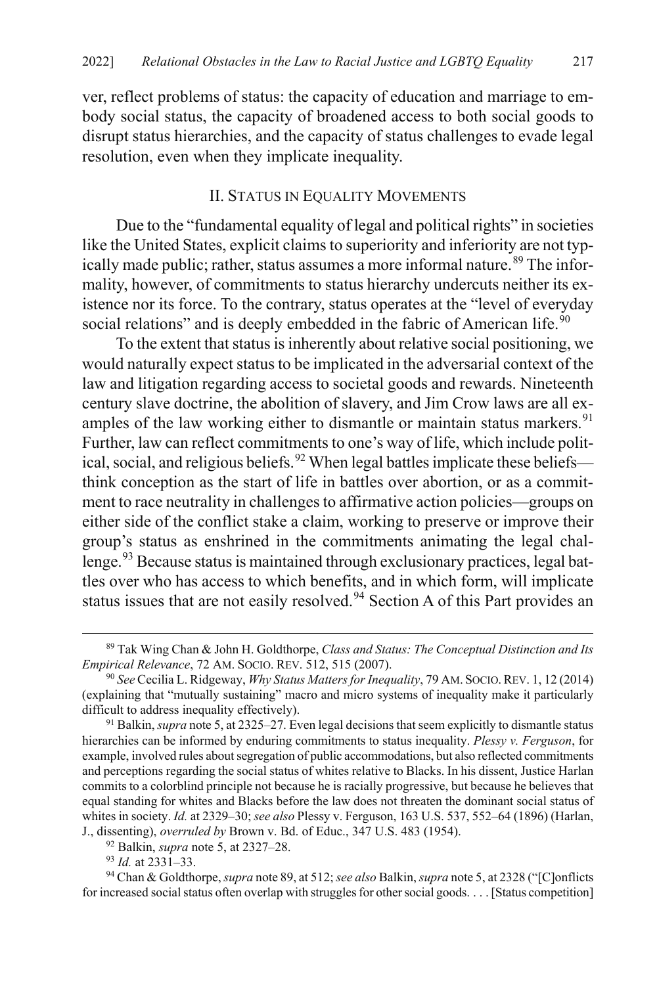ver, reflect problems of status: the capacity of education and marriage to embody social status, the capacity of broadened access to both social goods to disrupt status hierarchies, and the capacity of status challenges to evade legal resolution, even when they implicate inequality.

#### <span id="page-19-7"></span><span id="page-19-0"></span>II. STATUS IN EQUALITY MOVEMENTS

Due to the "fundamental equality of legal and political rights" in societies like the United States, explicit claims to superiority and inferiority are not typ-ically made public; rather, status assumes a more informal nature.<sup>[89](#page-19-1)</sup> The informality, however, of commitments to status hierarchy undercuts neither its existence nor its force. To the contrary, status operates at the "level of everyday social relations" and is deeply embedded in the fabric of American life.<sup>[90](#page-19-2)</sup>

To the extent that status is inherently about relative social positioning, we would naturally expect status to be implicated in the adversarial context of the law and litigation regarding access to societal goods and rewards. Nineteenth century slave doctrine, the abolition of slavery, and Jim Crow laws are all ex-amples of the law working either to dismantle or maintain status markers.<sup>[91](#page-19-3)</sup> Further, law can reflect commitments to one's way of life, which include polit-ical, social, and religious beliefs.<sup>[92](#page-19-4)</sup> When legal battles implicate these beliefs think conception as the start of life in battles over abortion, or as a commitment to race neutrality in challenges to affirmative action policies—groups on either side of the conflict stake a claim, working to preserve or improve their group's status as enshrined in the commitments animating the legal chal-lenge.<sup>[93](#page-19-5)</sup> Because status is maintained through exclusionary practices, legal battles over who has access to which benefits, and in which form, will implicate status issues that are not easily resolved.<sup>94</sup> Section A of this Part provides an

<span id="page-19-1"></span> <sup>89</sup> Tak Wing Chan & John H. Goldthorpe, *Class and Status: The Conceptual Distinction and Its Empirical Relevance*, 72 AM. SOCIO. REV. 512, 515 (2007).

<span id="page-19-2"></span><sup>90</sup> *See* Cecilia L. Ridgeway, *Why Status Matters for Inequality*, 79 AM. SOCIO.REV. 1, 12 (2014) (explaining that "mutually sustaining" macro and micro systems of inequality make it particularly difficult to address inequality effectively).

<span id="page-19-3"></span><sup>91</sup> Balkin, *supra* not[e 5,](#page-3-5) at 2325–27. Even legal decisions that seem explicitly to dismantle status hierarchies can be informed by enduring commitments to status inequality. *Plessy v. Ferguson*, for example, involved rules about segregation of public accommodations, but also reflected commitments and perceptions regarding the social status of whites relative to Blacks. In his dissent, Justice Harlan commits to a colorblind principle not because he is racially progressive, but because he believes that equal standing for whites and Blacks before the law does not threaten the dominant social status of whites in society. *Id.* at 2329–30; *see also* Plessy v. Ferguson, 163 U.S. 537, 552–64 (1896) (Harlan, J., dissenting), *overruled by* Brown v. Bd. of Educ., 347 U.S. 483 (1954). 92 Balkin, *supra* not[e 5,](#page-3-5) at 2327–28.

<sup>93</sup> *Id.* at 2331–33.

<span id="page-19-6"></span><span id="page-19-5"></span><span id="page-19-4"></span><sup>94</sup> Chan & Goldthorpe,*supra* not[e 89,](#page-19-0) at 512; *see also* Balkin, *supra* not[e 5,](#page-3-5) at 2328 ("[C]onflicts for increased social status often overlap with struggles for other social goods. . . . [Status competition]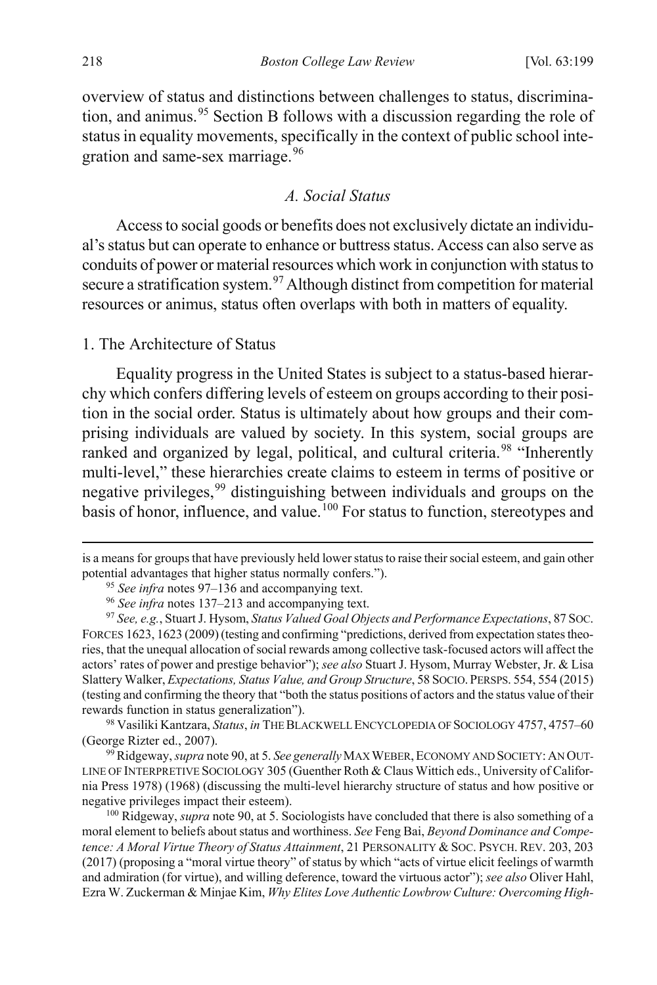overview of status and distinctions between challenges to status, discrimina-tion, and animus.<sup>[95](#page-20-1)</sup> Section B follows with a discussion regarding the role of status in equality movements, specifically in the context of public school inte-gration and same-sex marriage.<sup>[96](#page-20-2)</sup>

#### <span id="page-20-0"></span>*A. Social Status*

Access to social goods or benefits does not exclusively dictate an individual's status but can operate to enhance or buttress status. Access can also serve as conduits of power or material resources which work in conjunction with status to secure a stratification system.<sup>[97](#page-20-3)</sup> Although distinct from competition for material resources or animus, status often overlaps with both in matters of equality.

#### 1. The Architecture of Status

Equality progress in the United States is subject to a status-based hierarchy which confers differing levels of esteem on groups according to their position in the social order. Status is ultimately about how groups and their comprising individuals are valued by society. In this system, social groups are ranked and organized by legal, political, and cultural criteria.<sup>98</sup> "Inherently multi-level," these hierarchies create claims to esteem in terms of positive or negative privileges,<sup>[99](#page-20-5)</sup> distinguishing between individuals and groups on the basis of honor, influence, and value.<sup>[100](#page-20-6)</sup> For status to function, stereotypes and

 $\overline{a}$ 

<span id="page-20-1"></span>is a means for groups that have previously held lower status to raise their social esteem, and gain other potential advantages that higher status normally confers.").

<sup>95</sup> *See infra* note[s 97–](#page-20-0)[136](#page-27-0) and accompanying text.

<sup>96</sup> *See infra* note[s 137](#page-28-0)[–213](#page-43-0) and accompanying text.

<span id="page-20-3"></span><span id="page-20-2"></span><sup>97</sup> *See, e.g.*, Stuart J. Hysom, *Status Valued Goal Objects and Performance Expectations*, 87 SOC. FORCES 1623, 1623 (2009) (testing and confirming "predictions, derived from expectation states theories, that the unequal allocation of social rewards among collective task-focused actors will affect the actors' rates of power and prestige behavior"); *see also* Stuart J. Hysom, Murray Webster, Jr. & Lisa Slattery Walker, *Expectations, Status Value, and Group Structure*, 58 SOCIO. PERSPS. 554, 554 (2015) (testing and confirming the theory that "both the status positions of actors and the status value of their rewards function in status generalization").

<span id="page-20-4"></span><sup>98</sup> Vasiliki Kantzara, *Status*, *in* THE BLACKWELL ENCYCLOPEDIA OF SOCIOLOGY 4757, 4757–60 (George Rizter ed., 2007).

<span id="page-20-5"></span><sup>99</sup>Ridgeway, *supra* not[e 90,](#page-19-7) at 5. *See generally*MAX WEBER,ECONOMY AND SOCIETY:AN OUT-LINE OF INTERPRETIVE SOCIOLOGY 305 (Guenther Roth & Claus Wittich eds., University of California Press 1978) (1968) (discussing the multi-level hierarchy structure of status and how positive or negative privileges impact their esteem).

<span id="page-20-6"></span><sup>100</sup> Ridgeway, *supra* not[e 90,](#page-19-7) at 5. Sociologists have concluded that there is also something of a moral element to beliefs about status and worthiness. *See* Feng Bai, *Beyond Dominance and Competence: A Moral Virtue Theory of Status Attainment*, 21 PERSONALITY & SOC. PSYCH. REV. 203, 203 (2017) (proposing a "moral virtue theory" of status by which "acts of virtue elicit feelings of warmth and admiration (for virtue), and willing deference, toward the virtuous actor"); *see also* Oliver Hahl, Ezra W. Zuckerman & Minjae Kim, *Why Elites Love Authentic Lowbrow Culture: Overcoming High-*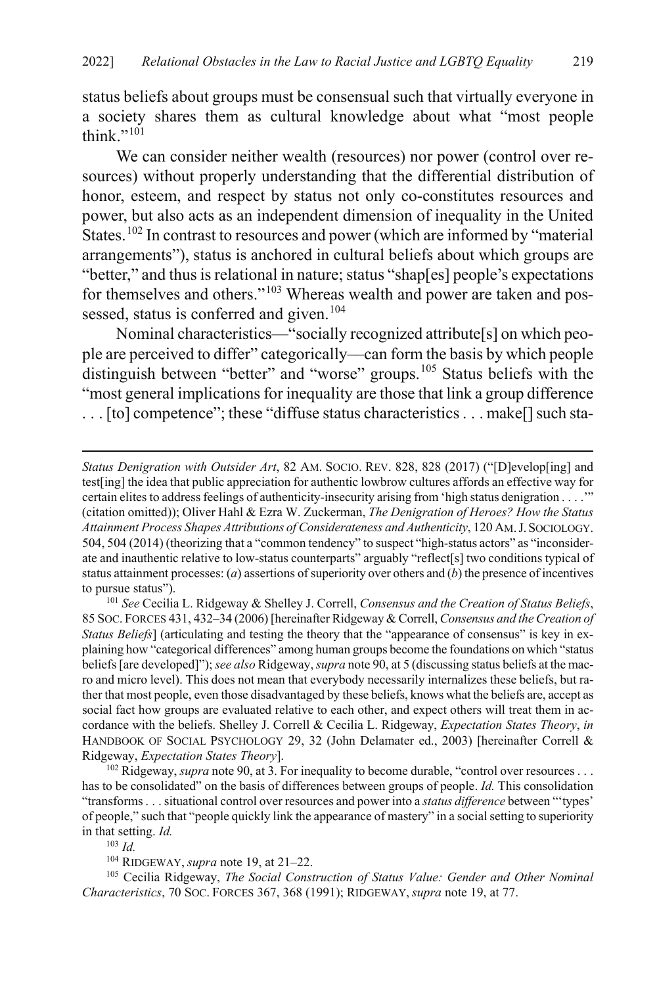status beliefs about groups must be consensual such that virtually everyone in a society shares them as cultural knowledge about what "most people think." $101$ 

<span id="page-21-6"></span>We can consider neither wealth (resources) nor power (control over resources) without properly understanding that the differential distribution of honor, esteem, and respect by status not only co-constitutes resources and power, but also acts as an independent dimension of inequality in the United States.<sup>[102](#page-21-1)</sup> In contrast to resources and power (which are informed by "material arrangements"), status is anchored in cultural beliefs about which groups are "better," and thus is relational in nature; status "shap[es] people's expectations for themselves and others."[103](#page-21-2) Whereas wealth and power are taken and pos-sessed, status is conferred and given.<sup>[104](#page-21-3)</sup>

<span id="page-21-5"></span>Nominal characteristics—"socially recognized attribute[s] on which people are perceived to differ" categorically––can form the basis by which people distinguish between "better" and "worse" groups.<sup>[105](#page-21-4)</sup> Status beliefs with the "most general implications for inequality are those that link a group difference . . . [to] competence"; these "diffuse status characteristics . . . make[] such sta-

<span id="page-21-0"></span><sup>101</sup> *See* Cecilia L. Ridgeway & Shelley J. Correll, *Consensus and the Creation of Status Beliefs*, 85 SOC. FORCES 431, 432–34 (2006) [hereinafter Ridgeway & Correll, *Consensus and the Creation of Status Beliefs*] (articulating and testing the theory that the "appearance of consensus" is key in explaining how "categorical differences" among human groups become the foundations on which "status beliefs [are developed]"); *see also* Ridgeway, *supra* not[e 90,](#page-19-7) at 5 (discussing status beliefs at the macro and micro level). This does not mean that everybody necessarily internalizes these beliefs, but rather that most people, even those disadvantaged by these beliefs, knows what the beliefs are, accept as social fact how groups are evaluated relative to each other, and expect others will treat them in accordance with the beliefs. Shelley J. Correll & Cecilia L. Ridgeway, *Expectation States Theory*, *in* HANDBOOK OF SOCIAL PSYCHOLOGY 29, 32 (John Delamater ed., 2003) [hereinafter Correll & Ridgeway, *Expectation States Theory*].

<span id="page-21-1"></span><sup>102</sup> Ridgeway, *supra* not[e 90,](#page-19-7) at 3. For inequality to become durable, "control over resources . . . has to be consolidated" on the basis of differences between groups of people. *Id.* This consolidation "transforms . . . situational control over resources and power into a *status difference* between "'types' of people," such that "people quickly link the appearance of mastery" in a social setting to superiority in that setting. *Id.*

<sup>103</sup> *Id.*

 $\overline{a}$ 

104 RIDGEWAY, *supra* not[e 19,](#page-8-8) at 21–22.

<span id="page-21-4"></span><span id="page-21-3"></span><span id="page-21-2"></span><sup>105</sup> Cecilia Ridgeway, *The Social Construction of Status Value: Gender and Other Nominal Characteristics*, 70 SOC. FORCES 367, 368 (1991); RIDGEWAY, *supra* not[e 19,](#page-8-8) at 77.

*Status Denigration with Outsider Art*, 82 AM. SOCIO. REV. 828, 828 (2017) ("[D]evelop[ing] and test[ing] the idea that public appreciation for authentic lowbrow cultures affords an effective way for certain elites to address feelings of authenticity-insecurity arising from 'high status denigration . . . .'" (citation omitted)); Oliver Hahl & Ezra W. Zuckerman, *The Denigration of Heroes? How the Status Attainment Process Shapes Attributions of Considerateness and Authenticity*, 120 AM.J.SOCIOLOGY. 504, 504 (2014) (theorizing that a "common tendency" to suspect "high-status actors" as "inconsiderate and inauthentic relative to low-status counterparts" arguably "reflect[s] two conditions typical of status attainment processes: (*a*) assertions of superiority over others and (*b*) the presence of incentives to pursue status").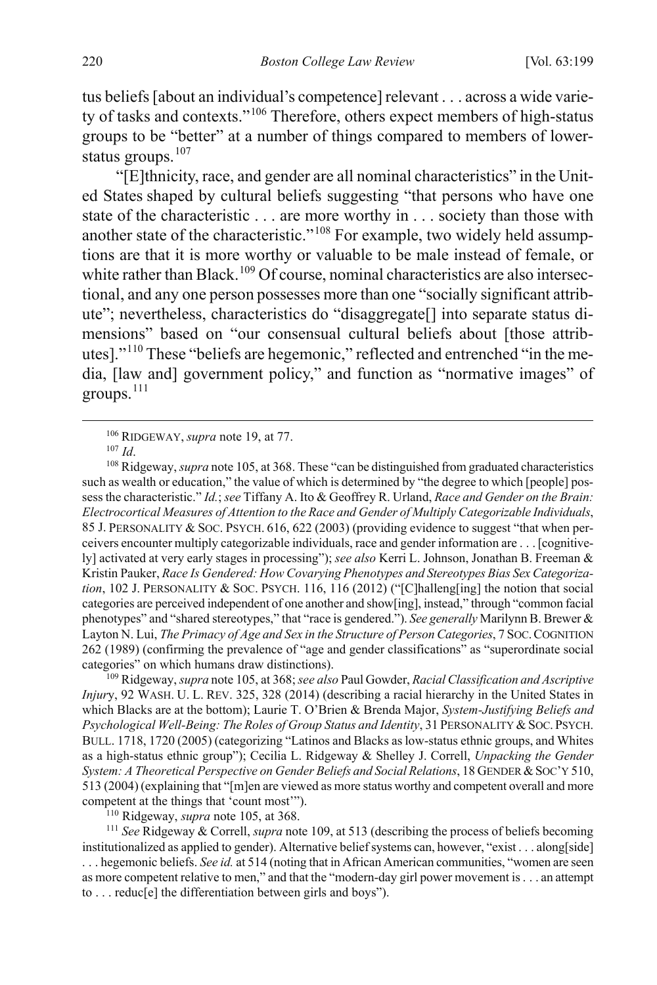tus beliefs [about an individual's competence] relevant . . . across a wide variety of tasks and contexts."[106](#page-22-1) Therefore, others expect members of high-status groups to be "better" at a number of things compared to members of lower-status groups.<sup>[107](#page-22-2)</sup>

<span id="page-22-0"></span>"[E]thnicity, race, and gender are all nominal characteristics" in the United States shaped by cultural beliefs suggesting "that persons who have one state of the characteristic . . . are more worthy in . . . society than those with another state of the characteristic."<sup>[108](#page-22-3)</sup> For example, two widely held assumptions are that it is more worthy or valuable to be male instead of female, or white rather than Black.<sup>[109](#page-22-4)</sup> Of course, nominal characteristics are also intersectional, and any one person possesses more than one "socially significant attribute"; nevertheless, characteristics do "disaggregate[] into separate status dimensions" based on "our consensual cultural beliefs about [those attributes]."[110](#page-22-5) These "beliefs are hegemonic," reflected and entrenched "in the media, [law and] government policy," and function as "normative images" of groups.<sup>[111](#page-22-6)</sup>

<sup>106</sup> RIDGEWAY, *supra* not[e 19,](#page-8-8) at 77.<br><sup>107</sup> *Id* 

<span id="page-22-3"></span><span id="page-22-2"></span><span id="page-22-1"></span><sup>108</sup> Ridgeway, *supra* not[e 105,](#page-21-5) at 368. These "can be distinguished from graduated characteristics such as wealth or education," the value of which is determined by "the degree to which [people] possess the characteristic." *Id.*; *see* Tiffany A. Ito & Geoffrey R. Urland, *Race and Gender on the Brain: Electrocortical Measures of Attention to the Race and Gender of Multiply Categorizable Individuals*, 85 J. PERSONALITY & SOC. PSYCH. 616, 622 (2003) (providing evidence to suggest "that when perceivers encounter multiply categorizable individuals, race and gender information are . . . [cognitively] activated at very early stages in processing"); *see also* Kerri L. Johnson, Jonathan B. Freeman & Kristin Pauker, *Race Is Gendered: How Covarying Phenotypes and Stereotypes Bias Sex Categorization*, 102 J. PERSONALITY & SOC. PSYCH. 116, 116 (2012) ("[C]halleng[ing] the notion that social categories are perceived independent of one another and show[ing], instead," through "common facial phenotypes" and "shared stereotypes," that "race is gendered."). *See generally* Marilynn B. Brewer & Layton N. Lui, *The Primacy of Age and Sex in the Structure of Person Categories*, 7 SOC.COGNITION 262 (1989) (confirming the prevalence of "age and gender classifications" as "superordinate social categories" on which humans draw distinctions).

<span id="page-22-4"></span>109 Ridgeway, *supra* not[e 105,](#page-21-5) at 368; *see also* Paul Gowder, *Racial Classification and Ascriptive Injury*, 92 WASH. U. L. REV. 325, 328 (2014) (describing a racial hierarchy in the United States in which Blacks are at the bottom); Laurie T. O'Brien & Brenda Major, *System-Justifying Beliefs and Psychological Well-Being: The Roles of Group Status and Identity*, 31 PERSONALITY & SOC. PSYCH. BULL. 1718, 1720 (2005) (categorizing "Latinos and Blacks as low-status ethnic groups, and Whites as a high-status ethnic group"); Cecilia L. Ridgeway & Shelley J. Correll, *Unpacking the Gender System: A Theoretical Perspective on Gender Beliefs and Social Relations*, 18 GENDER & SOC'Y 510, 513 (2004) (explaining that "[m]en are viewed as more status worthy and competent overall and more competent at the things that 'count most'").

110 Ridgeway, *supra* not[e 105,](#page-21-5) at 368.

<span id="page-22-6"></span><span id="page-22-5"></span><sup>111</sup> *See* Ridgeway & Correll, *supra* not[e 109,](#page-22-0) at 513 (describing the process of beliefs becoming institutionalized as applied to gender). Alternative belief systems can, however, "exist . . . along[side] . . . hegemonic beliefs. *See id.* at 514 (noting that in African American communities, "women are seen as more competent relative to men," and that the "modern-day girl power movement is . . . an attempt to . . . reduc[e] the differentiation between girls and boys").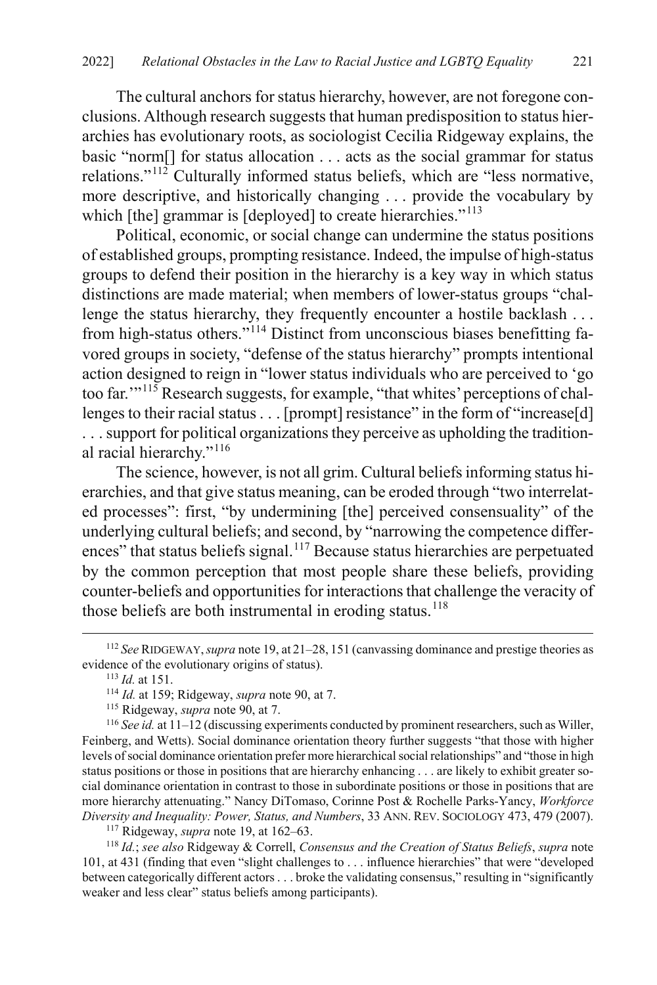The cultural anchors for status hierarchy, however, are not foregone conclusions. Although research suggests that human predisposition to status hierarchies has evolutionary roots, as sociologist Cecilia Ridgeway explains, the basic "norm[] for status allocation . . . acts as the social grammar for status relations."[112](#page-23-0) Culturally informed status beliefs, which are "less normative, more descriptive, and historically changing . . . provide the vocabulary by which [the] grammar is [deployed] to create hierarchies."<sup>[113](#page-23-1)</sup>

Political, economic, or social change can undermine the status positions of established groups, prompting resistance. Indeed, the impulse of high-status groups to defend their position in the hierarchy is a key way in which status distinctions are made material; when members of lower-status groups "challenge the status hierarchy, they frequently encounter a hostile backlash ... from high-status others."<sup>[114](#page-23-2)</sup> Distinct from unconscious biases benefitting favored groups in society, "defense of the status hierarchy" prompts intentional action designed to reign in "lower status individuals who are perceived to 'go too far.'"[115](#page-23-3) Research suggests, for example, "that whites' perceptions of challenges to their racial status . . . [prompt] resistance" in the form of "increase[d] ... support for political organizations they perceive as upholding the traditional racial hierarchy."[116](#page-23-4)

The science, however, is not all grim. Cultural beliefs informing status hierarchies, and that give status meaning, can be eroded through "two interrelated processes": first, "by undermining [the] perceived consensuality" of the underlying cultural beliefs; and second, by "narrowing the competence differ-ences" that status beliefs signal.<sup>[117](#page-23-5)</sup> Because status hierarchies are perpetuated by the common perception that most people share these beliefs, providing counter-beliefs and opportunities for interactions that challenge the veracity of those beliefs are both instrumental in eroding status. $118$ 

<span id="page-23-4"></span><span id="page-23-3"></span><span id="page-23-2"></span><sup>116</sup> *See id.* at 11–12 (discussing experiments conducted by prominent researchers, such as Willer, Feinberg, and Wetts). Social dominance orientation theory further suggests "that those with higher levels of social dominance orientation prefer more hierarchical social relationships" and "those in high status positions or those in positions that are hierarchy enhancing . . . are likely to exhibit greater social dominance orientation in contrast to those in subordinate positions or those in positions that are more hierarchy attenuating." Nancy DiTomaso, Corinne Post & Rochelle Parks-Yancy, *Workforce Diversity and Inequality: Power, Status, and Numbers*, 33 ANN. REV. SOCIOLOGY 473, 479 (2007).

117 Ridgeway, *supra* not[e 19,](#page-8-8) at 162–63.

<span id="page-23-6"></span><span id="page-23-5"></span><sup>118</sup> *Id.*; *see also* Ridgeway & Correll, *Consensus and the Creation of Status Beliefs*, *supra* note [101,](#page-21-6) at 431 (finding that even "slight challenges to . . . influence hierarchies" that were "developed between categorically different actors . . . broke the validating consensus," resulting in "significantly weaker and less clear" status beliefs among participants).

<span id="page-23-1"></span><span id="page-23-0"></span> <sup>112</sup> *See* RIDGEWAY,*supra* not[e 19,](#page-8-8) at 21–28, <sup>151</sup> (canvassing dominance and prestige theories as evidence of the evolutionary origins of status).<br> $\frac{113 \text{ Id.}}{113 \text{ Id.}}$  at 151.

<span id="page-23-7"></span>

<sup>&</sup>lt;sup>114</sup> *Id.* at 159; Ridgeway, *supra* not[e 90,](#page-19-7) at 7.

<sup>115</sup> Ridgeway, *supra* not[e 90,](#page-19-7) at 7.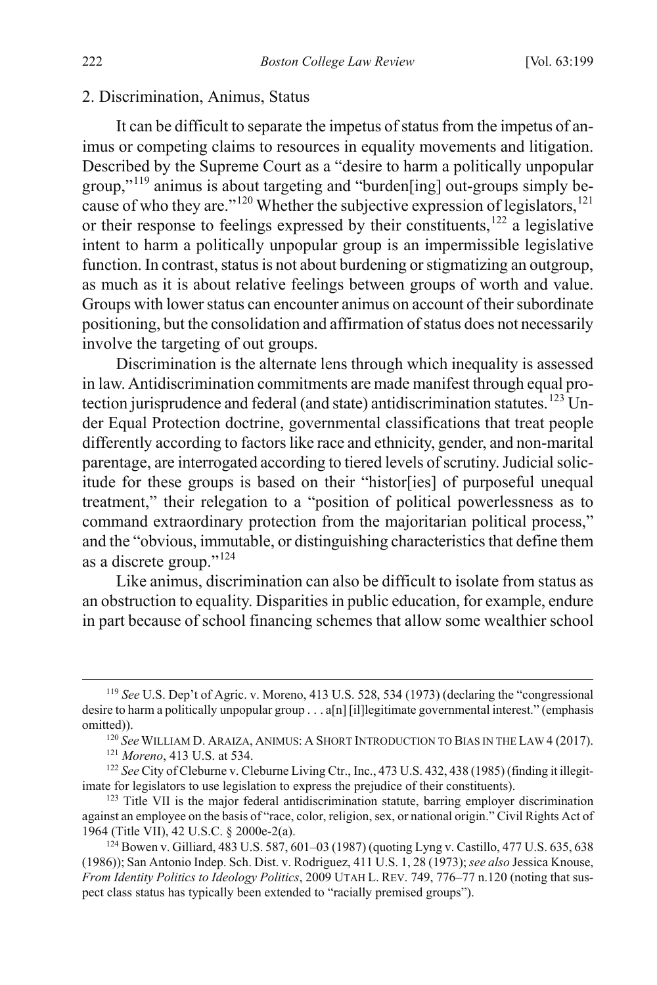#### 2. Discrimination, Animus, Status

<span id="page-24-6"></span>It can be difficult to separate the impetus of status from the impetus of animus or competing claims to resources in equality movements and litigation. Described by the Supreme Court as a "desire to harm a politically unpopular group,"<sup>[119](#page-24-0)</sup> animus is about targeting and "burden[ing] out-groups simply be-cause of who they are."<sup>[120](#page-24-1)</sup> Whether the subjective expression of legislators,<sup>[121](#page-24-2)</sup> or their response to feelings expressed by their constituents,<sup>[122](#page-24-3)</sup> a legislative intent to harm a politically unpopular group is an impermissible legislative function. In contrast, status is not about burdening or stigmatizing an outgroup, as much as it is about relative feelings between groups of worth and value. Groups with lower status can encounter animus on account of their subordinate positioning, but the consolidation and affirmation of status does not necessarily involve the targeting of out groups.

Discrimination is the alternate lens through which inequality is assessed in law. Antidiscrimination commitments are made manifest through equal pro-tection jurisprudence and federal (and state) antidiscrimination statutes.<sup>[123](#page-24-4)</sup> Under Equal Protection doctrine, governmental classifications that treat people differently according to factors like race and ethnicity, gender, and non-marital parentage, are interrogated according to tiered levels of scrutiny. Judicial solicitude for these groups is based on their "histor[ies] of purposeful unequal treatment," their relegation to a "position of political powerlessness as to command extraordinary protection from the majoritarian political process," and the "obvious, immutable, or distinguishing characteristics that define them as a discrete group."<sup>[124](#page-24-5)</sup>

Like animus, discrimination can also be difficult to isolate from status as an obstruction to equality. Disparities in public education, for example, endure in part because of school financing schemes that allow some wealthier school

<span id="page-24-0"></span> <sup>119</sup> *See* U.S. Dep't of Agric. v. Moreno, 413 U.S. 528, 534 (1973) (declaring the "congressional desire to harm a politically unpopular group . . . a[n] [il]legitimate governmental interest." (emphasis

<span id="page-24-1"></span>omitted)). 120 *See* WILLIAM D. ARAIZA, ANIMUS: <sup>A</sup> SHORT INTRODUCTION TO BIAS IN THE LAW 4 (2017). 121 *Moreno*, 413 U.S. at 534.

<span id="page-24-3"></span><span id="page-24-2"></span><sup>122</sup> *See* City of Cleburne v. Cleburne Living Ctr., Inc., 473 U.S. 432, 438 (1985) (finding it illegitimate for legislators to use legislation to express the prejudice of their constituents).

<span id="page-24-4"></span> $123$  Title VII is the major federal antidiscrimination statute, barring employer discrimination against an employee on the basis of "race, color, religion, sex, or national origin." Civil Rights Act of 1964 (Title VII), 42 U.S.C. § 2000e-2(a). 124 Bowen v. Gilliard, 483 U.S. 587, 601–03 (1987) (quoting Lyng v. Castillo, 477 U.S. 635, 638

<span id="page-24-5"></span><sup>(1986));</sup> San Antonio Indep. Sch. Dist. v. Rodriguez, 411 U.S. 1, 28 (1973); *see also* Jessica Knouse, *From Identity Politics to Ideology Politics*, 2009 UTAH L. REV. 749, 776–77 n.120 (noting that suspect class status has typically been extended to "racially premised groups").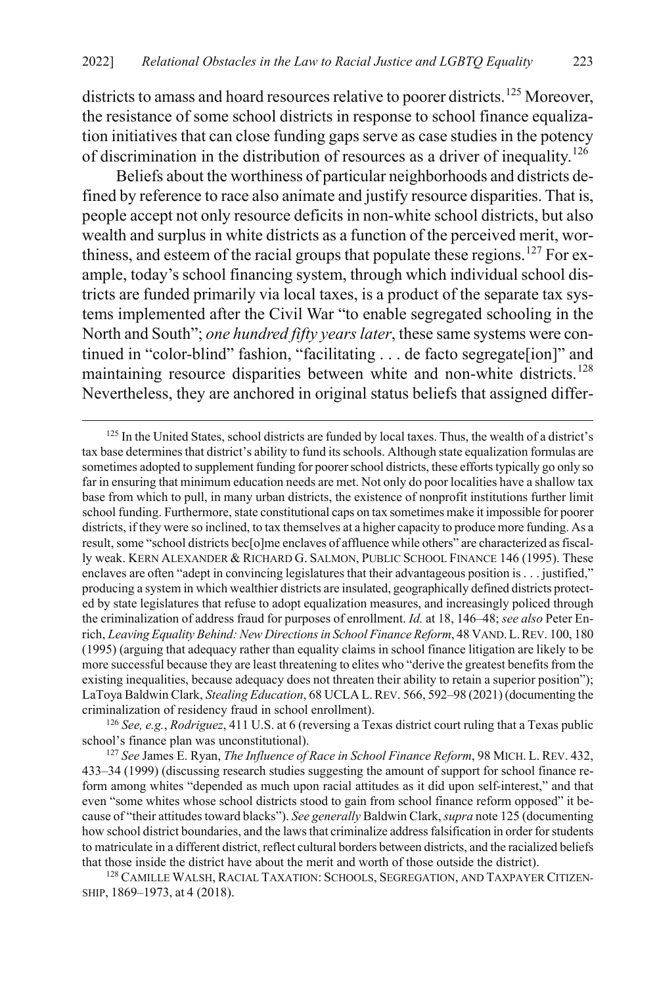<span id="page-25-0"></span>districts to amass and hoard resources relative to poorer districts.<sup>[125](#page-25-1)</sup> Moreover, the resistance of some school districts in response to school finance equalization initiatives that can close funding gaps serve as case studies in the potency of discrimination in the distribution of resources as a driver of inequality.<sup>[126](#page-25-2)</sup>

Beliefs about the worthiness of particular neighborhoods and districts defined by reference to race also animate and justify resource disparities. That is, people accept not only resource deficits in non-white school districts, but also wealth and surplus in white districts as a function of the perceived merit, wor-thiness, and esteem of the racial groups that populate these regions.<sup>[127](#page-25-3)</sup> For example, today's school financing system, through which individual school districts are funded primarily via local taxes, is a product of the separate tax systems implemented after the Civil War "to enable segregated schooling in the North and South"; *one hundred fifty years later*, these same systems were continued in "color-blind" fashion, "facilitating . . . de facto segregate[ion]" and maintaining resource disparities between white and non-white districts.<sup>[128](#page-25-4)</sup> Nevertheless, they are anchored in original status beliefs that assigned differ-

<span id="page-25-2"></span><sup>126</sup> *See, e.g.*, *Rodriguez*, 411 U.S. at 6 (reversing a Texas district court ruling that a Texas public school's finance plan was unconstitutional).

<span id="page-25-1"></span><sup>&</sup>lt;sup>125</sup> In the United States, school districts are funded by local taxes. Thus, the wealth of a district's tax base determines that district's ability to fund its schools. Although state equalization formulas are sometimes adopted to supplement funding for poorer school districts, these efforts typically go only so far in ensuring that minimum education needs are met. Not only do poor localities have a shallow tax base from which to pull, in many urban districts, the existence of nonprofit institutions further limit school funding. Furthermore, state constitutional caps on tax sometimes make it impossible for poorer districts, if they were so inclined, to tax themselves at a higher capacity to produce more funding. As a result, some "school districts bec[o]me enclaves of affluence while others" are characterized as fiscally weak. KERN ALEXANDER & RICHARD G. SALMON, PUBLIC SCHOOL FINANCE 146 (1995). These enclaves are often "adept in convincing legislatures that their advantageous position is . . . justified," producing a system in which wealthier districts are insulated, geographically defined districts protected by state legislatures that refuse to adopt equalization measures, and increasingly policed through the criminalization of address fraud for purposes of enrollment. *Id.* at 18, 146–48; *see also* Peter Enrich, *Leaving Equality Behind: New Directions in School Finance Reform*, 48 VAND.L.REV. 100, 180 (1995) (arguing that adequacy rather than equality claims in school finance litigation are likely to be more successful because they are least threatening to elites who "derive the greatest benefits from the existing inequalities, because adequacy does not threaten their ability to retain a superior position"); LaToya Baldwin Clark, *Stealing Education*, 68 UCLA L.REV. 566, 592–98 (2021) (documenting the criminalization of residency fraud in school enrollment).

<span id="page-25-3"></span><sup>127</sup> *See* James E. Ryan, *The Influence of Race in School Finance Reform*, 98 MICH. L. REV. 432, 433–34 (1999) (discussing research studies suggesting the amount of support for school finance reform among whites "depended as much upon racial attitudes as it did upon self-interest," and that even "some whites whose school districts stood to gain from school finance reform opposed" it because of "their attitudes toward blacks"). *See generally* Baldwin Clark, *supra* not[e 125](#page-25-0) (documenting how school district boundaries, and the laws that criminalize address falsification in order for students to matriculate in a different district, reflect cultural borders between districts, and the racialized beliefs that those inside the district have about the merit and worth of those outside the district).

<span id="page-25-4"></span><sup>&</sup>lt;sup>128</sup> CAMILLE WALSH, RACIAL TAXATION: SCHOOLS, SEGREGATION, AND TAXPAYER CITIZEN-SHIP, 1869–1973, at 4 (2018).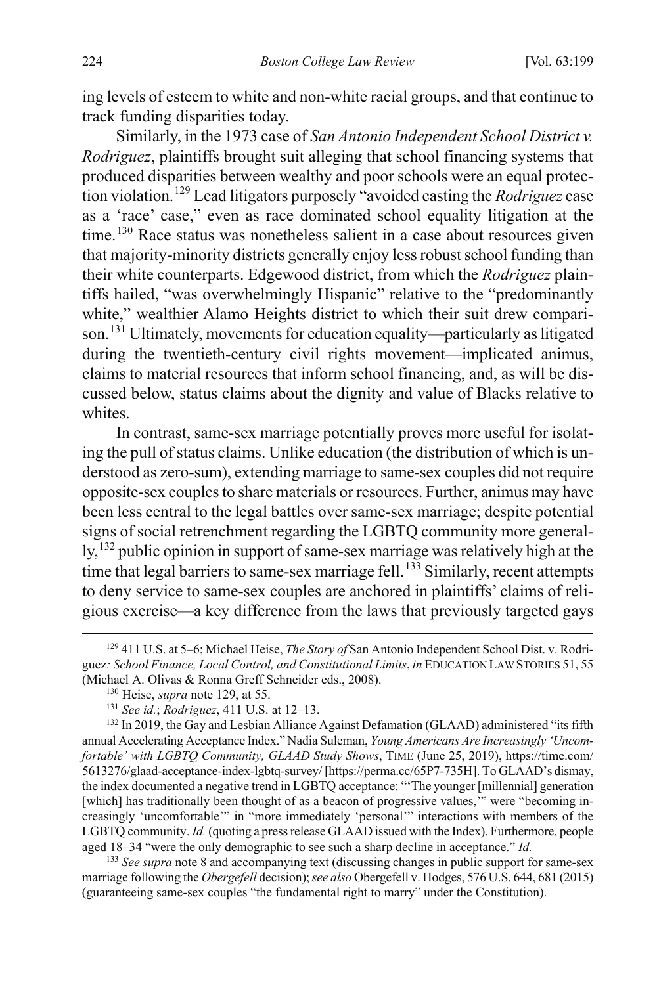ing levels of esteem to white and non-white racial groups, and that continue to track funding disparities today.

<span id="page-26-0"></span>Similarly, in the 1973 case of *San Antonio Independent School District v. Rodriguez*, plaintiffs brought suit alleging that school financing systems that produced disparities between wealthy and poor schools were an equal protection violation.[129](#page-26-1) Lead litigators purposely "avoided casting the *Rodriguez* case as a 'race' case," even as race dominated school equality litigation at the time.<sup>[130](#page-26-2)</sup> Race status was nonetheless salient in a case about resources given that majority-minority districts generally enjoy less robust school funding than their white counterparts. Edgewood district, from which the *Rodriguez* plaintiffs hailed, "was overwhelmingly Hispanic" relative to the "predominantly white," wealthier Alamo Heights district to which their suit drew comparison. [131](#page-26-3) Ultimately, movements for education equality—particularly as litigated during the twentieth-century civil rights movement—implicated animus, claims to material resources that inform school financing, and, as will be discussed below, status claims about the dignity and value of Blacks relative to whites.

In contrast, same-sex marriage potentially proves more useful for isolating the pull of status claims. Unlike education (the distribution of which is understood as zero-sum), extending marriage to same-sex couples did not require opposite-sex couples to share materials or resources. Further, animus may have been less central to the legal battles over same-sex marriage; despite potential signs of social retrenchment regarding the LGBTQ community more general-ly,<sup>[132](#page-26-4)</sup> public opinion in support of same-sex marriage was relatively high at the time that legal barriers to same-sex marriage fell.<sup>[133](#page-26-5)</sup> Similarly, recent attempts to deny service to same-sex couples are anchored in plaintiffs' claims of religious exercise—a key difference from the laws that previously targeted gays

<span id="page-26-5"></span><sup>133</sup> *See supra* not[e 8](#page-4-3) and accompanying text (discussing changes in public support for same-sex marriage following the *Obergefell* decision); *see also* Obergefell v. Hodges, 576 U.S. 644, 681 (2015) (guaranteeing same-sex couples "the fundamental right to marry" under the Constitution).

<span id="page-26-1"></span> <sup>129</sup> 411 U.S. at 5–6; Michael Heise, *The Story of* San Antonio Independent School Dist. v. Rodriguez*: School Finance, Local Control, and Constitutional Limits*, *in* EDUCATION LAW STORIES 51, 55 (Michael A. Olivas & Ronna Greff Schneider eds., 2008). 130 Heise, *supra* note [129,](#page-26-0) at 55.

<span id="page-26-4"></span><span id="page-26-3"></span><span id="page-26-2"></span><sup>&</sup>lt;sup>131</sup> *See id.*; *Rodriguez*, 411 U.S. at 12–13.<br><sup>132</sup> In 2019, the Gay and Lesbian Alliance Against Defamation (GLAAD) administered "its fifth annual Accelerating Acceptance Index." Nadia Suleman, *Young Americans Are Increasingly 'Uncomfortable' with LGBTQ Community, GLAAD Study Shows*, TIME (June 25, 2019), https://time.com/ 5613276/glaad-acceptance-index-lgbtq-survey/ [https://perma.cc/65P7-735H]. To GLAAD's dismay, the index documented a negative trend in LGBTQ acceptance: "'The younger [millennial] generation [which] has traditionally been thought of as a beacon of progressive values," were "becoming increasingly 'uncomfortable'" in "more immediately 'personal'" interactions with members of the LGBTQ community. *Id.* (quoting a press release GLAAD issued with the Index). Furthermore, people aged 18–34 "were the only demographic to see such a sharp decline in acceptance." *Id.*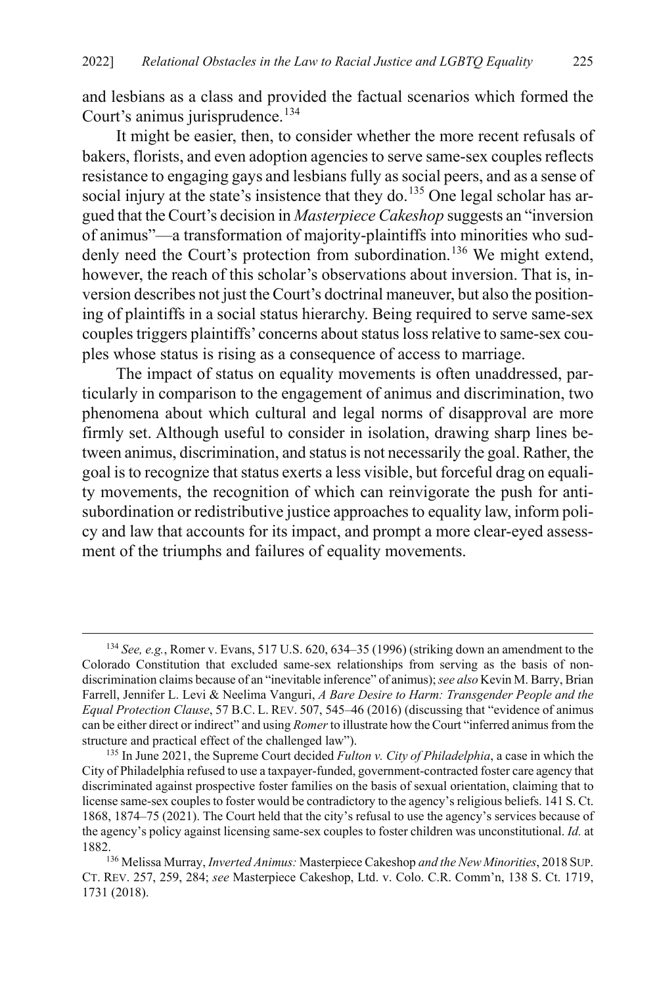and lesbians as a class and provided the factual scenarios which formed the Court's animus jurisprudence.<sup>[134](#page-27-1)</sup>

<span id="page-27-0"></span>It might be easier, then, to consider whether the more recent refusals of bakers, florists, and even adoption agenciesto serve same-sex couples reflects resistance to engaging gays and lesbians fully as social peers, and as a sense of social injury at the state's insistence that they do.<sup>[135](#page-27-2)</sup> One legal scholar has argued that the Court's decision in *Masterpiece Cakeshop* suggests an "inversion of animus"—a transformation of majority-plaintiffs into minorities who sud-denly need the Court's protection from subordination.<sup>[136](#page-27-3)</sup> We might extend, however, the reach of this scholar's observations about inversion. That is, inversion describes not just the Court's doctrinal maneuver, but also the positioning of plaintiffs in a social status hierarchy. Being required to serve same-sex couples triggers plaintiffs' concerns about status loss relative to same-sex couples whose status is rising as a consequence of access to marriage.

The impact of status on equality movements is often unaddressed, particularly in comparison to the engagement of animus and discrimination, two phenomena about which cultural and legal norms of disapproval are more firmly set. Although useful to consider in isolation, drawing sharp lines between animus, discrimination, and status is not necessarily the goal. Rather, the goal is to recognize that status exerts a less visible, but forceful drag on equality movements, the recognition of which can reinvigorate the push for antisubordination or redistributive justice approaches to equality law, inform policy and law that accounts for its impact, and prompt a more clear-eyed assessment of the triumphs and failures of equality movements.

<span id="page-27-1"></span> <sup>134</sup> *See, e.g.*, Romer v. Evans, 517 U.S. 620, 634–35 (1996) (striking down an amendment to the Colorado Constitution that excluded same-sex relationships from serving as the basis of nondiscrimination claims because of an "inevitable inference" of animus); *see also* Kevin M. Barry, Brian Farrell, Jennifer L. Levi & Neelima Vanguri, *A Bare Desire to Harm: Transgender People and the Equal Protection Clause*, 57 B.C. L. REV. 507, 545–46 (2016) (discussing that "evidence of animus can be either direct or indirect" and using *Romer* to illustrate how the Court "inferred animus from the structure and practical effect of the challenged law").

<span id="page-27-2"></span><sup>135</sup> In June 2021, the Supreme Court decided *Fulton v. City of Philadelphia*, a case in which the City of Philadelphia refused to use a taxpayer-funded, government-contracted foster care agency that discriminated against prospective foster families on the basis of sexual orientation, claiming that to license same-sex couples to foster would be contradictory to the agency's religious beliefs. 141 S. Ct. 1868, 1874–75 (2021). The Court held that the city's refusal to use the agency's services because of the agency's policy against licensing same-sex couples to foster children was unconstitutional. *Id.* at

<span id="page-27-3"></span><sup>1882. 136</sup> Melissa Murray, *Inverted Animus:* Masterpiece Cakeshop *and the New Minorities*, 2018 SUP. CT. REV. 257, 259, 284; *see* Masterpiece Cakeshop, Ltd. v. Colo. C.R. Comm'n, 138 S. Ct. 1719, 1731 (2018).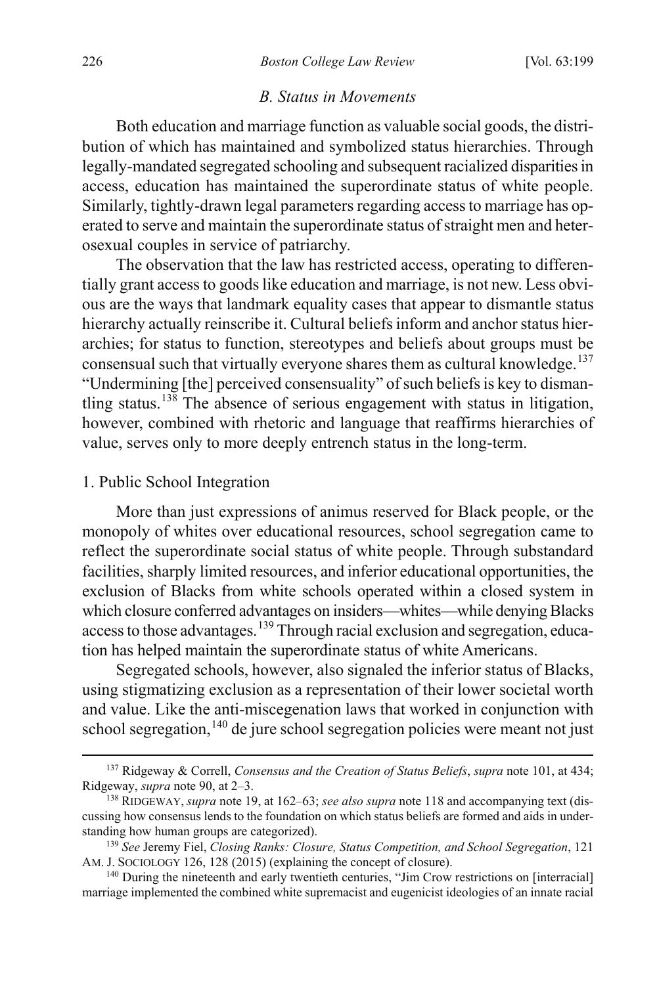#### <span id="page-28-0"></span>*B. Status in Movements*

Both education and marriage function as valuable social goods, the distribution of which has maintained and symbolized status hierarchies. Through legally-mandated segregated schooling and subsequent racialized disparities in access, education has maintained the superordinate status of white people. Similarly, tightly-drawn legal parameters regarding access to marriage has operated to serve and maintain the superordinate status of straight men and heterosexual couples in service of patriarchy.

The observation that the law has restricted access, operating to differentially grant access to goods like education and marriage, is not new. Less obvious are the ways that landmark equality cases that appear to dismantle status hierarchy actually reinscribe it. Cultural beliefs inform and anchor status hierarchies; for status to function, stereotypes and beliefs about groups must be consensual such that virtually everyone shares them as cultural knowledge.<sup>[137](#page-28-1)</sup> "Undermining [the] perceived consensuality" of such beliefs is key to disman-tling status.<sup>[138](#page-28-2)</sup> The absence of serious engagement with status in litigation, however, combined with rhetoric and language that reaffirms hierarchies of value, serves only to more deeply entrench status in the long-term.

#### <span id="page-28-6"></span>1. Public School Integration

More than just expressions of animus reserved for Black people, or the monopoly of whites over educational resources, school segregation came to reflect the superordinate social status of white people. Through substandard facilities, sharply limited resources, and inferior educational opportunities, the exclusion of Blacks from white schools operated within a closed system in which closure conferred advantages on insiders—whites—while denying Blacks access to those advantages.<sup>[139](#page-28-3)</sup> Through racial exclusion and segregation, education has helped maintain the superordinate status of white Americans.

<span id="page-28-7"></span>Segregated schools, however, also signaled the inferior status of Blacks, using stigmatizing exclusion as a representation of their lower societal worth and value. Like the anti-miscegenation laws that worked in conjunction with school segregation,<sup>[140](#page-28-4)</sup> de jure school segregation policies were meant not just

<span id="page-28-5"></span><span id="page-28-1"></span> <sup>137</sup> Ridgeway & Correll, *Consensus and the Creation of Status Beliefs*, *supra* note [101,](#page-21-6) at 434; Ridgeway, *supra* note [90,](#page-19-7) at 2–3.

<span id="page-28-2"></span><sup>138</sup> RIDGEWAY, *supra* not[e 19,](#page-8-8) at 162–63; *see also supra* not[e 118](#page-23-7) and accompanying text (discussing how consensus lends to the foundation on which status beliefs are formed and aids in under-

<span id="page-28-3"></span>standing how human groups are categorized).<br><sup>139</sup> *See* Jeremy Fiel, *Closing Ranks: Closure, Status Competition, and School Segregation*, 121<br>AM. J. SOCIOLOGY 126, 128 (2015) (explaining the concept of closure).

<span id="page-28-4"></span> $140$  During the nineteenth and early twentieth centuries, "Jim Crow restrictions on [interracial] marriage implemented the combined white supremacist and eugenicist ideologies of an innate racial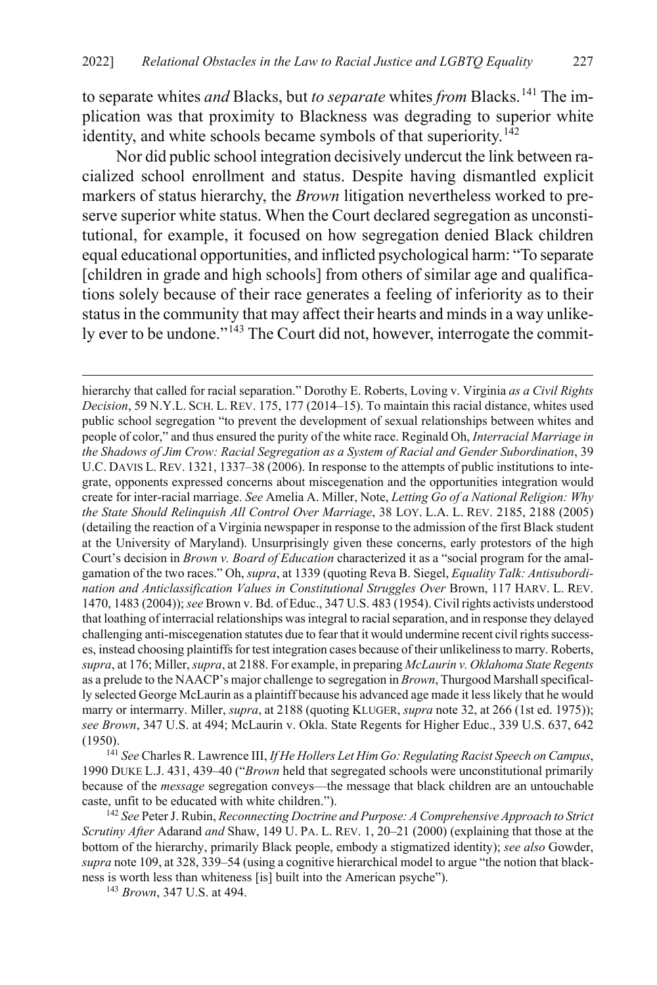to separate whites *and* Blacks, but *to separate* whites *from* Blacks.[141](#page-29-0) The implication was that proximity to Blackness was degrading to superior white identity, and white schools became symbols of that superiority.<sup>[142](#page-29-1)</sup>

Nor did public school integration decisively undercut the link between racialized school enrollment and status. Despite having dismantled explicit markers of status hierarchy, the *Brown* litigation nevertheless worked to preserve superior white status. When the Court declared segregation as unconstitutional, for example, it focused on how segregation denied Black children equal educational opportunities, and inflicted psychological harm: "To separate [children in grade and high schools] from others of similar age and qualifications solely because of their race generates a feeling of inferiority as to their status in the community that may affect their hearts and minds in a way unlike-ly ever to be undone."<sup>[143](#page-29-2)</sup> The Court did not, however, interrogate the commit-

<span id="page-29-0"></span>(1950). 141 *See* Charles R. Lawrence III, *If He Hollers Let Him Go: Regulating Racist Speech on Campus*, 1990 DUKE L.J. 431, 439–40 ("*Brown* held that segregated schools were unconstitutional primarily because of the *message* segregation conveys—the message that black children are an untouchable caste, unfit to be educated with white children.").

<span id="page-29-1"></span><sup>142</sup> *See* Peter J. Rubin, *Reconnecting Doctrine and Purpose: A Comprehensive Approach to Strict Scrutiny After* Adarand *and* Shaw, 149 U. PA. L. REV. 1, 20–21 (2000) (explaining that those at the bottom of the hierarchy, primarily Black people, embody a stigmatized identity); *see also* Gowder, *supra* not[e 109,](#page-22-0) at 328, 339–54 (using a cognitive hierarchical model to argue "the notion that blackness is worth less than whiteness [is] built into the American psyche").

<span id="page-29-2"></span><sup>143</sup> *Brown*, 347 U.S. at 494.

 $\overline{a}$ 

hierarchy that called for racial separation." Dorothy E. Roberts, Loving v. Virginia *as a Civil Rights Decision*, 59 N.Y.L. SCH. L. REV. 175, 177 (2014–15). To maintain this racial distance, whites used public school segregation "to prevent the development of sexual relationships between whites and people of color," and thus ensured the purity of the white race. Reginald Oh, *Interracial Marriage in the Shadows of Jim Crow: Racial Segregation as a System of Racial and Gender Subordination*, 39 U.C. DAVIS L. REV. 1321, 1337–38 (2006). In response to the attempts of public institutions to integrate, opponents expressed concerns about miscegenation and the opportunities integration would create for inter-racial marriage. *See* Amelia A. Miller, Note, *Letting Go of a National Religion: Why the State Should Relinquish All Control Over Marriage*, 38 LOY. L.A. L. REV. 2185, 2188 (2005) (detailing the reaction of a Virginia newspaper in response to the admission of the first Black student at the University of Maryland). Unsurprisingly given these concerns, early protestors of the high Court's decision in *Brown v. Board of Education* characterized it as a "social program for the amalgamation of the two races." Oh, *supra*, at 1339 (quoting Reva B. Siegel, *Equality Talk: Antisubordination and Anticlassification Values in Constitutional Struggles Over Brown, 117 HARV. L. REV.* 1470, 1483 (2004)); *see* Brown v. Bd. of Educ., 347 U.S. 483 (1954). Civil rights activists understood that loathing of interracial relationships was integral to racial separation, and in response they delayed challenging anti-miscegenation statutes due to fear that it would undermine recent civil rights successes, instead choosing plaintiffsfor test integration cases because of their unlikeliness to marry. Roberts, *supra*, at 176; Miller, *supra*, at 2188. For example, in preparing *McLaurin v. Oklahoma State Regents* as a prelude to the NAACP's major challenge to segregation in *Brown*, Thurgood Marshall specifically selected George McLaurin as a plaintiff because his advanced age made it less likely that he would marry or intermarry. Miller, *supra*, at 2188 (quoting KLUGER, *supra* not[e 32,](#page-10-8) at 266 (1st ed. 1975)); *see Brown*, 347 U.S. at 494; McLaurin v. Okla. State Regents for Higher Educ., 339 U.S. 637, 642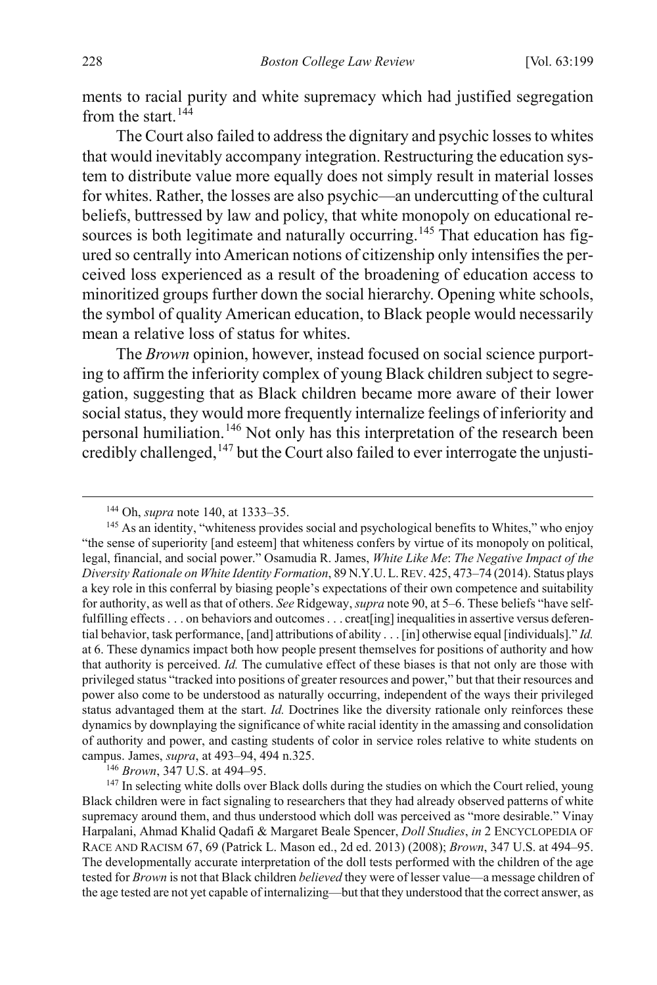ments to racial purity and white supremacy which had justified segregation from the start.  $144$ 

<span id="page-30-4"></span>The Court also failed to address the dignitary and psychic losses to whites that would inevitably accompany integration. Restructuring the education system to distribute value more equally does not simply result in material losses for whites. Rather, the losses are also psychic—an undercutting of the cultural beliefs, buttressed by law and policy, that white monopoly on educational re-sources is both legitimate and naturally occurring.<sup>[145](#page-30-1)</sup> That education has figured so centrally into American notions of citizenship only intensifies the perceived loss experienced as a result of the broadening of education access to minoritized groups further down the social hierarchy. Opening white schools, the symbol of quality American education, to Black people would necessarily mean a relative loss of status for whites.

The *Brown* opinion, however, instead focused on social science purporting to affirm the inferiority complex of young Black children subject to segregation, suggesting that as Black children became more aware of their lower social status, they would more frequently internalize feelings of inferiority and personal humiliation.[146](#page-30-2) Not only has this interpretation of the research been credibly challenged,  $147$  but the Court also failed to ever interrogate the unjusti-

 <sup>144</sup> Oh, *supra* not[e 140,](#page-28-5) at 1333–35.

<span id="page-30-1"></span><span id="page-30-0"></span><sup>&</sup>lt;sup>145</sup> As an identity, "whiteness provides social and psychological benefits to Whites," who enjoy "the sense of superiority [and esteem] that whiteness confers by virtue of its monopoly on political, legal, financial, and social power." Osamudia R. James, *White Like Me*: *The Negative Impact of the Diversity Rationale on White Identity Formation*, 89 N.Y.U.L.REV. 425, 473–74 (2014). Status plays a key role in this conferral by biasing people's expectations of their own competence and suitability for authority, as well as that of others. *See* Ridgeway, *supra* not[e 90,](#page-19-7) at 5–6. These beliefs "have selffulfilling effects . . . on behaviors and outcomes . . . creat [ing] inequalities in assertive versus deferential behavior, task performance, [and] attributions of ability . . . [in] otherwise equal [individuals]." *Id.* at 6. These dynamics impact both how people present themselves for positions of authority and how that authority is perceived. *Id.* The cumulative effect of these biases is that not only are those with privileged status "tracked into positions of greater resources and power," but that their resources and power also come to be understood as naturally occurring, independent of the ways their privileged status advantaged them at the start. *Id.* Doctrines like the diversity rationale only reinforces these dynamics by downplaying the significance of white racial identity in the amassing and consolidation of authority and power, and casting students of color in service roles relative to white students on campus. James, *supra*, at 493–94, 494 n.325.<br><sup>146</sup> *Brown*, 347 U.S. at 494–95.<br><sup>147</sup> In selecting white dolls over Black dolls during the studies on which the Court relied, young

<span id="page-30-3"></span><span id="page-30-2"></span>Black children were in fact signaling to researchers that they had already observed patterns of white supremacy around them, and thus understood which doll was perceived as "more desirable." Vinay Harpalani, Ahmad Khalid Qadafi & Margaret Beale Spencer, *Doll Studies*, *in* 2 ENCYCLOPEDIA OF RACE AND RACISM 67, 69 (Patrick L. Mason ed., 2d ed. 2013) (2008); *Brown*, 347 U.S. at 494–95. The developmentally accurate interpretation of the doll tests performed with the children of the age tested for *Brown* is not that Black children *believed* they were of lesser value—a message children of the age tested are not yet capable of internalizing—but that they understood that the correct answer, as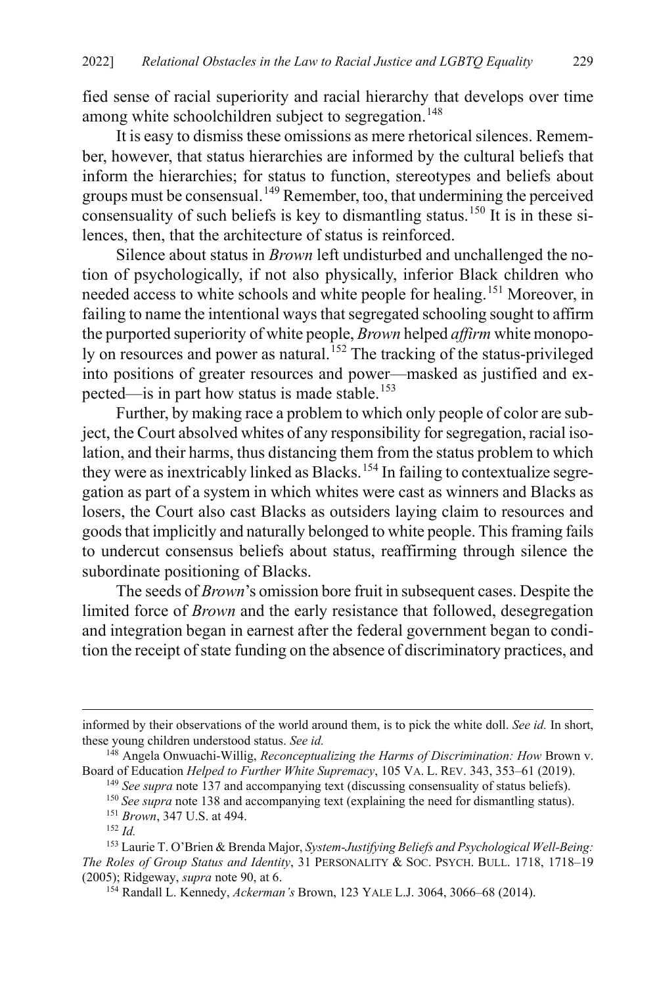fied sense of racial superiority and racial hierarchy that develops over time among white schoolchildren subject to segregation.<sup>[148](#page-31-0)</sup>

It is easy to dismiss these omissions as mere rhetorical silences. Remember, however, that status hierarchies are informed by the cultural beliefs that inform the hierarchies; for status to function, stereotypes and beliefs about groups must be consensual.[149](#page-31-1) Remember, too, that undermining the perceived consensuality of such beliefs is key to dismantling status.<sup>[150](#page-31-2)</sup> It is in these silences, then, that the architecture of status is reinforced.

Silence about status in *Brown* left undisturbed and unchallenged the notion of psychologically, if not also physically, inferior Black children who needed access to white schools and white people for healing.[151](#page-31-3) Moreover, in failing to name the intentional ways that segregated schooling sought to affirm the purported superiority of white people, *Brown* helped *affirm* white monopo-ly on resources and power as natural.<sup>[152](#page-31-4)</sup> The tracking of the status-privileged into positions of greater resources and power—masked as justified and ex-pected—is in part how status is made stable.<sup>[153](#page-31-5)</sup>

Further, by making race a problem to which only people of color are subject, the Court absolved whites of any responsibility for segregation, racial isolation, and their harms, thus distancing them from the status problem to which they were as inextricably linked as Blacks.<sup>[154](#page-31-6)</sup> In failing to contextualize segregation as part of a system in which whites were cast as winners and Blacks as losers, the Court also cast Blacks as outsiders laying claim to resources and goods that implicitly and naturally belonged to white people. This framing fails to undercut consensus beliefs about status, reaffirming through silence the subordinate positioning of Blacks.

The seeds of *Brown*'s omission bore fruit in subsequent cases. Despite the limited force of *Brown* and the early resistance that followed, desegregation and integration began in earnest after the federal government began to condition the receipt of state funding on the absence of discriminatory practices, and

 $\overline{a}$ 

informed by their observations of the world around them, is to pick the white doll. *See id.* In short, these young children understood status. *See id.*

<span id="page-31-2"></span><span id="page-31-1"></span><span id="page-31-0"></span><sup>148</sup> Angela Onwuachi-Willig, *Reconceptualizing the Harms of Discrimination: How* Brown v. Board of Education *Helped to Further White Supremacy*, 105 VA. L. REV. 343, 353–61 (2019).

<sup>&</sup>lt;sup>149</sup> See supra not[e 137](#page-28-0) and accompanying text (discussing consensuality of status beliefs).

<sup>&</sup>lt;sup>150</sup> See supra note [138](#page-28-6) and accompanying text (explaining the need for dismantling status).

<sup>151</sup> *Brown*, 347 U.S. at 494.

<sup>152</sup> *Id.*

<span id="page-31-6"></span><span id="page-31-5"></span><span id="page-31-4"></span><span id="page-31-3"></span><sup>153</sup> Laurie T. O'Brien & Brenda Major, *System-Justifying Beliefs and Psychological Well-Being: The Roles of Group Status and Identity*, 31 PERSONALITY & SOC. PSYCH. BULL. 1718, 1718–19 (2005); Ridgeway, *supra* note [90,](#page-19-7) at 6.

<sup>154</sup> Randall L. Kennedy, *Ackerman's* Brown, 123 YALE L.J. 3064, 3066–68 (2014).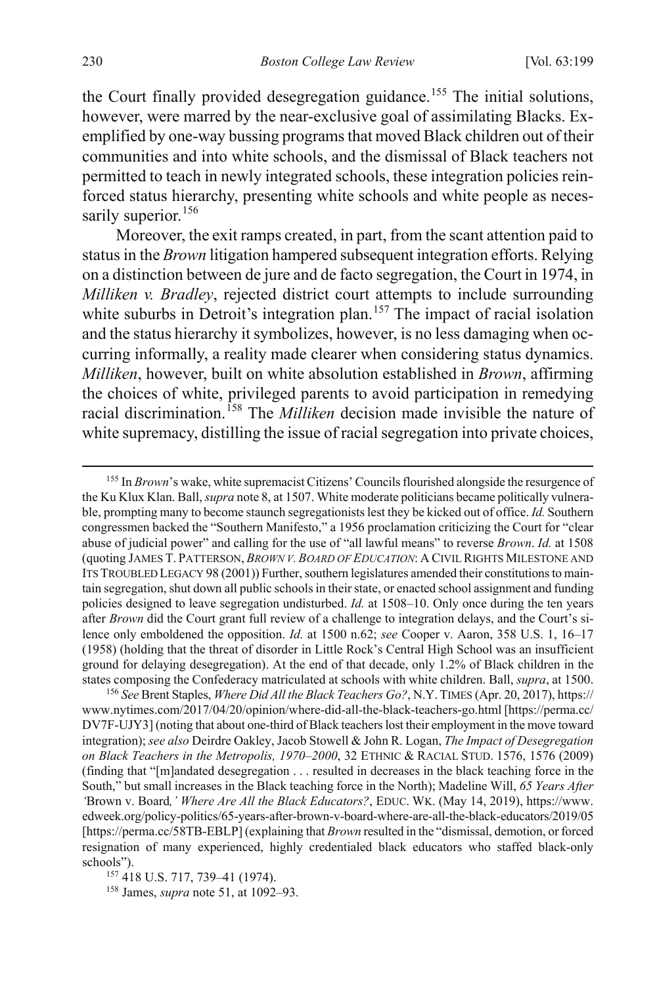the Court finally provided desegregation guidance.<sup>[155](#page-32-0)</sup> The initial solutions, however, were marred by the near-exclusive goal of assimilating Blacks. Exemplified by one-way bussing programs that moved Black children out of their communities and into white schools, and the dismissal of Black teachers not permitted to teach in newly integrated schools, these integration policies reinforced status hierarchy, presenting white schools and white people as neces-sarily superior.<sup>[156](#page-32-1)</sup>

Moreover, the exit ramps created, in part, from the scant attention paid to status in the *Brown* litigation hampered subsequent integration efforts. Relying on a distinction between de jure and de facto segregation, the Court in 1974, in *Milliken v. Bradley*, rejected district court attempts to include surrounding white suburbs in Detroit's integration plan.<sup>[157](#page-32-2)</sup> The impact of racial isolation and the status hierarchy it symbolizes, however, is no less damaging when occurring informally, a reality made clearer when considering status dynamics. *Milliken*, however, built on white absolution established in *Brown*, affirming the choices of white, privileged parents to avoid participation in remedying racial discrimination. [158](#page-32-3) The *Milliken* decision made invisible the nature of white supremacy, distilling the issue of racial segregation into private choices,

<span id="page-32-0"></span> 155 In *Brown*'s wake, white supremacist Citizens' Councils flourished alongside the resurgence of the Ku Klux Klan. Ball, *supra* not[e 8,](#page-4-3) at 1507. White moderate politicians became politically vulnerable, prompting many to become staunch segregationists lest they be kicked out of office. *Id.* Southern congressmen backed the "Southern Manifesto," a 1956 proclamation criticizing the Court for "clear abuse of judicial power" and calling for the use of "all lawful means" to reverse *Brown*. *Id.* at 1508 (quoting JAMES T. PATTERSON, *BROWN V. BOARD OF EDUCATION*: A CIVIL RIGHTS MILESTONE AND ITS TROUBLED LEGACY 98 (2001)) Further, southern legislatures amended their constitutions to maintain segregation, shut down all public schools in their state, or enacted school assignment and funding policies designed to leave segregation undisturbed. *Id.* at 1508–10. Only once during the ten years after *Brown* did the Court grant full review of a challenge to integration delays, and the Court's silence only emboldened the opposition. *Id.* at 1500 n.62; *see* Cooper v. Aaron, 358 U.S. 1, 16–17 (1958) (holding that the threat of disorder in Little Rock's Central High School was an insufficient ground for delaying desegregation). At the end of that decade, only 1.2% of Black children in the states composing the Confederacy matriculated at schools with white children. Ball, *supra*, at 1500. 156 *See* Brent Staples, *Where Did All the Black Teachers Go?*, N.Y.TIMES (Apr. 20, 2017), https://

<span id="page-32-1"></span>www.nytimes.com/2017/04/20/opinion/where-did-all-the-black-teachers-go.html [https://perma.cc/ DV7F-UJY3] (noting that about one-third of Black teachers lost their employment in the move toward integration); *see also* Deirdre Oakley, Jacob Stowell & John R. Logan, *The Impact of Desegregation on Black Teachers in the Metropolis, 1970–2000*, 32 ETHNIC & RACIAL STUD. 1576, 1576 (2009) (finding that "[m]andated desegregation . . . resulted in decreases in the black teaching force in the South," but small increases in the Black teaching force in the North); Madeline Will, *65 Years After '*Brown v. Board*,' Where Are All the Black Educators?*, EDUC. WK. (May 14, 2019), https://www. edweek.org/policy-politics/65-years-after-brown-v-board-where-are-all-the-black-educators/2019/05 [https://perma.cc/58TB-EBLP] (explaining that *Brown* resulted in the "dismissal, demotion, or forced resignation of many experienced, highly credentialed black educators who staffed black-only schools"). 157 418 U.S. 717, 739–41 (1974). 158 James, *supra* not[e 51,](#page-13-1) at 1092–93.

<span id="page-32-3"></span><span id="page-32-2"></span>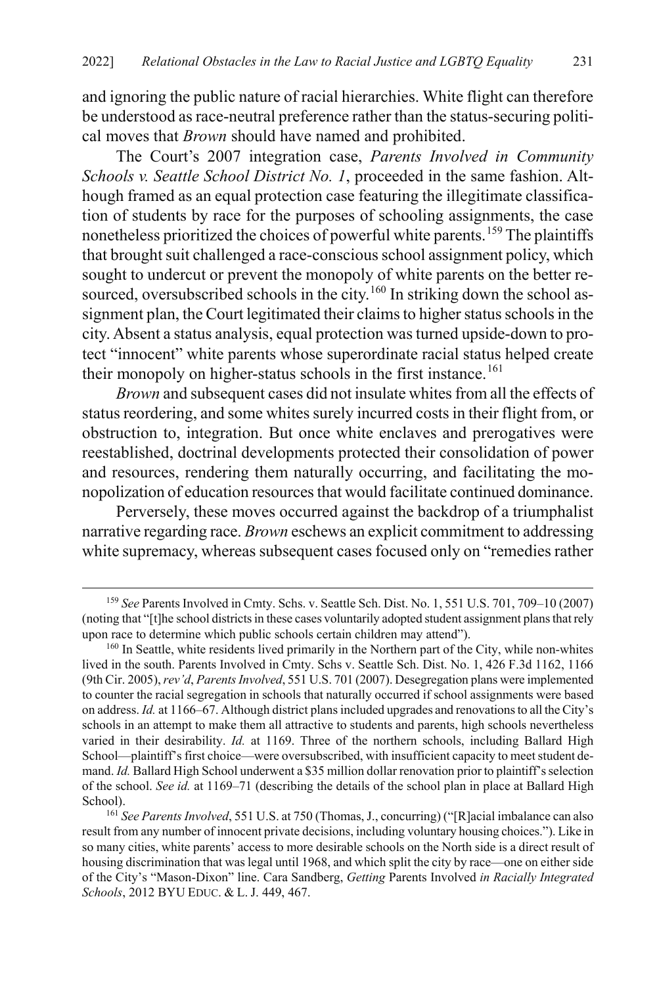and ignoring the public nature of racial hierarchies. White flight can therefore be understood as race-neutral preference rather than the status-securing political moves that *Brown* should have named and prohibited.

The Court's 2007 integration case, *Parents Involved in Community Schools v. Seattle School District No. 1*, proceeded in the same fashion. Although framed as an equal protection case featuring the illegitimate classification of students by race for the purposes of schooling assignments, the case nonetheless prioritized the choices of powerful white parents.<sup>[159](#page-33-0)</sup> The plaintiffs that brought suit challenged a race-conscious school assignment policy, which sought to undercut or prevent the monopoly of white parents on the better re-sourced, oversubscribed schools in the city.<sup>[160](#page-33-1)</sup> In striking down the school assignment plan, the Court legitimated their claims to higher status schools in the city. Absent a status analysis, equal protection was turned upside-down to protect "innocent" white parents whose superordinate racial status helped create their monopoly on higher-status schools in the first instance.<sup>[161](#page-33-2)</sup>

*Brown* and subsequent cases did not insulate whites from all the effects of status reordering, and some whites surely incurred costs in their flight from, or obstruction to, integration. But once white enclaves and prerogatives were reestablished, doctrinal developments protected their consolidation of power and resources, rendering them naturally occurring, and facilitating the monopolization of education resources that would facilitate continued dominance.

Perversely, these moves occurred against the backdrop of a triumphalist narrative regarding race. *Brown* eschews an explicit commitment to addressing white supremacy, whereas subsequent cases focused only on "remedies rather

<span id="page-33-0"></span> <sup>159</sup> *See* Parents Involved in Cmty. Schs. v. Seattle Sch. Dist. No. 1, 551 U.S. 701, 709–10 (2007) (noting that "[t]he school districts in these cases voluntarily adopted student assignment plans that rely upon race to determine which public schools certain children may attend").

<span id="page-33-1"></span><sup>&</sup>lt;sup>160</sup> In Seattle, white residents lived primarily in the Northern part of the City, while non-whites lived in the south. Parents Involved in Cmty. Schs v. Seattle Sch. Dist. No. 1, 426 F.3d 1162, 1166 (9th Cir. 2005), *rev'd*, *Parents Involved*, 551 U.S. 701 (2007). Desegregation plans were implemented to counter the racial segregation in schools that naturally occurred if school assignments were based on address. *Id.* at 1166–67. Although district plans included upgrades and renovations to all the City's schools in an attempt to make them all attractive to students and parents, high schools nevertheless varied in their desirability. *Id.* at 1169. Three of the northern schools, including Ballard High School—plaintiff's first choice—were oversubscribed, with insufficient capacity to meet student demand. *Id.* Ballard High School underwent a \$35 million dollar renovation prior to plaintiff's selection of the school. *See id.* at 1169–71 (describing the details of the school plan in place at Ballard High

<span id="page-33-2"></span>School). 161 *See Parents Involved*, 551 U.S. at 750 (Thomas, J., concurring) ("[R]acial imbalance can also result from any number of innocent private decisions, including voluntary housing choices."). Like in so many cities, white parents' access to more desirable schools on the North side is a direct result of housing discrimination that was legal until 1968, and which split the city by race—one on either side of the City's "Mason-Dixon" line. Cara Sandberg, *Getting* Parents Involved *in Racially Integrated Schools*, 2012 BYU EDUC. & L. J. 449, 467.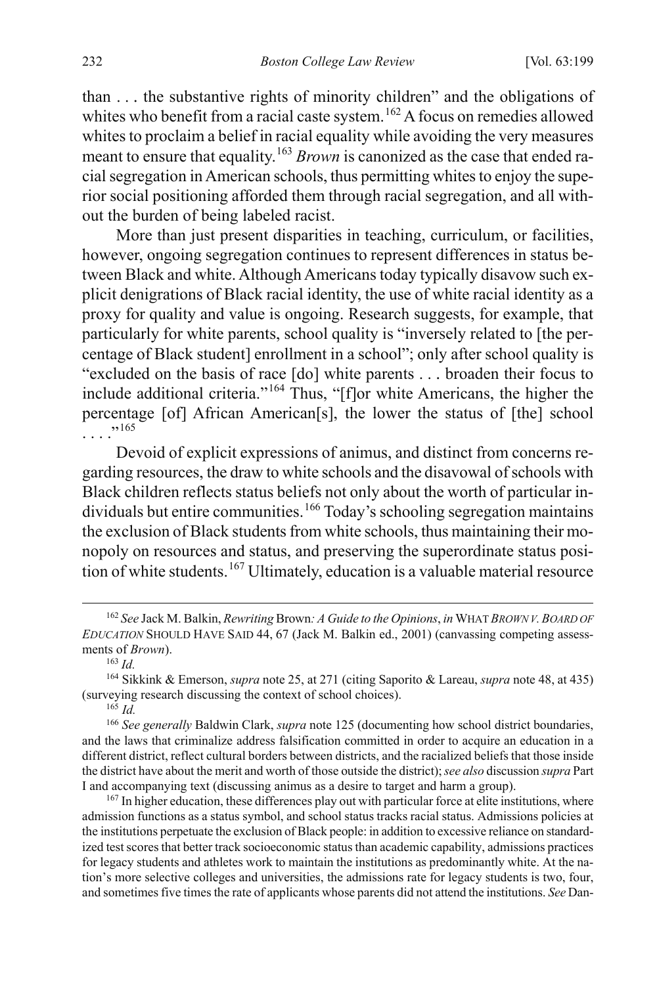than . . . the substantive rights of minority children" and the obligations of whites who benefit from a racial caste system.<sup>[162](#page-34-0)</sup> A focus on remedies allowed whites to proclaim a belief in racial equality while avoiding the very measures meant to ensure that equality.<sup>[163](#page-34-1)</sup> *Brown* is canonized as the case that ended racial segregation in American schools, thus permitting whites to enjoy the superior social positioning afforded them through racial segregation, and all without the burden of being labeled racist.

More than just present disparities in teaching, curriculum, or facilities, however, ongoing segregation continues to represent differences in status between Black and white. Although Americans today typically disavow such explicit denigrations of Black racial identity, the use of white racial identity as a proxy for quality and value is ongoing. Research suggests, for example, that particularly for white parents, school quality is "inversely related to [the percentage of Black student] enrollment in a school"; only after school quality is "excluded on the basis of race [do] white parents . . . broaden their focus to include additional criteria."[164](#page-34-2) Thus, "[f]or white Americans, the higher the percentage [of] African American[s], the lower the status of [the] school . . . ."[165](#page-34-3)

Devoid of explicit expressions of animus, and distinct from concerns regarding resources, the draw to white schools and the disavowal of schools with Black children reflects status beliefs not only about the worth of particular in-dividuals but entire communities.<sup>[166](#page-34-4)</sup> Today's schooling segregation maintains the exclusion of Black students from white schools, thus maintaining their monopoly on resources and status, and preserving the superordinate status posi-tion of white students.<sup>[167](#page-34-5)</sup> Ultimately, education is a valuable material resource

<sup>165</sup> *Id.*

<span id="page-34-5"></span><sup>167</sup> In higher education, these differences play out with particular force at elite institutions, where admission functions as a status symbol, and school status tracks racial status. Admissions policies at the institutions perpetuate the exclusion of Black people: in addition to excessive reliance on standardized test scores that better track socioeconomic status than academic capability, admissions practices for legacy students and athletes work to maintain the institutions as predominantly white. At the nation's more selective colleges and universities, the admissions rate for legacy students is two, four, and sometimesfive times the rate of applicants whose parents did not attend the institutions. *See* Dan-

<span id="page-34-0"></span> <sup>162</sup> *See* Jack M. Balkin, *Rewriting* Brown*: A Guide to the Opinions*, *in* WHAT *BROWN V.BOARD OF EDUCATION* SHOULD HAVE SAID 44, 67 (Jack M. Balkin ed., 2001) (canvassing competing assessments of *Brown*).

<sup>163</sup> *Id.*

<span id="page-34-2"></span><span id="page-34-1"></span><sup>164</sup> Sikkink & Emerson, *supra* not[e 25,](#page-9-7) at 271 (citing Saporito & Lareau, *supra* note 48, at 435) (surveying research discussing the context of school choices).

<span id="page-34-4"></span><span id="page-34-3"></span><sup>166</sup> *See generally* Baldwin Clark, *supra* not[e 125](#page-25-0) (documenting how school district boundaries, and the laws that criminalize address falsification committed in order to acquire an education in a different district, reflect cultural borders between districts, and the racialized beliefs that those inside the district have about the merit and worth of those outside the district); *see also* discussion *supra* Part I and accompanying text (discussing animus as a desire to target and harm a group).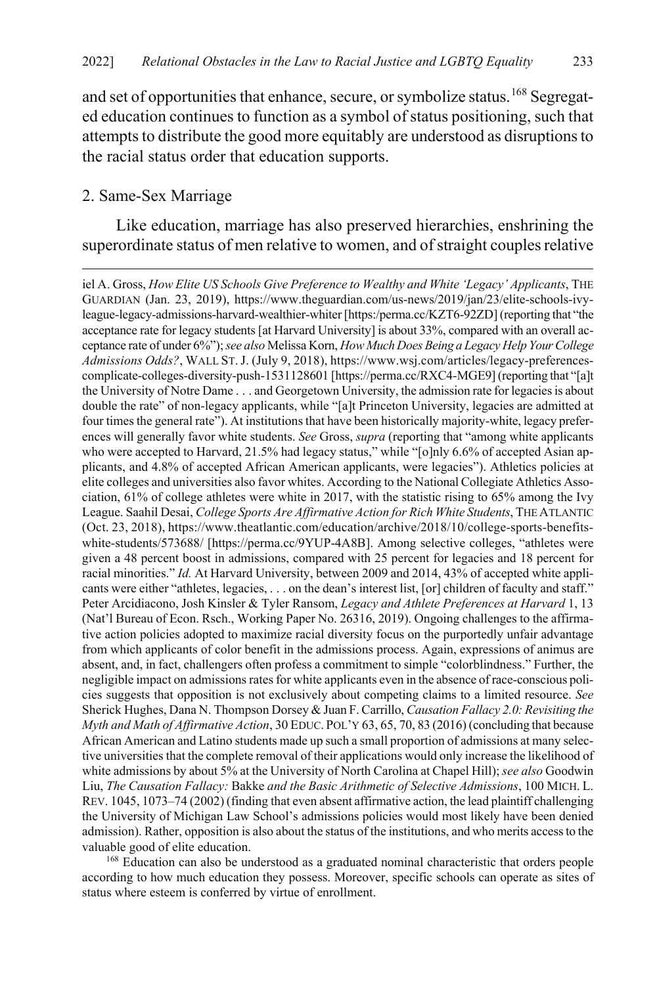and set of opportunities that enhance, secure, or symbolize status.<sup>[168](#page-35-0)</sup> Segregated education continues to function as a symbol of status positioning, such that attempts to distribute the good more equitably are understood as disruptions to the racial status order that education supports.

#### 2. Same-Sex Marriage

 $\overline{a}$ 

Like education, marriage has also preserved hierarchies, enshrining the superordinate status of men relative to women, and of straight couples relative

<span id="page-35-0"></span><sup>168</sup> Education can also be understood as a graduated nominal characteristic that orders people according to how much education they possess. Moreover, specific schools can operate as sites of status where esteem is conferred by virtue of enrollment.

iel A. Gross, *How Elite US Schools Give Preference to Wealthy and White 'Legacy' Applicants*, THE GUARDIAN (Jan. 23, 2019), https://www.theguardian.com/us-news/2019/jan/23/elite-schools-ivyleague-legacy-admissions-harvard-wealthier-whiter [https:/perma.cc/KZT6-92ZD] (reporting that "the acceptance rate for legacy students [at Harvard University] is about 33%, compared with an overall acceptance rate of under 6%"); *see also* Melissa Korn, *How Much Does Being a Legacy Help Your College Admissions Odds?*, WALL ST.J. (July 9, 2018), https://www.wsj.com/articles/legacy-preferencescomplicate-colleges-diversity-push-1531128601 [https://perma.cc/RXC4-MGE9] (reporting that "[a]t the University of Notre Dame . . . and Georgetown University, the admission rate for legaciesis about double the rate" of non-legacy applicants, while "[a]t Princeton University, legacies are admitted at four times the general rate"). At institutions that have been historically majority-white, legacy preferences will generally favor white students. *See* Gross, *supra* (reporting that "among white applicants who were accepted to Harvard, 21.5% had legacy status," while "[o]nly 6.6% of accepted Asian applicants, and 4.8% of accepted African American applicants, were legacies"). Athletics policies at elite colleges and universities also favor whites. According to the National Collegiate Athletics Association, 61% of college athletes were white in 2017, with the statistic rising to 65% among the Ivy League. Saahil Desai, *College Sports Are Affirmative Action for Rich White Students*, THE ATLANTIC (Oct. 23, 2018), https://www.theatlantic.com/education/archive/2018/10/college-sports-benefitswhite-students/573688/ [https://perma.cc/9YUP-4A8B]. Among selective colleges, "athletes were given a 48 percent boost in admissions, compared with 25 percent for legacies and 18 percent for racial minorities." *Id.* At Harvard University, between 2009 and 2014, 43% of accepted white applicants were either "athletes, legacies, . . . on the dean's interest list, [or] children of faculty and staff." Peter Arcidiacono, Josh Kinsler & Tyler Ransom, *Legacy and Athlete Preferences at Harvard* 1, 13 (Nat'l Bureau of Econ. Rsch., Working Paper No. 26316, 2019). Ongoing challenges to the affirmative action policies adopted to maximize racial diversity focus on the purportedly unfair advantage from which applicants of color benefit in the admissions process. Again, expressions of animus are absent, and, in fact, challengers often profess a commitment to simple "colorblindness." Further, the negligible impact on admissions rates for white applicants even in the absence of race-conscious policies suggests that opposition is not exclusively about competing claims to a limited resource. *See*  Sherick Hughes, Dana N. Thompson Dorsey & Juan F. Carrillo, *Causation Fallacy 2.0: Revisiting the Myth and Math of Affirmative Action*, 30 EDUC. POL'Y 63, 65, 70, 83 (2016) (concluding that because African American and Latino students made up such a small proportion of admissions at many selective universities that the complete removal of their applications would only increase the likelihood of white admissions by about 5% at the University of North Carolina at Chapel Hill); *see also* Goodwin Liu, *The Causation Fallacy:* Bakke *and the Basic Arithmetic of Selective Admissions*, 100 MICH. L. REV. 1045, 1073–74 (2002) (finding that even absent affirmative action, the lead plaintiff challenging the University of Michigan Law School's admissions policies would most likely have been denied admission). Rather, opposition is also about the status of the institutions, and who merits access to the valuable good of elite education.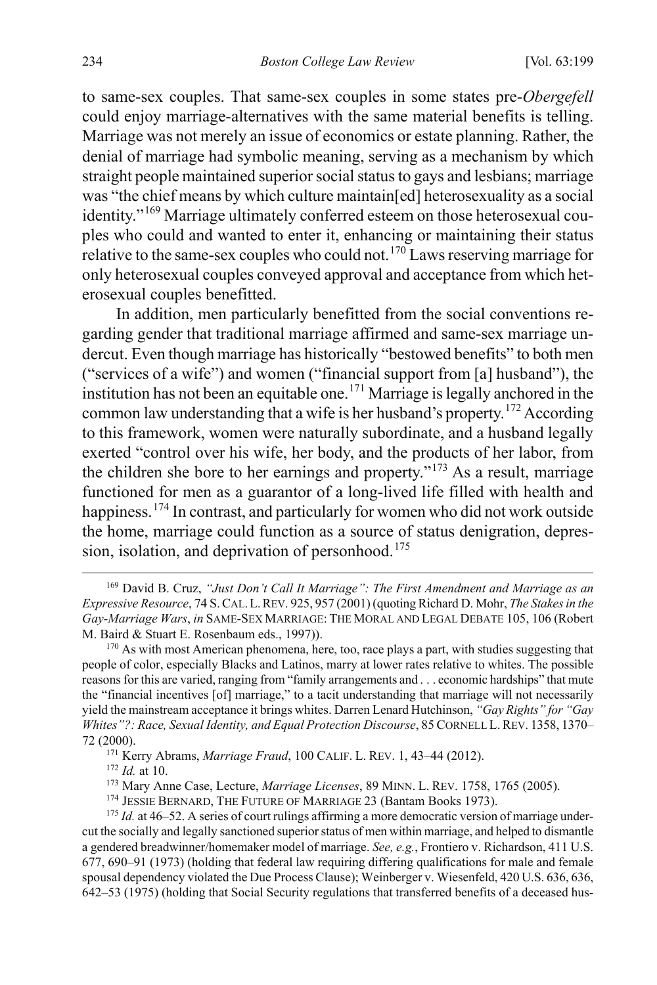to same-sex couples. That same-sex couples in some states pre-*Obergefell* could enjoy marriage-alternatives with the same material benefits is telling. Marriage was not merely an issue of economics or estate planning. Rather, the denial of marriage had symbolic meaning, serving as a mechanism by which straight people maintained superior social status to gays and lesbians; marriage was "the chief means by which culture maintain[ed] heterosexuality as a social identity."[169](#page-36-0) Marriage ultimately conferred esteem on those heterosexual couples who could and wanted to enter it, enhancing or maintaining their status relative to the same-sex couples who could not.<sup>[170](#page-36-1)</sup> Laws reserving marriage for only heterosexual couples conveyed approval and acceptance from which heterosexual couples benefitted.

<span id="page-36-9"></span><span id="page-36-8"></span>In addition, men particularly benefitted from the social conventions regarding gender that traditional marriage affirmed and same-sex marriage undercut. Even though marriage has historically "bestowed benefits" to both men ("services of a wife") and women ("financial support from [a] husband"), the institution has not been an equitable one.<sup>[171](#page-36-2)</sup> Marriage is legally anchored in the common law understanding that a wife is her husband's property.<sup>[172](#page-36-3)</sup> According to this framework, women were naturally subordinate, and a husband legally exerted "control over his wife, her body, and the products of her labor, from the children she bore to her earnings and property."[173](#page-36-4) As a result, marriage functioned for men as a guarantor of a long-lived life filled with health and happiness.<sup>[174](#page-36-5)</sup> In contrast, and particularly for women who did not work outside the home, marriage could function as a source of status denigration, depres-sion, isolation, and deprivation of personhood.<sup>[175](#page-36-6)</sup>

- <sup>173</sup> Mary Anne Case, Lecture, *Marriage Licenses*, 89 MINN. L. REV. 1758, 1765 (2005).<br><sup>174</sup> JESSIE BERNARD, THE FUTURE OF MARRIAGE 23 (Bantam Books 1973).<br><sup>175</sup> *Id.* at 46–52. A series of court rulings affirming a more
- 

<span id="page-36-7"></span><span id="page-36-0"></span> <sup>169</sup> David B. Cruz, *"Just Don't Call It Marriage": The First Amendment and Marriage as an Expressive Resource*, 74 S.CAL.L.REV. 925, 957 (2001) (quoting Richard D. Mohr, *The Stakes in the Gay-Marriage Wars*, *in* SAME-SEX MARRIAGE: THE MORAL AND LEGAL DEBATE 105, 106 (Robert M. Baird & Stuart E. Rosenbaum eds., 1997)).<br><sup>170</sup> As with most American phenomena, here, too, race plays a part, with studies suggesting that

<span id="page-36-1"></span>people of color, especially Blacks and Latinos, marry at lower rates relative to whites. The possible reasons for this are varied, ranging from "family arrangements and . . . economic hardships" that mute the "financial incentives [of] marriage," to a tacit understanding that marriage will not necessarily yield the mainstream acceptance it brings whites. Darren Lenard Hutchinson, *"Gay Rights" for "Gay Whites"?: Race, Sexual Identity, and Equal Protection Discourse*, 85 CORNELL L.REV. 1358, 1370– 72 (2000).

<sup>171</sup> Kerry Abrams, *Marriage Fraud*, 100 CALIF. L. REV. 1, 43–44 (2012).

<sup>172</sup> *Id.* at 10.

<span id="page-36-6"></span><span id="page-36-5"></span><span id="page-36-4"></span><span id="page-36-3"></span><span id="page-36-2"></span>cut the socially and legally sanctioned superior status of men within marriage, and helped to dismantle a gendered breadwinner/homemaker model of marriage. *See, e.g.*, Frontiero v. Richardson, 411 U.S. 677, 690–91 (1973) (holding that federal law requiring differing qualifications for male and female spousal dependency violated the Due Process Clause); Weinberger v. Wiesenfeld, 420 U.S. 636, 636, 642–53 (1975) (holding that Social Security regulations that transferred benefits of a deceased hus-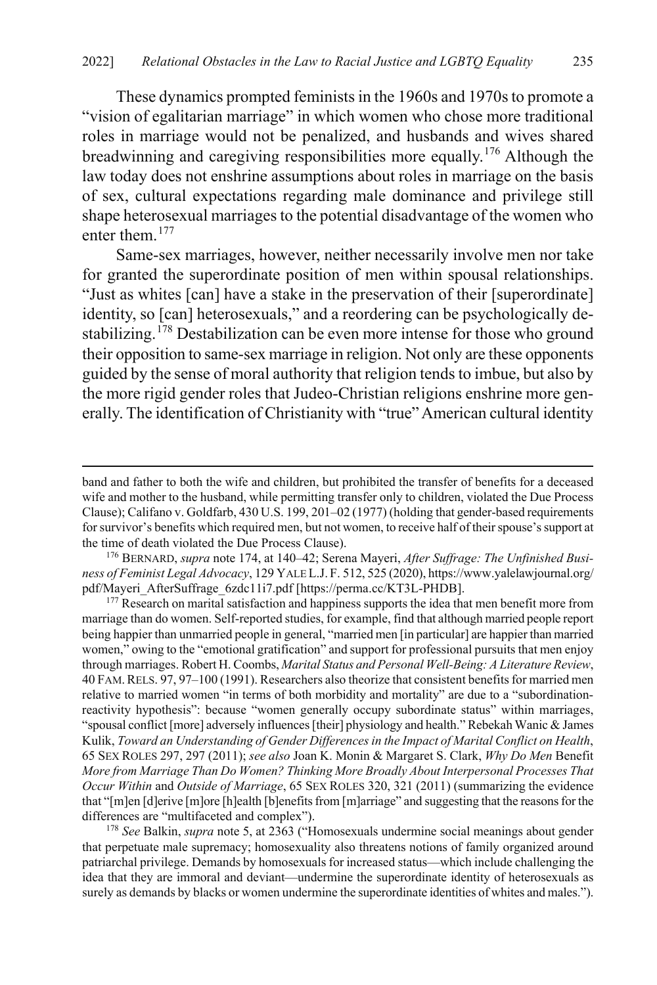These dynamics prompted feminists in the 1960s and 1970s to promote a "vision of egalitarian marriage" in which women who chose more traditional roles in marriage would not be penalized, and husbands and wives shared breadwinning and caregiving responsibilities more equally.[176](#page-37-0) Although the law today does not enshrine assumptions about roles in marriage on the basis of sex, cultural expectations regarding male dominance and privilege still shape heterosexual marriages to the potential disadvantage of the women who enter them.[177](#page-37-1)

Same-sex marriages, however, neither necessarily involve men nor take for granted the superordinate position of men within spousal relationships. "Just as whites [can] have a stake in the preservation of their [superordinate] identity, so [can] heterosexuals," and a reordering can be psychologically de-stabilizing.<sup>[178](#page-37-2)</sup> Destabilization can be even more intense for those who ground their opposition to same-sex marriage in religion. Not only are these opponents guided by the sense of moral authority that religion tends to imbue, but also by the more rigid gender roles that Judeo-Christian religions enshrine more generally. The identification of Christianity with "true" American cultural identity

 $\overline{a}$ 

band and father to both the wife and children, but prohibited the transfer of benefits for a deceased wife and mother to the husband, while permitting transfer only to children, violated the Due Process Clause); Califano v. Goldfarb, 430 U.S. 199, 201–02 (1977) (holding that gender-based requirements for survivor's benefits which required men, but not women, to receive half of their spouse's support at the time of death violated the Due Process Clause).

<span id="page-37-0"></span><sup>176</sup> BERNARD, *supra* note [174,](#page-36-7) at 140–42; Serena Mayeri, *After Suffrage: The Unfinished Business of Feminist Legal Advocacy*, 129 YALE L.J. F. 512, 525 (2020), https://www.yalelawjournal.org/ pdf/Mayeri\_AfterSuffrage\_6zdc11i7.pdf [https://perma.cc/KT3L-PHDB].

<span id="page-37-1"></span><sup>&</sup>lt;sup>177</sup> Research on marital satisfaction and happiness supports the idea that men benefit more from marriage than do women. Self-reported studies, for example, find that although married people report being happier than unmarried people in general, "married men [in particular] are happier than married women," owing to the "emotional gratification" and support for professional pursuits that men enjoy through marriages. Robert H. Coombs, *Marital Status and Personal Well-Being: A Literature Review*, 40 FAM.RELS. 97, 97–100 (1991). Researchers also theorize that consistent benefits for married men relative to married women "in terms of both morbidity and mortality" are due to a "subordinationreactivity hypothesis": because "women generally occupy subordinate status" within marriages, "spousal conflict [more] adversely influences [their] physiology and health." Rebekah Wanic & James Kulik, *Toward an Understanding of Gender Differences in the Impact of Marital Conflict on Health*, 65 SEX ROLES 297, 297 (2011); *see also* Joan K. Monin & Margaret S. Clark, *Why Do Men* Benefit *More from Marriage Than Do Women? Thinking More Broadly About Interpersonal Processes That Occur Within* and *Outside of Marriage*, 65 SEX ROLES 320, 321 (2011) (summarizing the evidence that "[m]en [d]erive [m]ore [h]ealth [b]enefits from [m]arriage" and suggesting that the reasons for the differences are "multifaceted and complex").

<span id="page-37-2"></span><sup>178</sup> *See* Balkin, *supra* not[e 5,](#page-3-5) at 2363 ("Homosexuals undermine social meanings about gender that perpetuate male supremacy; homosexuality also threatens notions of family organized around patriarchal privilege. Demands by homosexuals for increased status—which include challenging the idea that they are immoral and deviant—undermine the superordinate identity of heterosexuals as surely as demands by blacks or women undermine the superordinate identities of whites and males.").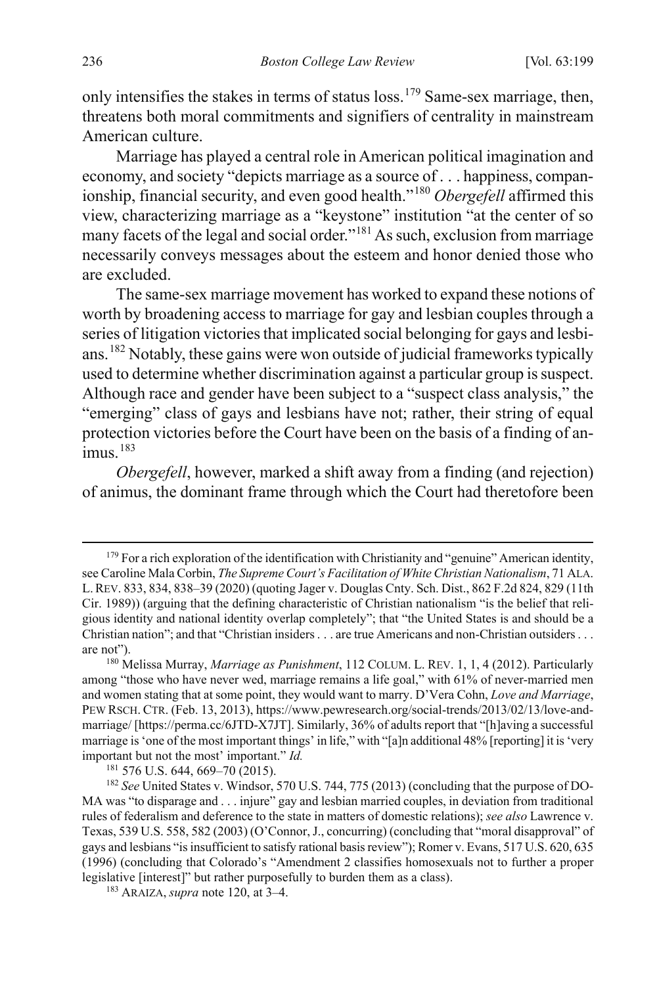only intensifies the stakes in terms of status loss.<sup>179</sup> Same-sex marriage, then, threatens both moral commitments and signifiers of centrality in mainstream American culture.

Marriage has played a central role in American political imagination and economy, and society "depicts marriage as a source of . . . happiness, compan-ionship, financial security, and even good health."<sup>[180](#page-38-1)</sup> *Obergefell* affirmed this view, characterizing marriage as a "keystone" institution "at the center of so many facets of the legal and social order."[181](#page-38-2) As such, exclusion from marriage necessarily conveys messages about the esteem and honor denied those who are excluded.

<span id="page-38-5"></span>The same-sex marriage movement has worked to expand these notions of worth by broadening access to marriage for gay and lesbian couples through a series of litigation victories that implicated social belonging for gays and lesbians.[182](#page-38-3) Notably, these gains were won outside of judicial frameworks typically used to determine whether discrimination against a particular group is suspect. Although race and gender have been subject to a "suspect class analysis," the "emerging" class of gays and lesbians have not; rather, their string of equal protection victories before the Court have been on the basis of a finding of animus. [183](#page-38-4)

*Obergefell*, however, marked a shift away from a finding (and rejection) of animus, the dominant frame through which the Court had theretofore been

<span id="page-38-0"></span><sup>&</sup>lt;sup>179</sup> For a rich exploration of the identification with Christianity and "genuine" American identity, see Caroline Mala Corbin, *The Supreme Court's Facilitation of White Christian Nationalism*, 71 ALA. L.REV. 833, 834, 838–39 (2020) (quoting Jager v. Douglas Cnty. Sch. Dist., 862 F.2d 824, 829 (11th Cir. 1989)) (arguing that the defining characteristic of Christian nationalism "is the belief that religious identity and national identity overlap completely"; that "the United States is and should be a Christian nation"; and that "Christian insiders . . . are true Americans and non-Christian outsiders . . . are not").

<span id="page-38-1"></span><sup>180</sup> Melissa Murray, *Marriage as Punishment*, 112 COLUM. L. REV. 1, 1, 4 (2012). Particularly among "those who have never wed, marriage remains a life goal," with 61% of never-married men and women stating that at some point, they would want to marry. D'Vera Cohn, *Love and Marriage*, PEW RSCH. CTR. (Feb. 13, 2013), https://www.pewresearch.org/social-trends/2013/02/13/love-andmarriage/ [https://perma.cc/6JTD-X7JT]. Similarly, 36% of adults report that "[h]aving a successful marriage is 'one of the most important things' in life," with "[a]n additional 48% [reporting] it is 'very important but not the most' important." *Id.*

<sup>181</sup> 576 U.S. 644, 669–70 (2015).

<span id="page-38-3"></span><span id="page-38-2"></span><sup>182</sup> *See* United States v. Windsor, 570 U.S. 744, 775 (2013) (concluding that the purpose of DO-MA was "to disparage and . . . injure" gay and lesbian married couples, in deviation from traditional rules of federalism and deference to the state in matters of domestic relations); *see also* Lawrence v. Texas, 539 U.S. 558, 582 (2003) (O'Connor, J., concurring) (concluding that "moral disapproval" of gays and lesbians "is insufficient to satisfy rational basis review"); Romer v. Evans, 517 U.S. 620, 635 (1996) (concluding that Colorado's "Amendment 2 classifies homosexuals not to further a proper legislative [interest]" but rather purposefully to burden them as a class).

<span id="page-38-4"></span><sup>183</sup> ARAIZA, *supra* not[e 120,](#page-24-6) at 3–4.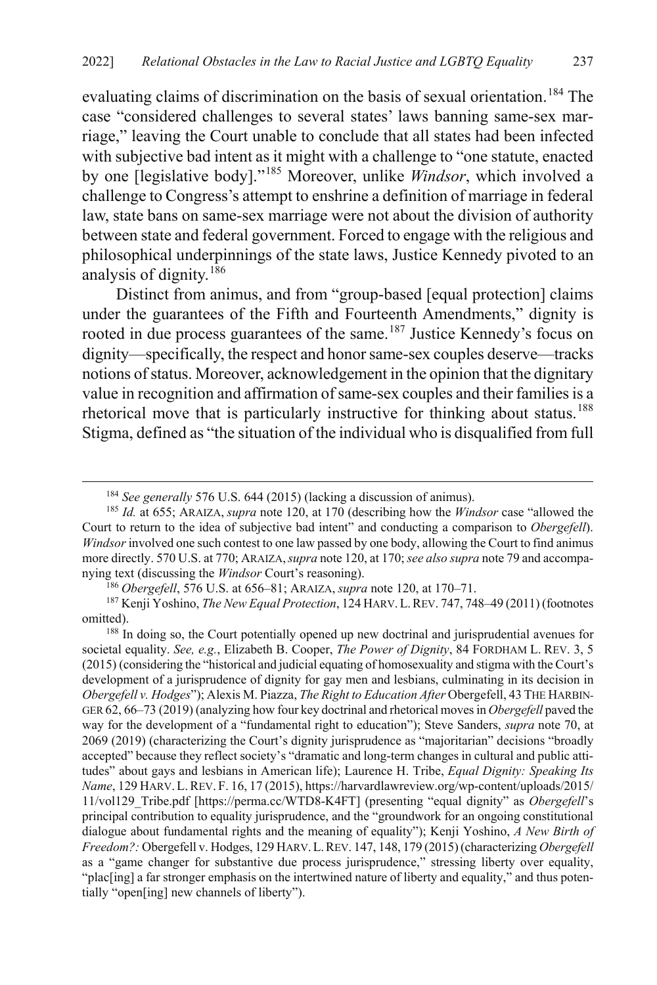evaluating claims of discrimination on the basis of sexual orientation.<sup>[184](#page-39-0)</sup> The case "considered challenges to several states' laws banning same-sex marriage," leaving the Court unable to conclude that all states had been infected with subjective bad intent as it might with a challenge to "one statute, enacted by one [legislative body]."[185](#page-39-1) Moreover, unlike *Windsor*, which involved a challenge to Congress's attempt to enshrine a definition of marriage in federal law, state bans on same-sex marriage were not about the division of authority between state and federal government. Forced to engage with the religious and philosophical underpinnings of the state laws, Justice Kennedy pivoted to an analysis of dignity.[186](#page-39-2)

Distinct from animus, and from "group-based [equal protection] claims under the guarantees of the Fifth and Fourteenth Amendments," dignity is rooted in due process guarantees of the same.<sup>[187](#page-39-3)</sup> Justice Kennedy's focus on dignity—specifically, the respect and honor same-sex couples deserve—tracks notions of status. Moreover, acknowledgement in the opinion that the dignitary value in recognition and affirmation of same-sex couples and their families is a rhetorical move that is particularly instructive for thinking about status.<sup>[188](#page-39-4)</sup> Stigma, defined as "the situation of the individual who is disqualified from full

<span id="page-39-5"></span> <sup>184</sup> *See generally* 576 U.S. 644 (2015) (lacking a discussion of animus).

<span id="page-39-1"></span><span id="page-39-0"></span><sup>185</sup> *Id.* at 655; ARAIZA, *supra* note [120,](#page-24-6) at 170 (describing how the *Windsor* case "allowed the Court to return to the idea of subjective bad intent" and conducting a comparison to *Obergefell*). *Windsor* involved one such contest to one law passed by one body, allowing the Court to find animus more directly. 570 U.S. at 770; ARAIZA,*supra* not[e 120,](#page-24-6) at 170; *see also supra* not[e 79](#page-17-8) and accompanying text (discussing the *Windsor* Court's reasoning).

<span id="page-39-3"></span><span id="page-39-2"></span><sup>&</sup>lt;sup>186</sup> *Obergefell*, 576 U.S. at 656–81; ARAIZA, *supra* not[e 120,](#page-24-6) at 170–71.<br><sup>187</sup> Kenji Yoshino, *The New Equal Protection*, 124 HARV. L. REV. 747, 748–49 (2011) (footnotes omitted).

<span id="page-39-4"></span><sup>&</sup>lt;sup>188</sup> In doing so, the Court potentially opened up new doctrinal and jurisprudential avenues for societal equality. *See, e.g.*, Elizabeth B. Cooper, *The Power of Dignity*, 84 FORDHAM L. REV. 3, 5 (2015) (considering the "historical and judicial equating of homosexuality and stigma with the Court's development of a jurisprudence of dignity for gay men and lesbians, culminating in its decision in *Obergefell v. Hodges*"); Alexis M. Piazza, *The Right to Education After* Obergefell, 43 THE HARBIN-GER 62, 66–73 (2019) (analyzing how four key doctrinal and rhetorical moves in *Obergefell* paved the way for the development of a "fundamental right to education"); Steve Sanders, *supra* note [70,](#page-16-0) at 2069 (2019) (characterizing the Court's dignity jurisprudence as "majoritarian" decisions "broadly accepted" because they reflect society's "dramatic and long-term changes in cultural and public attitudes" about gays and lesbians in American life); Laurence H. Tribe, *Equal Dignity: Speaking Its Name*, 129 HARV.L.REV. F. 16, 17 (2015), https://harvardlawreview.org/wp-content/uploads/2015/ 11/vol129\_Tribe.pdf [https://perma.cc/WTD8-K4FT] (presenting "equal dignity" as *Obergefell*'s principal contribution to equality jurisprudence, and the "groundwork for an ongoing constitutional dialogue about fundamental rights and the meaning of equality"); Kenji Yoshino, *A New Birth of Freedom?:* Obergefell v. Hodges, 129 HARV.L.REV. 147, 148, 179 (2015) (characterizing *Obergefell* as a "game changer for substantive due process jurisprudence," stressing liberty over equality, "plac[ing] a far stronger emphasis on the intertwined nature of liberty and equality," and thus potentially "open[ing] new channels of liberty").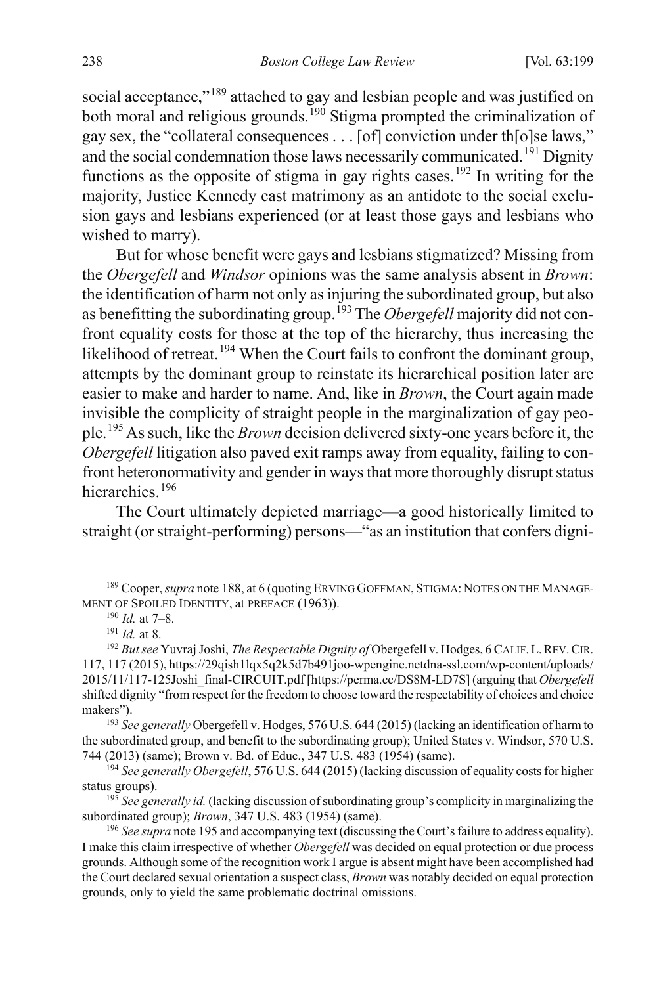<span id="page-40-9"></span>social acceptance,"<sup>[189](#page-40-1)</sup> attached to gay and lesbian people and was justified on both moral and religious grounds.<sup>[190](#page-40-2)</sup> Stigma prompted the criminalization of gay sex, the "collateral consequences . . . [of] conviction under th[o]se laws," and the social condemnation those laws necessarily communicated.<sup>[191](#page-40-3)</sup> Dignity functions as the opposite of stigma in gay rights cases.<sup>192</sup> In writing for the majority, Justice Kennedy cast matrimony as an antidote to the social exclusion gays and lesbians experienced (or at least those gays and lesbians who wished to marry).

But for whose benefit were gays and lesbians stigmatized? Missing from the *Obergefell* and *Windsor* opinions was the same analysis absent in *Brown*: the identification of harm not only as injuring the subordinated group, but also as benefitting the subordinating group.[193](#page-40-5) The *Obergefell* majority did not confront equality costs for those at the top of the hierarchy, thus increasing the likelihood of retreat.<sup>[194](#page-40-6)</sup> When the Court fails to confront the dominant group, attempts by the dominant group to reinstate its hierarchical position later are easier to make and harder to name. And, like in *Brown*, the Court again made invisible the complicity of straight people in the marginalization of gay people.[195](#page-40-7) As such, like the *Brown* decision delivered sixty-one years before it, the *Obergefell* litigation also paved exit ramps away from equality, failing to confront heteronormativity and gender in ways that more thoroughly disrupt status hierarchies.<sup>[196](#page-40-8)</sup>

<span id="page-40-0"></span>The Court ultimately depicted marriage—a good historically limited to straight (or straight-performing) persons—"as an institution that confers digni-

<span id="page-40-5"></span>makers"). 193 *See generally* Obergefell v. Hodges, 576 U.S. 644 (2015) (lacking an identification of harm to the subordinated group, and benefit to the subordinating group); United States v. Windsor, 570 U.S. 744 (2013) (same); Brown v. Bd. of Educ., 347 U.S. 483 (1954) (same).

<span id="page-40-7"></span><sup>195</sup> *See generally id.* (lacking discussion of subordinating group's complicity in marginalizing the subordinated group); *Brown*, 347 U.S. 483 (1954) (same).

<span id="page-40-2"></span><span id="page-40-1"></span> <sup>189</sup> Cooper, *supra* not[e 188,](#page-39-5) at 6 (quoting ERVING GOFFMAN, STIGMA: NOTES ON THE MANAGE-MENT OF SPOILED IDENTITY, at PREFACE (1963)). 190 *Id.* at 7–8. 191 *Id.* at 8.

<span id="page-40-4"></span><span id="page-40-3"></span><sup>&</sup>lt;sup>192</sup> But see Yuvraj Joshi, *The Respectable Dignity of* Obergefell v. Hodges, 6 CALIF. L. REV. CIR. 117, 117 (2015), https://29qish1lqx5q2k5d7b491joo-wpengine.netdna-ssl.com/wp-content/uploads/ 2015/11/117-125Joshi\_final-CIRCUIT.pdf [https://perma.cc/DS8M-LD7S] (arguing that *Obergefell* shifted dignity "from respect for the freedom to choose toward the respectability of choices and choice

<span id="page-40-6"></span><sup>194</sup> *See generally Obergefell*, 576 U.S. 644 (2015) (lacking discussion of equality costs for higher status groups).

<span id="page-40-8"></span><sup>&</sup>lt;sup>196</sup> See supra not[e 195](#page-40-0) and accompanying text (discussing the Court's failure to address equality). I make this claim irrespective of whether *Obergefell* was decided on equal protection or due process grounds. Although some of the recognition work I argue is absent might have been accomplished had the Court declared sexual orientation a suspect class, *Brown* was notably decided on equal protection grounds, only to yield the same problematic doctrinal omissions.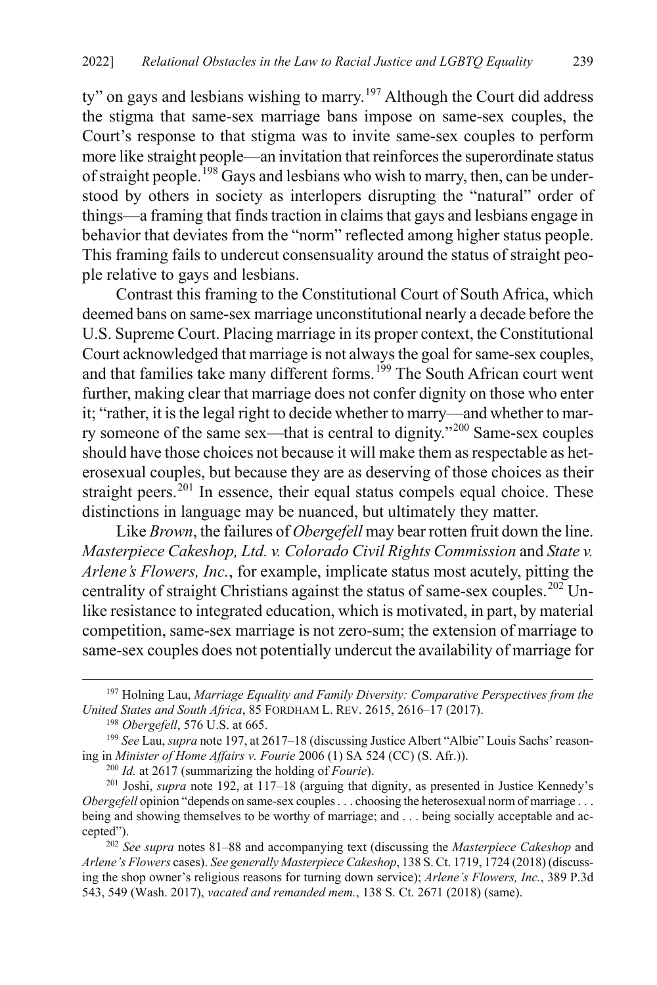<span id="page-41-0"></span>ty" on gays and lesbians wishing to marry.<sup>[197](#page-41-1)</sup> Although the Court did address the stigma that same-sex marriage bans impose on same-sex couples, the Court's response to that stigma was to invite same-sex couples to perform more like straight people—an invitation that reinforces the superordinate status of straight people.<sup>[198](#page-41-2)</sup> Gays and lesbians who wish to marry, then, can be understood by others in society as interlopers disrupting the "natural" order of things—a framing that finds traction in claims that gays and lesbians engage in behavior that deviates from the "norm" reflected among higher status people. This framing fails to undercut consensuality around the status of straight people relative to gays and lesbians.

Contrast this framing to the Constitutional Court of South Africa, which deemed bans on same-sex marriage unconstitutional nearly a decade before the U.S. Supreme Court. Placing marriage in its proper context, the Constitutional Court acknowledged that marriage is not always the goal for same-sex couples, and that families take many different forms.<sup>[199](#page-41-3)</sup> The South African court went further, making clear that marriage does not confer dignity on those who enter it; "rather, it is the legal right to decide whether to marry—and whether to mar-ry someone of the same sex—that is central to dignity."<sup>[200](#page-41-4)</sup> Same-sex couples should have those choices not because it will make them as respectable as heterosexual couples, but because they are as deserving of those choices as their straight peers.<sup>[201](#page-41-5)</sup> In essence, their equal status compels equal choice. These distinctions in language may be nuanced, but ultimately they matter.

Like *Brown*, the failures of *Obergefell* may bear rotten fruit down the line. *Masterpiece Cakeshop, Ltd. v. Colorado Civil Rights Commission* and *State v. Arlene's Flowers, Inc.*, for example, implicate status most acutely, pitting the centrality of straight Christians against the status of same-sex couples.<sup>[202](#page-41-6)</sup> Unlike resistance to integrated education, which is motivated, in part, by material competition, same-sex marriage is not zero-sum; the extension of marriage to same-sex couples does not potentially undercut the availability of marriage for

<span id="page-41-6"></span>*Arlene's Flowers* cases). *See generally Masterpiece Cakeshop*, 138 S. Ct. 1719, 1724 (2018) (discussing the shop owner's religious reasons for turning down service); *Arlene's Flowers, Inc.*, 389 P.3d 543, 549 (Wash. 2017), *vacated and remanded mem.*, 138 S. Ct. 2671 (2018) (same).

<span id="page-41-1"></span> <sup>197</sup> Holning Lau, *Marriage Equality and Family Diversity: Comparative Perspectives from the United States and South Africa*, 85 FORDHAM L. REV. 2615, 2616–17 (2017).

<sup>198</sup> *Obergefell*, 576 U.S. at 665.

<span id="page-41-3"></span><span id="page-41-2"></span><sup>&</sup>lt;sup>199</sup> See Lau, *supra* not[e 197,](#page-41-0) at 2617–18 (discussing Justice Albert "Albie" Louis Sachs' reasoning in *Minister of Home Affairs v. Fourie* 2006 (1) SA 524 (CC) (S. Afr.)). 200 *Id.* at 2617 (summarizing the holding of *Fourie*).

<span id="page-41-5"></span><span id="page-41-4"></span><sup>201</sup> Joshi, *supra* note [192,](#page-40-9) at 117–18 (arguing that dignity, as presented in Justice Kennedy's *Obergefell* opinion "depends on same-sex couples . . . choosing the heterosexual norm of marriage . . . being and showing themselves to be worthy of marriage; and . . . being socially acceptable and accepted"). 202 *See supra* notes [81](#page-17-9)[–88](#page-18-0) and accompanying text (discussing the *Masterpiece Cakeshop* and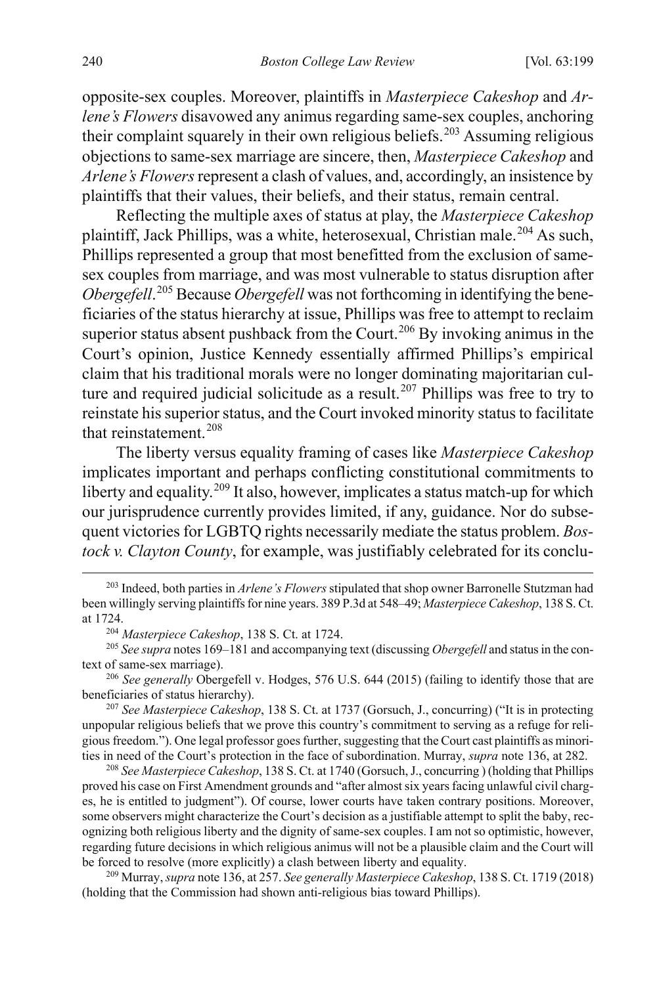opposite-sex couples. Moreover, plaintiffs in *Masterpiece Cakeshop* and *Arlene's Flowers* disavowed any animus regarding same-sex couples, anchoring their complaint squarely in their own religious beliefs.<sup>[203](#page-42-0)</sup> Assuming religious objections to same-sex marriage are sincere, then, *Masterpiece Cakeshop* and *Arlene's Flowers* represent a clash of values, and, accordingly, an insistence by plaintiffs that their values, their beliefs, and their status, remain central.

Reflecting the multiple axes of status at play, the *Masterpiece Cakeshop*  plaintiff, Jack Phillips, was a white, heterosexual, Christian male.<sup>[204](#page-42-1)</sup> As such, Phillips represented a group that most benefitted from the exclusion of samesex couples from marriage, and was most vulnerable to status disruption after *Obergefell*. [205](#page-42-2) Because *Obergefell* was not forthcoming in identifying the beneficiaries of the status hierarchy at issue, Phillips was free to attempt to reclaim superior status absent pushback from the Court.<sup>[206](#page-42-3)</sup> By invoking animus in the Court's opinion, Justice Kennedy essentially affirmed Phillips's empirical claim that his traditional morals were no longer dominating majoritarian cul-ture and required judicial solicitude as a result.<sup>[207](#page-42-4)</sup> Phillips was free to try to reinstate his superior status, and the Court invoked minority status to facilitate that reinstatement.<sup>[208](#page-42-5)</sup>

<span id="page-42-7"></span>The liberty versus equality framing of cases like *Masterpiece Cakeshop* implicates important and perhaps conflicting constitutional commitments to liberty and equality.<sup>[209](#page-42-6)</sup> It also, however, implicates a status match-up for which our jurisprudence currently provides limited, if any, guidance. Nor do subsequent victories for LGBTQ rights necessarily mediate the status problem. *Bostock v. Clayton County*, for example, was justifiably celebrated for its conclu-

<span id="page-42-3"></span><sup>206</sup> *See generally* Obergefell v. Hodges, 576 U.S. 644 (2015) (failing to identify those that are beneficiaries of status hierarchy).

<span id="page-42-4"></span><sup>207</sup> *See Masterpiece Cakeshop*, 138 S. Ct. at 1737 (Gorsuch, J., concurring) ("It is in protecting unpopular religious beliefs that we prove this country's commitment to serving as a refuge for religious freedom."). One legal professor goes further, suggesting that the Court cast plaintiffs as minorities in need of the Court's protection in the face of subordination. Murray, *supra* not[e 136,](#page-27-0) at 282.

<span id="page-42-5"></span><sup>208</sup> *See Masterpiece Cakeshop*, 138 S. Ct. at 1740 (Gorsuch, J., concurring ) (holding that Phillips proved his case on First Amendment grounds and "after almost six years facing unlawful civil charges, he is entitled to judgment"). Of course, lower courts have taken contrary positions. Moreover, some observers might characterize the Court's decision as a justifiable attempt to split the baby, recognizing both religious liberty and the dignity of same-sex couples. I am not so optimistic, however, regarding future decisions in which religious animus will not be a plausible claim and the Court will be forced to resolve (more explicitly) a clash between liberty and equality.

<span id="page-42-6"></span><sup>209</sup> Murray, *supra* not[e 136,](#page-27-0) at 257. *See generally Masterpiece Cakeshop*, 138 S. Ct. 1719 (2018) (holding that the Commission had shown anti-religious bias toward Phillips).

<span id="page-42-0"></span> <sup>203</sup> Indeed, both parties in *Arlene's Flowers* stipulated that shop owner Barronelle Stutzman had been willingly serving plaintiffs for nine years. 389 P.3d at 548–49; *Masterpiece Cakeshop*, 138 S. Ct. at 1724.

<sup>204</sup> *Masterpiece Cakeshop*, 138 S. Ct. at 1724.

<span id="page-42-2"></span><span id="page-42-1"></span><sup>205</sup> *See supra* note[s 169](#page-36-8)[–181](#page-38-5) and accompanying text (discussing *Obergefell* and status in the context of same-sex marriage).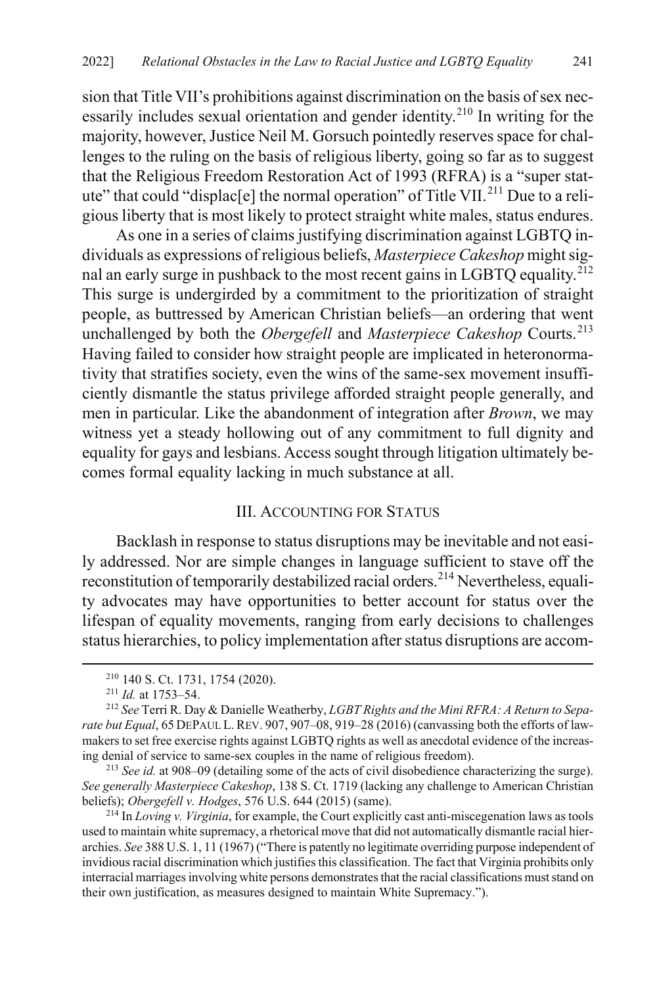sion that Title VII's prohibitions against discrimination on the basis of sex nec-essarily includes sexual orientation and gender identity.<sup>[210](#page-43-2)</sup> In writing for the majority, however, Justice Neil M. Gorsuch pointedly reserves space for challenges to the ruling on the basis of religious liberty, going so far as to suggest that the Religious Freedom Restoration Act of 1993 (RFRA) is a "super statute" that could "displac $[e]$  the normal operation" of Title VII.<sup>[211](#page-43-3)</sup> Due to a religious liberty that is most likely to protect straight white males, status endures.

<span id="page-43-7"></span>As one in a series of claims justifying discrimination against LGBTQ individuals as expressions of religious beliefs, *Masterpiece Cakeshop* might sig-nal an early surge in pushback to the most recent gains in LGBTQ equality.<sup>[212](#page-43-4)</sup> This surge is undergirded by a commitment to the prioritization of straight people, as buttressed by American Christian beliefs—an ordering that went unchallenged by both the *Obergefell* and *Masterpiece Cakeshop* Courts.<sup>[213](#page-43-5)</sup> Having failed to consider how straight people are implicated in heteronormativity that stratifies society, even the wins of the same-sex movement insufficiently dismantle the status privilege afforded straight people generally, and men in particular. Like the abandonment of integration after *Brown*, we may witness yet a steady hollowing out of any commitment to full dignity and equality for gays and lesbians. Access sought through litigation ultimately becomes formal equality lacking in much substance at all.

#### <span id="page-43-1"></span><span id="page-43-0"></span>III. ACCOUNTING FOR STATUS

Backlash in response to status disruptions may be inevitable and not easily addressed. Nor are simple changes in language sufficient to stave off the reconstitution of temporarily destabilized racial orders.<sup>[214](#page-43-6)</sup> Nevertheless, equality advocates may have opportunities to better account for status over the lifespan of equality movements, ranging from early decisions to challenges status hierarchies, to policy implementation after status disruptions are accom-

<span id="page-43-5"></span><sup>213</sup> *See id.* at 908–09 (detailing some of the acts of civil disobedience characterizing the surge). *See generally Masterpiece Cakeshop*, 138 S. Ct. 1719 (lacking any challenge to American Christian beliefs); *Obergefell v. Hodges*, 576 U.S. 644 (2015) (same).

<span id="page-43-6"></span><sup>214</sup> In *Loving v. Virginia*, for example, the Court explicitly cast anti-miscegenation laws as tools used to maintain white supremacy, a rhetorical move that did not automatically dismantle racial hierarchies. *See* 388 U.S. 1, 11 (1967) ("There is patently no legitimate overriding purpose independent of invidious racial discrimination which justifies this classification. The fact that Virginia prohibits only interracial marriages involving white persons demonstrates that the racial classifications must stand on their own justification, as measures designed to maintain White Supremacy.").

 <sup>210</sup> 140 S. Ct. 1731, 1754 (2020).

<sup>211</sup> *Id.* at 1753–54.

<span id="page-43-4"></span><span id="page-43-3"></span><span id="page-43-2"></span><sup>212</sup> *See* Terri R. Day & Danielle Weatherby, *LGBT Rights and the Mini RFRA: A Return to Separate but Equal*, 65 DEPAUL L.REV. 907, 907–08, 919–28 (2016) (canvassing both the efforts of lawmakers to set free exercise rights against LGBTQ rights as well as anecdotal evidence of the increasing denial of service to same-sex couples in the name of religious freedom).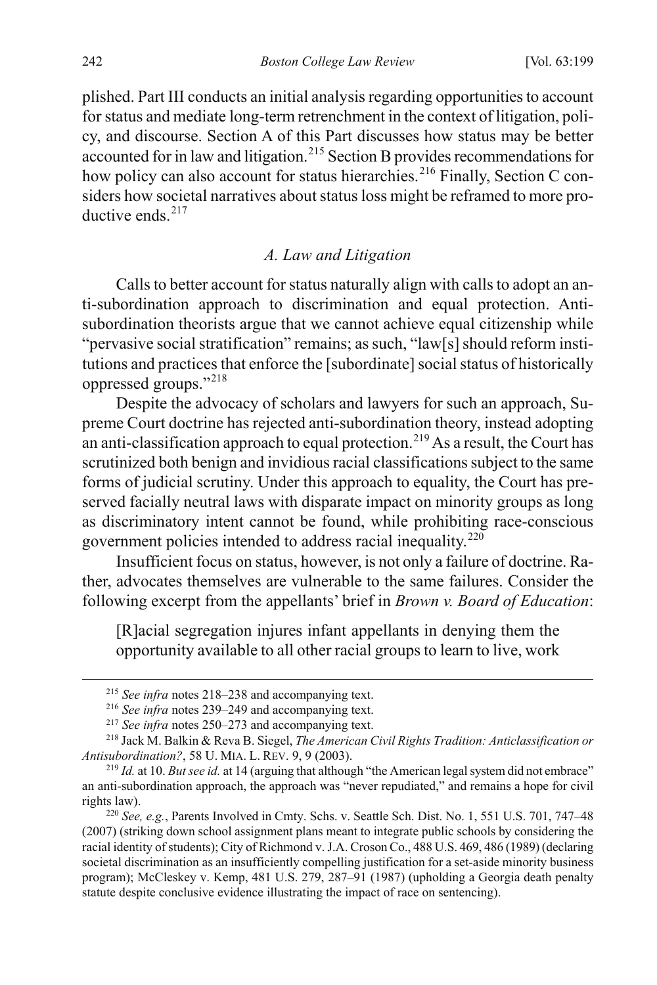plished. Part III conducts an initial analysis regarding opportunities to account for status and mediate long-term retrenchment in the context of litigation, policy, and discourse. Section A of this Part discusses how status may be better accounted for in law and litigation.[215](#page-44-1) Section B provides recommendations for how policy can also account for status hierarchies.<sup>[216](#page-44-2)</sup> Finally, Section C considers how societal narratives about status loss might be reframed to more pro-ductive ends.<sup>[217](#page-44-3)</sup>

#### *A. Law and Litigation*

Calls to better account for status naturally align with calls to adopt an anti-subordination approach to discrimination and equal protection. Antisubordination theorists argue that we cannot achieve equal citizenship while "pervasive social stratification" remains; as such, "law[s] should reform institutions and practices that enforce the [subordinate] social status of historically oppressed groups."[218](#page-44-4)

<span id="page-44-0"></span>Despite the advocacy of scholars and lawyers for such an approach, Supreme Court doctrine has rejected anti-subordination theory, instead adopting an anti-classification approach to equal protection.<sup>[219](#page-44-5)</sup> As a result, the Court has scrutinized both benign and invidious racial classifications subject to the same forms of judicial scrutiny. Under this approach to equality, the Court has preserved facially neutral laws with disparate impact on minority groups as long as discriminatory intent cannot be found, while prohibiting race-conscious government policies intended to address racial inequality.[220](#page-44-6)

Insufficient focus on status, however, is not only a failure of doctrine. Rather, advocates themselves are vulnerable to the same failures. Consider the following excerpt from the appellants' brief in *Brown v. Board of Education*:

[R]acial segregation injures infant appellants in denying them the opportunity available to all other racial groups to learn to live, work

 <sup>215</sup> *See infra* notes [218–](#page-44-0)[238](#page-49-0) and accompanying text.

<sup>216</sup> *See infra* notes [239–](#page-49-1)[249](#page-51-0) and accompanying text.

<sup>217</sup> *See infra* notes [250–](#page-51-1)[273](#page-55-0) and accompanying text.

<span id="page-44-4"></span><span id="page-44-3"></span><span id="page-44-2"></span><span id="page-44-1"></span><sup>218</sup> Jack M. Balkin & Reva B. Siegel, *The American Civil Rights Tradition: Anticlassification or Antisubordination?*, 58 U. MIA. L. REV. 9, 9 (2003).

<span id="page-44-5"></span><sup>219</sup> *Id.* at 10. *But see id.* at 14 (arguing that although "the American legal system did not embrace" an anti-subordination approach, the approach was "never repudiated," and remains a hope for civil rights law).

<span id="page-44-6"></span><sup>220</sup> *See, e.g.*, Parents Involved in Cmty. Schs. v. Seattle Sch. Dist. No. 1, 551 U.S. 701, 747–48 (2007) (striking down school assignment plans meant to integrate public schools by considering the racial identity of students); City of Richmond v. J.A. Croson Co., 488 U.S. 469, 486 (1989) (declaring societal discrimination as an insufficiently compelling justification for a set-aside minority business program); McCleskey v. Kemp, 481 U.S. 279, 287–91 (1987) (upholding a Georgia death penalty statute despite conclusive evidence illustrating the impact of race on sentencing).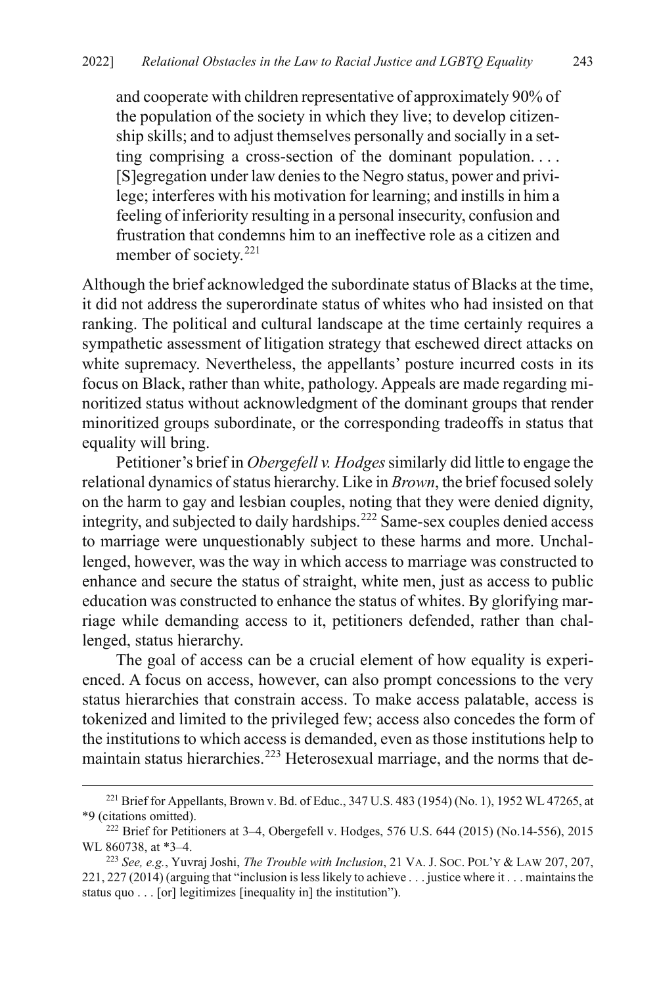and cooperate with children representative of approximately 90% of the population of the society in which they live; to develop citizenship skills; and to adjust themselves personally and socially in a setting comprising a cross-section of the dominant population. . . . [S]egregation under law denies to the Negro status, power and privilege; interferes with his motivation for learning; and instills in him a feeling of inferiority resulting in a personal insecurity, confusion and frustration that condemns him to an ineffective role as a citizen and member of society. $221$ 

Although the brief acknowledged the subordinate status of Blacks at the time, it did not address the superordinate status of whites who had insisted on that ranking. The political and cultural landscape at the time certainly requires a sympathetic assessment of litigation strategy that eschewed direct attacks on white supremacy. Nevertheless, the appellants' posture incurred costs in its focus on Black, rather than white, pathology. Appeals are made regarding minoritized status without acknowledgment of the dominant groups that render minoritized groups subordinate, or the corresponding tradeoffs in status that equality will bring.

Petitioner's brief in *Obergefell v. Hodges*similarly did little to engage the relational dynamics of status hierarchy. Like in *Brown*, the brief focused solely on the harm to gay and lesbian couples, noting that they were denied dignity, integrity, and subjected to daily hardships.[222](#page-45-1) Same-sex couples denied access to marriage were unquestionably subject to these harms and more. Unchallenged, however, was the way in which access to marriage was constructed to enhance and secure the status of straight, white men, just as access to public education was constructed to enhance the status of whites. By glorifying marriage while demanding access to it, petitioners defended, rather than challenged, status hierarchy.

The goal of access can be a crucial element of how equality is experienced. A focus on access, however, can also prompt concessions to the very status hierarchies that constrain access. To make access palatable, access is tokenized and limited to the privileged few; access also concedes the form of the institutions to which access is demanded, even as those institutions help to maintain status hierarchies.<sup>[223](#page-45-2)</sup> Heterosexual marriage, and the norms that de-

<span id="page-45-0"></span><sup>&</sup>lt;sup>221</sup> Brief for Appellants, Brown v. Bd. of Educ., 347 U.S. 483 (1954) (No. 1), 1952 WL 47265, at \*9 (citations omitted).

<span id="page-45-1"></span><sup>222</sup> Brief for Petitioners at 3–4, Obergefell v. Hodges, 576 U.S. 644 (2015) (No.14-556), 2015 WL 860738, at \*3–4. 223 *See, e.g.*, Yuvraj Joshi, *The Trouble with Inclusion*, 21 VA. J. SOC. POL'Y & LAW 207, 207,

<span id="page-45-2"></span><sup>221, 227</sup> (2014) (arguing that "inclusion is less likely to achieve . . . justice where it . . . maintains the status quo . . . [or] legitimizes [inequality in] the institution").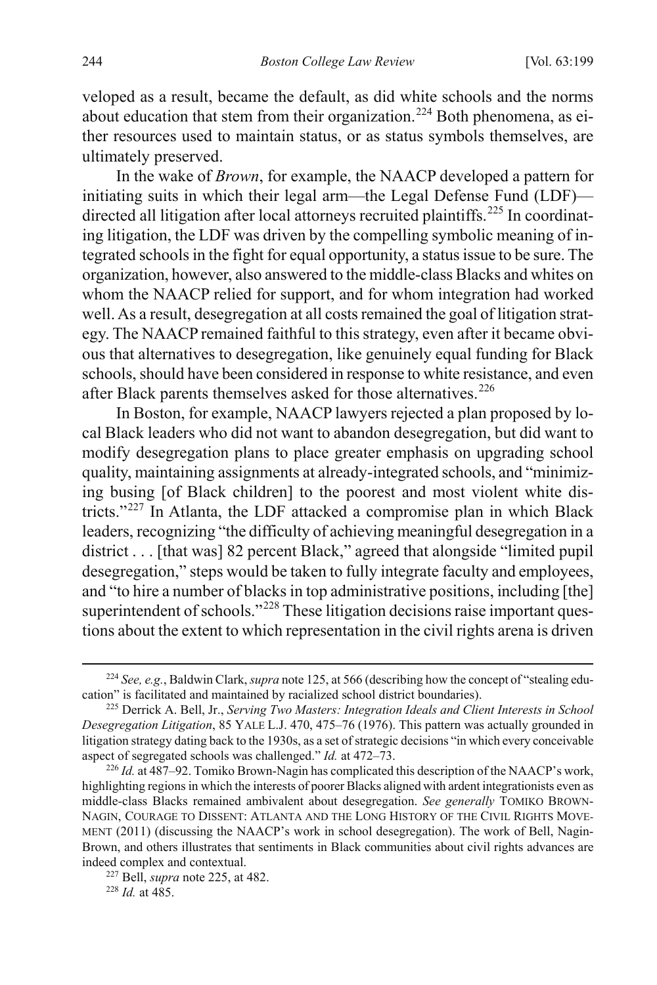veloped as a result, became the default, as did white schools and the norms about education that stem from their organization.<sup>[224](#page-46-1)</sup> Both phenomena, as either resources used to maintain status, or as status symbols themselves, are ultimately preserved.

<span id="page-46-0"></span>In the wake of *Brown*, for example, the NAACP developed a pattern for initiating suits in which their legal arm—the Legal Defense Fund (LDF)— directed all litigation after local attorneys recruited plaintiffs.<sup>[225](#page-46-2)</sup> In coordinating litigation, the LDF was driven by the compelling symbolic meaning of integrated schools in the fight for equal opportunity, a status issue to be sure. The organization, however, also answered to the middle-class Blacks and whites on whom the NAACP relied for support, and for whom integration had worked well. As a result, desegregation at all costs remained the goal of litigation strategy. The NAACP remained faithful to this strategy, even after it became obvious that alternatives to desegregation, like genuinely equal funding for Black schools, should have been considered in response to white resistance, and even after Black parents themselves asked for those alternatives.<sup>[226](#page-46-3)</sup>

In Boston, for example, NAACP lawyers rejected a plan proposed by local Black leaders who did not want to abandon desegregation, but did want to modify desegregation plans to place greater emphasis on upgrading school quality, maintaining assignments at already-integrated schools, and "minimizing busing [of Black children] to the poorest and most violent white districts."[227](#page-46-4) In Atlanta, the LDF attacked a compromise plan in which Black leaders, recognizing "the difficulty of achieving meaningful desegregation in a district . . . [that was] 82 percent Black," agreed that alongside "limited pupil desegregation," steps would be taken to fully integrate faculty and employees, and "to hire a number of blacks in top administrative positions, including [the] superintendent of schools."<sup>[228](#page-46-5)</sup> These litigation decisions raise important questions about the extent to which representation in the civil rights arena is driven

<span id="page-46-1"></span> <sup>224</sup> *See, e.g.*, Baldwin Clark, *supra* not[e 125,](#page-25-0) at 566 (describing how the concept of "stealing education" is facilitated and maintained by racialized school district boundaries).

<span id="page-46-2"></span><sup>225</sup> Derrick A. Bell, Jr., *Serving Two Masters: Integration Ideals and Client Interests in School Desegregation Litigation*, 85 YALE L.J. 470, 475–76 (1976). This pattern was actually grounded in litigation strategy dating back to the 1930s, as a set of strategic decisions "in which every conceivable aspect of segregated schools was challenged." *Id.* at 472–73.<br><sup>226</sup> *Id.* at 487–92. Tomiko Brown-Nagin has complicated this description of the NAACP's work,

<span id="page-46-3"></span>highlighting regions in which the interests of poorer Blacks aligned with ardent integrationists even as middle-class Blacks remained ambivalent about desegregation. *See generally* TOMIKO BROWN-NAGIN, COURAGE TO DISSENT: ATLANTA AND THE LONG HISTORY OF THE CIVIL RIGHTS MOVE-MENT (2011) (discussing the NAACP's work in school desegregation). The work of Bell, Nagin-Brown, and others illustrates that sentiments in Black communities about civil rights advances are indeed complex and contextual.

<span id="page-46-4"></span><sup>227</sup> Bell, *supra* note [225,](#page-46-0) at 482.

<span id="page-46-5"></span><sup>228</sup> *Id.* at 485.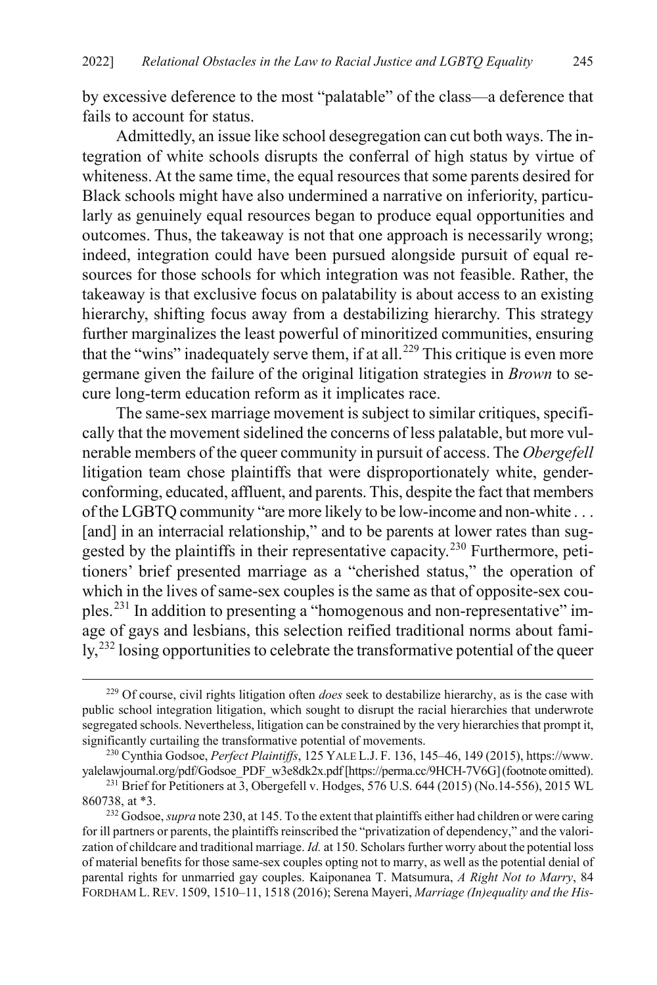by excessive deference to the most "palatable" of the class—a deference that fails to account for status.

Admittedly, an issue like school desegregation can cut both ways. The integration of white schools disrupts the conferral of high status by virtue of whiteness. At the same time, the equal resources that some parents desired for Black schools might have also undermined a narrative on inferiority, particularly as genuinely equal resources began to produce equal opportunities and outcomes. Thus, the takeaway is not that one approach is necessarily wrong; indeed, integration could have been pursued alongside pursuit of equal resources for those schools for which integration was not feasible. Rather, the takeaway is that exclusive focus on palatability is about access to an existing hierarchy, shifting focus away from a destabilizing hierarchy. This strategy further marginalizes the least powerful of minoritized communities, ensuring that the "wins" inadequately serve them, if at all.<sup>[229](#page-47-1)</sup> This critique is even more germane given the failure of the original litigation strategies in *Brown* to secure long-term education reform as it implicates race.

<span id="page-47-0"></span>The same-sex marriage movement is subject to similar critiques, specifically that the movement sidelined the concerns of less palatable, but more vulnerable members of the queer community in pursuit of access. The *Obergefell* litigation team chose plaintiffs that were disproportionately white, genderconforming, educated, affluent, and parents. This, despite the fact that members of the LGBTQ community "are more likely to be low-income and non-white . . . [and] in an interracial relationship," and to be parents at lower rates than suggested by the plaintiffs in their representative capacity.<sup>230</sup> Furthermore, petitioners' brief presented marriage as a "cherished status," the operation of which in the lives of same-sex couples is the same as that of opposite-sex couples.[231](#page-47-3) In addition to presenting a "homogenous and non-representative" image of gays and lesbians, this selection reified traditional norms about fami- $\frac{1}{2}$  losing opportunities to celebrate the transformative potential of the queer

<span id="page-47-1"></span> <sup>229</sup> Of course, civil rights litigation often *does* seek to destabilize hierarchy, as is the case with public school integration litigation, which sought to disrupt the racial hierarchies that underwrote segregated schools. Nevertheless, litigation can be constrained by the very hierarchies that prompt it, significantly curtailing the transformative potential of movements.

<span id="page-47-2"></span><sup>230</sup> Cynthia Godsoe, *Perfect Plaintiffs*, 125 YALE L.J. F. 136, 145–46, 149 (2015), https://www. yalelawjournal.org/pdf/Godsoe\_PDF\_w3e8dk2x.pdf [https://perma.cc/9HCH-7V6G] (footnote omitted). 231 Brief for Petitioners at 3, Obergefell v. Hodges, 576 U.S. 644 (2015) (No.14-556), 2015 WL

<span id="page-47-3"></span><sup>860738,</sup> at \*3.

<span id="page-47-4"></span><sup>232</sup> Godsoe, *supra* not[e 230,](#page-47-0) at 145. To the extent that plaintiffs either had children or were caring for ill partners or parents, the plaintiffs reinscribed the "privatization of dependency," and the valorization of childcare and traditional marriage. *Id.* at 150. Scholars further worry about the potential loss of material benefits for those same-sex couples opting not to marry, as well as the potential denial of parental rights for unmarried gay couples. Kaiponanea T. Matsumura, *A Right Not to Marry*, 84 FORDHAM L. REV. 1509, 1510–11, 1518 (2016); Serena Mayeri, *Marriage (In)equality and the His-*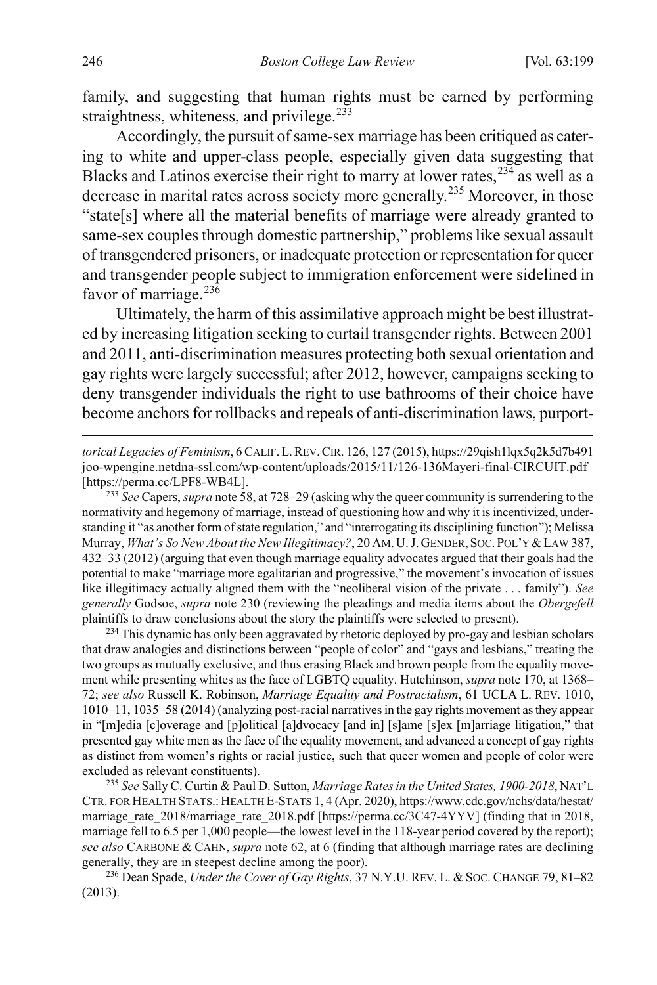family, and suggesting that human rights must be earned by performing straightness, whiteness, and privilege.<sup>[233](#page-48-0)</sup>

Accordingly, the pursuit of same-sex marriage has been critiqued as catering to white and upper-class people, especially given data suggesting that Blacks and Latinos exercise their right to marry at lower rates,  $234$  as well as a decrease in marital rates across society more generally.[235](#page-48-2) Moreover, in those "state[s] where all the material benefits of marriage were already granted to same-sex couples through domestic partnership," problems like sexual assault of transgendered prisoners, or inadequate protection or representation for queer and transgender people subject to immigration enforcement were sidelined in favor of marriage. $23\overline{6}$ 

Ultimately, the harm of this assimilative approach might be best illustrated by increasing litigation seeking to curtail transgender rights. Between 2001 and 2011, anti-discrimination measures protecting both sexual orientation and gay rights were largely successful; after 2012, however, campaigns seeking to deny transgender individuals the right to use bathrooms of their choice have become anchors for rollbacks and repeals of anti-discrimination laws, purport-

*torical Legacies of Feminism*, 6 CALIF.L.REV.CIR. 126, 127 (2015), https://29qish1lqx5q2k5d7b491 joo-wpengine.netdna-ssl.com/wp-content/uploads/2015/11/126-136Mayeri-final-CIRCUIT.pdf [https://perma.cc/LPF8-WB4L].

<span id="page-48-0"></span><sup>233</sup> *See* Capers, *supra* not[e 58,](#page-14-6) at 728–29 (asking why the queer community is surrendering to the normativity and hegemony of marriage, instead of questioning how and why it is incentivized, understanding it "as another form of state regulation," and "interrogating its disciplining function"); Melissa Murray, *What's So New About the New Illegitimacy?*, 20 AM. U.J. GENDER, SOC. POL'Y &LAW 387, 432–33 (2012) (arguing that even though marriage equality advocates argued that their goals had the potential to make "marriage more egalitarian and progressive," the movement's invocation of issues like illegitimacy actually aligned them with the "neoliberal vision of the private . . . family"). *See generally* Godsoe, *supra* note [230](#page-47-0) (reviewing the pleadings and media items about the *Obergefell* plaintiffs to draw conclusions about the story the plaintiffs were selected to present).

<span id="page-48-1"></span><sup>234</sup> This dynamic has only been aggravated by rhetoric deployed by pro-gay and lesbian scholars that draw analogies and distinctions between "people of color" and "gays and lesbians," treating the two groups as mutually exclusive, and thus erasing Black and brown people from the equality movement while presenting whites as the face of LGBTQ equality. Hutchinson, *supra* not[e 170,](#page-36-9) at 1368– 72; *see also* Russell K. Robinson, *Marriage Equality and Postracialism*, 61 UCLA L. REV. 1010, 1010–11, 1035–58 (2014) (analyzing post-racial narratives in the gay rights movement as they appear in "[m]edia [c]overage and [p]olitical [a]dvocacy [and in] [s]ame [s]ex [m]arriage litigation," that presented gay white men as the face of the equality movement, and advanced a concept of gay rights as distinct from women's rights or racial justice, such that queer women and people of color were excluded as relevant constituents).

<span id="page-48-2"></span><sup>235</sup> *See* Sally C. Curtin & Paul D. Sutton, *Marriage Rates in the United States, 1900-2018*, NAT'L CTR. FOR HEALTH STATS.:HEALTH E-STATS 1, 4 (Apr. 2020), https://www.cdc.gov/nchs/data/hestat/ marriage rate 2018/marriage rate 2018.pdf [https://perma.cc/3C47-4YYV] (finding that in 2018, marriage fell to 6.5 per 1,000 people—the lowest level in the 118-year period covered by the report); *see also* CARBONE & CAHN, *supra* not[e 62,](#page-15-10) at 6 (finding that although marriage rates are declining generally, they are in steepest decline among the poor).

<span id="page-48-3"></span>236 Dean Spade, *Under the Cover of Gay Rights*, 37 N.Y.U. REV. L. & SOC. CHANGE 79, 81–82 (2013).

 $\overline{a}$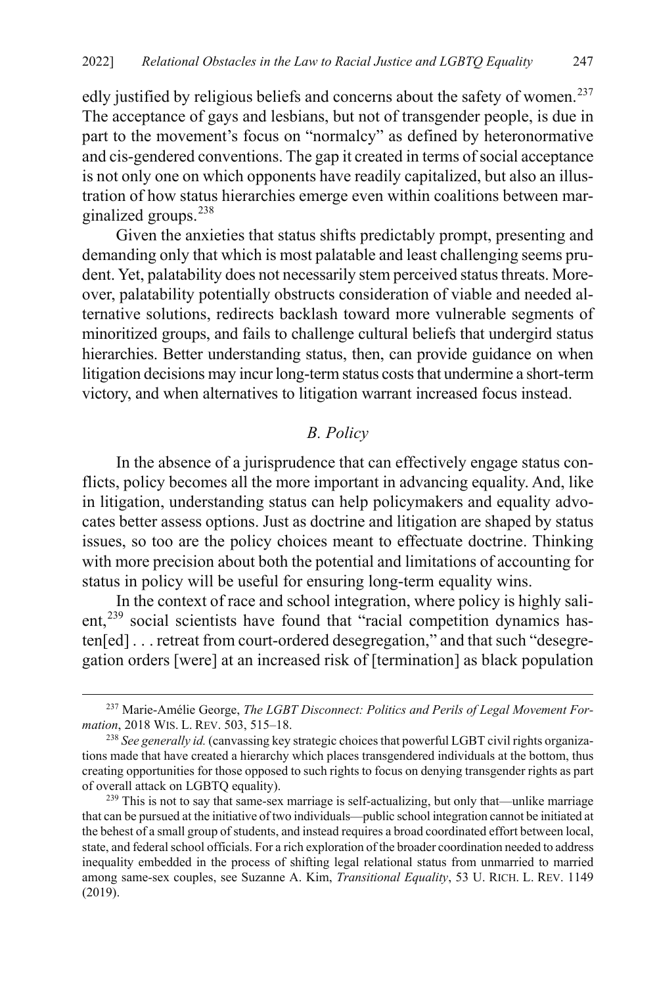edly justified by religious beliefs and concerns about the safety of women.<sup>[237](#page-49-2)</sup> The acceptance of gays and lesbians, but not of transgender people, is due in part to the movement's focus on "normalcy" as defined by heteronormative and cis-gendered conventions. The gap it created in terms of social acceptance is not only one on which opponents have readily capitalized, but also an illustration of how status hierarchies emerge even within coalitions between marginalized groups.[238](#page-49-3)

Given the anxieties that status shifts predictably prompt, presenting and demanding only that which is most palatable and least challenging seems prudent. Yet, palatability does not necessarily stem perceived status threats. Moreover, palatability potentially obstructs consideration of viable and needed alternative solutions, redirects backlash toward more vulnerable segments of minoritized groups, and fails to challenge cultural beliefs that undergird status hierarchies. Better understanding status, then, can provide guidance on when litigation decisions may incur long-term status costs that undermine a short-term victory, and when alternatives to litigation warrant increased focus instead.

#### <span id="page-49-0"></span>*B. Policy*

In the absence of a jurisprudence that can effectively engage status conflicts, policy becomes all the more important in advancing equality. And, like in litigation, understanding status can help policymakers and equality advocates better assess options. Just as doctrine and litigation are shaped by status issues, so too are the policy choices meant to effectuate doctrine. Thinking with more precision about both the potential and limitations of accounting for status in policy will be useful for ensuring long-term equality wins.

<span id="page-49-1"></span>In the context of race and school integration, where policy is highly sali-ent,<sup>[239](#page-49-4)</sup> social scientists have found that "racial competition dynamics hasten[ed] . . . retreat from court-ordered desegregation," and that such "desegregation orders [were] at an increased risk of [termination] as black population

<span id="page-49-2"></span><sup>&</sup>lt;sup>237</sup> Marie-Amélie George, *The LGBT Disconnect: Politics and Perils of Legal Movement For-<br>mation*, 2018 WIS. L. REV. 503, 515–18.

<span id="page-49-3"></span><sup>&</sup>lt;sup>238</sup> See generally id. (canvassing key strategic choices that powerful LGBT civil rights organizations made that have created a hierarchy which places transgendered individuals at the bottom, thus creating opportunities for those opposed to such rights to focus on denying transgender rights as part of overall attack on LGBTQ equality).

<span id="page-49-4"></span> $239$  This is not to say that same-sex marriage is self-actualizing, but only that—unlike marriage that can be pursued at the initiative of two individuals—public school integration cannot be initiated at the behest of a small group of students, and instead requires a broad coordinated effort between local, state, and federal school officials. For a rich exploration of the broader coordination needed to address inequality embedded in the process of shifting legal relational status from unmarried to married among same-sex couples, see Suzanne A. Kim, *Transitional Equality*, 53 U. RICH. L. REV. 1149 (2019).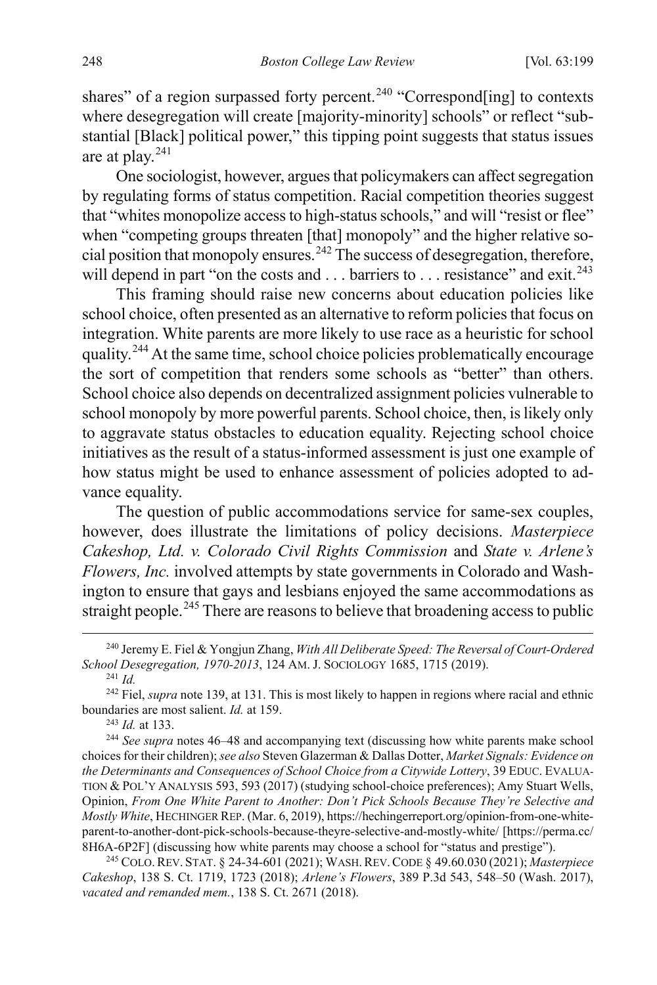shares" of a region surpassed forty percent.<sup>[240](#page-50-0)</sup> "Correspond[ing] to contexts where desegregation will create [majority-minority] schools" or reflect "substantial [Black] political power," this tipping point suggests that status issues are at play.<sup>[241](#page-50-1)</sup>

One sociologist, however, argues that policymakers can affect segregation by regulating forms of status competition. Racial competition theories suggest that "whites monopolize access to high-status schools," and will "resist or flee" when "competing groups threaten [that] monopoly" and the higher relative so-cial position that monopoly ensures.<sup>[242](#page-50-2)</sup> The success of desegregation, therefore, will depend in part "on the costs and  $\dots$  barriers to  $\dots$  resistance" and exit.<sup>[243](#page-50-3)</sup>

This framing should raise new concerns about education policies like school choice, often presented as an alternative to reform policies that focus on integration. White parents are more likely to use race as a heuristic for school quality.<sup>[244](#page-50-4)</sup> At the same time, school choice policies problematically encourage the sort of competition that renders some schools as "better" than others. School choice also depends on decentralized assignment policies vulnerable to school monopoly by more powerful parents. School choice, then, is likely only to aggravate status obstacles to education equality. Rejecting school choice initiatives as the result of a status-informed assessment is just one example of how status might be used to enhance assessment of policies adopted to advance equality.

The question of public accommodations service for same-sex couples, however, does illustrate the limitations of policy decisions. *Masterpiece Cakeshop, Ltd. v. Colorado Civil Rights Commission* and *State v. Arlene's Flowers, Inc.* involved attempts by state governments in Colorado and Washington to ensure that gays and lesbians enjoyed the same accommodations as straight people.<sup>[245](#page-50-5)</sup> There are reasons to believe that broadening access to public

<sup>243</sup> *Id.* at 133.

<span id="page-50-4"></span><span id="page-50-3"></span><sup>244</sup> *See supra* note[s 46](#page-12-6)[–48](#page-12-7) and accompanying text (discussing how white parents make school choices for their children); *see also* Steven Glazerman & Dallas Dotter, *Market Signals: Evidence on the Determinants and Consequences of School Choice from a Citywide Lottery*, 39 EDUC. EVALUA-TION & POL'Y ANALYSIS 593, 593 (2017) (studying school-choice preferences); Amy Stuart Wells, Opinion, *From One White Parent to Another: Don't Pick Schools Because They're Selective and Mostly White*, HECHINGER REP. (Mar. 6, 2019), https://hechingerreport.org/opinion-from-one-whiteparent-to-another-dont-pick-schools-because-theyre-selective-and-mostly-white/ [https://perma.cc/ 8H6A-6P2F] (discussing how white parents may choose a school for "status and prestige").

<span id="page-50-5"></span>245 COLO.REV. STAT. § 24-34-601 (2021); WASH.REV.CODE § 49.60.030 (2021); *Masterpiece Cakeshop*, 138 S. Ct. 1719, 1723 (2018); *Arlene's Flowers*, 389 P.3d 543, 548–50 (Wash. 2017), *vacated and remanded mem.*, 138 S. Ct. 2671 (2018).

<span id="page-50-0"></span> <sup>240</sup> Jeremy E. Fiel & Yongjun Zhang, *With All Deliberate Speed: The Reversal of Court-Ordered School Desegregation, 1970-2013*, 124 AM. J. SOCIOLOGY 1685, 1715 (2019).

<sup>241</sup> *Id.*

<span id="page-50-2"></span><span id="page-50-1"></span><sup>242</sup> Fiel, *supra* not[e 139,](#page-28-7) at 131. This is most likely to happen in regions where racial and ethnic boundaries are most salient. *Id.* at 159.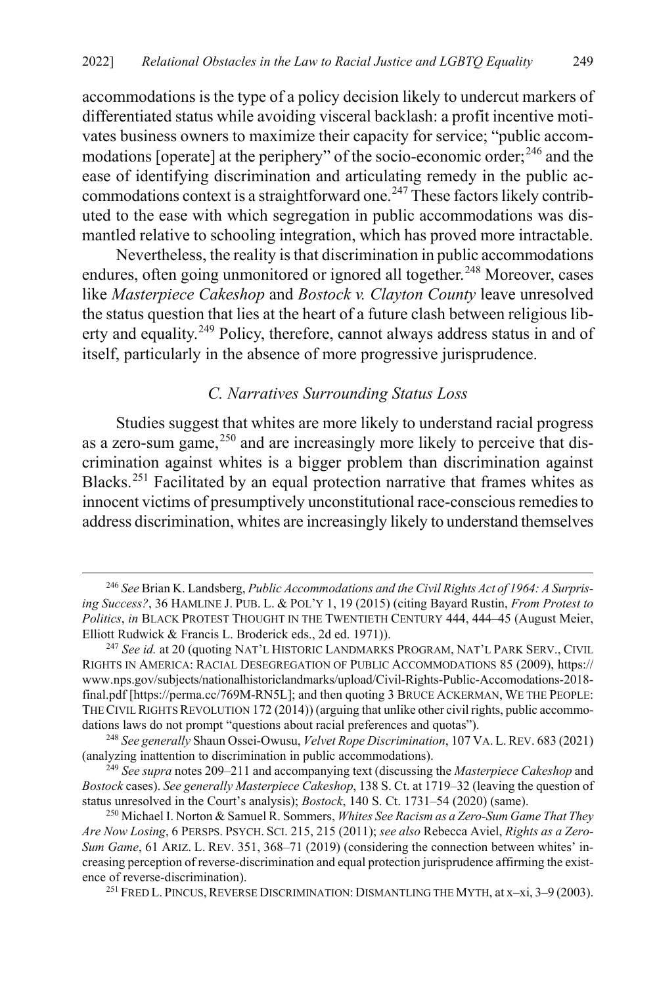accommodations is the type of a policy decision likely to undercut markers of differentiated status while avoiding visceral backlash: a profit incentive motivates business owners to maximize their capacity for service; "public accom-modations [operate] at the periphery" of the socio-economic order;<sup>[246](#page-51-2)</sup> and the ease of identifying discrimination and articulating remedy in the public ac-commodations context is a straightforward one.<sup>[247](#page-51-3)</sup> These factors likely contributed to the ease with which segregation in public accommodations was dismantled relative to schooling integration, which has proved more intractable.

Nevertheless, the reality is that discrimination in public accommodations endures, often going unmonitored or ignored all together.<sup>[248](#page-51-4)</sup> Moreover, cases like *Masterpiece Cakeshop* and *Bostock v. Clayton County* leave unresolved the status question that lies at the heart of a future clash between religious lib-erty and equality.<sup>[249](#page-51-5)</sup> Policy, therefore, cannot always address status in and of itself, particularly in the absence of more progressive jurisprudence.

#### <span id="page-51-1"></span><span id="page-51-0"></span>*C. Narratives Surrounding Status Loss*

Studies suggest that whites are more likely to understand racial progress as a zero-sum game,  $^{250}$  $^{250}$  $^{250}$  and are increasingly more likely to perceive that discrimination against whites is a bigger problem than discrimination against Blacks.[251](#page-51-7) Facilitated by an equal protection narrative that frames whites as innocent victims of presumptively unconstitutional race-conscious remedies to address discrimination, whites are increasingly likely to understand themselves

<span id="page-51-2"></span> <sup>246</sup> *See* Brian K. Landsberg, *Public Accommodations and the Civil Rights Act of 1964: A Surprising Success?*, 36 HAMLINE J. PUB. L. & POL'Y 1, 19 (2015) (citing Bayard Rustin, *From Protest to Politics*, *in* BLACK PROTEST THOUGHT IN THE TWENTIETH CENTURY 444, 444–45 (August Meier, Elliott Rudwick & Francis L. Broderick eds., 2d ed. 1971)).

<span id="page-51-3"></span><sup>&</sup>lt;sup>247</sup> See id. at 20 (quoting NAT'L HISTORIC LANDMARKS PROGRAM, NAT'L PARK SERV., CIVIL RIGHTS IN AMERICA: RACIAL DESEGREGATION OF PUBLIC ACCOMMODATIONS 85 (2009), https:// www.nps.gov/subjects/nationalhistoriclandmarks/upload/Civil-Rights-Public-Accomodations-2018 final.pdf [https://perma.cc/769M-RN5L]; and then quoting 3 BRUCE ACKERMAN, WE THE PEOPLE: THE CIVIL RIGHTS REVOLUTION 172 (2014)) (arguing that unlike other civil rights, public accommodations laws do not prompt "questions about racial preferences and quotas").

<span id="page-51-4"></span><sup>248</sup> *See generally* Shaun Ossei-Owusu, *Velvet Rope Discrimination*, 107 VA. L.REV. 683 (2021) (analyzing inattention to discrimination in public accommodations).

<span id="page-51-5"></span><sup>249</sup> *See supra* note[s 209](#page-42-7)[–211](#page-43-7) and accompanying text (discussing the *Masterpiece Cakeshop* and *Bostock* cases). *See generally Masterpiece Cakeshop*, 138 S. Ct. at 1719–32 (leaving the question of status unresolved in the Court's analysis); *Bostock*, 140 S. Ct. 1731–54 (2020) (same).

<span id="page-51-7"></span><span id="page-51-6"></span><sup>250</sup> Michael I. Norton & Samuel R. Sommers, *Whites See Racism as a Zero-Sum Game That They Are Now Losing*, 6 PERSPS. PSYCH. SCI. 215, 215 (2011); *see also* Rebecca Aviel, *Rights as a Zero-Sum Game*, 61 ARIZ. L. REV. 351, 368–71 (2019) (considering the connection between whites' increasing perception of reverse-discrimination and equal protection jurisprudence affirming the existence of reverse-discrimination).<br><sup>251</sup> FRED L. PINCUS, REVERSE DISCRIMINATION: DISMANTLING THE MYTH, at x–xi, 3–9 (2003).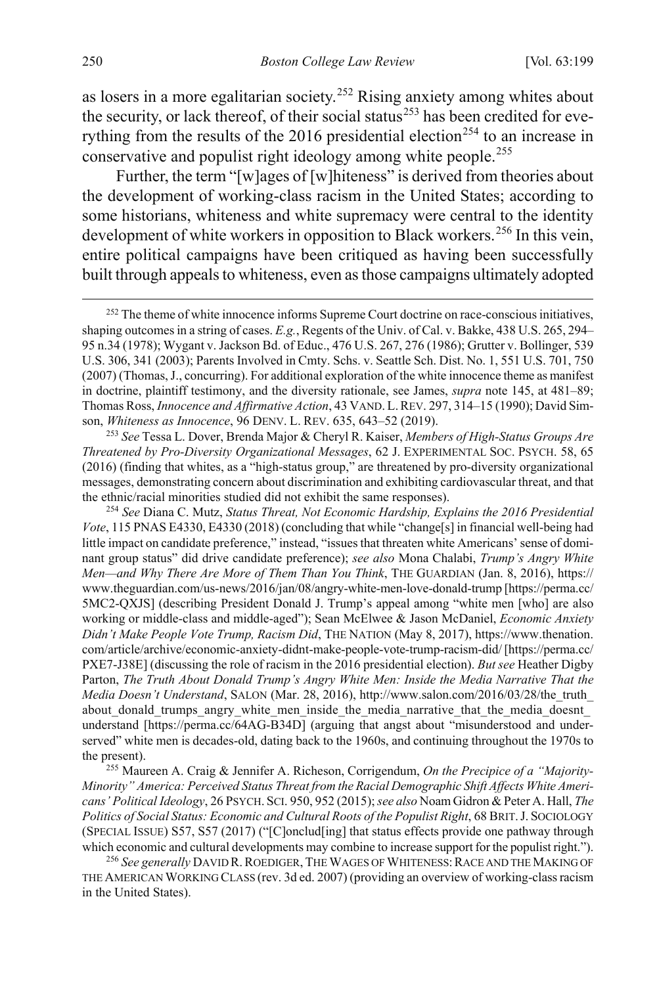as losers in a more egalitarian society.<sup>[252](#page-52-0)</sup> Rising anxiety among whites about the security, or lack thereof, of their social status<sup>[253](#page-52-1)</sup> has been credited for eve-rything from the results of the 2016 presidential election<sup>[254](#page-52-2)</sup> to an increase in conservative and populist right ideology among white people.<sup>[255](#page-52-3)</sup>

Further, the term "[w]ages of [w]hiteness" is derived from theories about the development of working-class racism in the United States; according to some historians, whiteness and white supremacy were central to the identity development of white workers in opposition to Black workers.<sup>[256](#page-52-4)</sup> In this vein, entire political campaigns have been critiqued as having been successfully built through appeals to whiteness, even as those campaigns ultimately adopted

<span id="page-52-1"></span><sup>253</sup> *See* Tessa L. Dover, Brenda Major & Cheryl R. Kaiser, *Members of High-Status Groups Are Threatened by Pro-Diversity Organizational Messages*, 62 J. EXPERIMENTAL SOC. PSYCH. 58, 65 (2016) (finding that whites, as a "high-status group," are threatened by pro-diversity organizational messages, demonstrating concern about discrimination and exhibiting cardiovascular threat, and that the ethnic/racial minorities studied did not exhibit the same responses).

<span id="page-52-2"></span><sup>254</sup> *See* Diana C. Mutz, *Status Threat, Not Economic Hardship, Explains the 2016 Presidential Vote*, 115 PNAS E4330, E4330 (2018) (concluding that while "change[s] in financial well-being had little impact on candidate preference," instead, "issues that threaten white Americans' sense of dominant group status" did drive candidate preference); *see also* Mona Chalabi, *Trump's Angry White Men—and Why There Are More of Them Than You Think*, THE GUARDIAN (Jan. 8, 2016), https:// www.theguardian.com/us-news/2016/jan/08/angry-white-men-love-donald-trump [https://perma.cc/ 5MC2-QXJS] (describing President Donald J. Trump's appeal among "white men [who] are also working or middle-class and middle-aged"); Sean McElwee & Jason McDaniel, *Economic Anxiety Didn't Make People Vote Trump, Racism Did*, THE NATION (May 8, 2017), https://www.thenation. com/article/archive/economic-anxiety-didnt-make-people-vote-trump-racism-did/ [https://perma.cc/ PXE7-J38E] (discussing the role of racism in the 2016 presidential election). *But see* Heather Digby Parton, *The Truth About Donald Trump's Angry White Men: Inside the Media Narrative That the Media Doesn't Understand*, SALON (Mar. 28, 2016), http://www.salon.com/2016/03/28/the\_truth\_ about donald trumps angry white men inside the media narrative that the media doesnt understand [https://perma.cc/64AG-B34D] (arguing that angst about "misunderstood and underserved" white men is decades-old, dating back to the 1960s, and continuing throughout the 1970s to the present).

<span id="page-52-3"></span><sup>255</sup> Maureen A. Craig & Jennifer A. Richeson, Corrigendum, *On the Precipice of a "Majority-Minority" America: Perceived Status Threat from the Racial Demographic Shift Affects White Americans' Political Ideology*, 26 PSYCH. SCI. 950, 952 (2015); *see also* Noam Gidron & Peter A. Hall, *The Politics of Social Status: Economic and Cultural Roots of the Populist Right*, 68 BRIT.J. SOCIOLOGY (SPECIAL ISSUE) S57, S57 (2017) ("[C]onclud[ing] that status effects provide one pathway through which economic and cultural developments may combine to increase support for the populist right.").

<span id="page-52-4"></span><sup>256</sup> *See generally* DAVID R.ROEDIGER, THE WAGES OF WHITENESS:RACE AND THE MAKING OF THE AMERICAN WORKING CLASS (rev. 3d ed. 2007) (providing an overview of working-class racism in the United States).

<span id="page-52-0"></span><sup>&</sup>lt;sup>252</sup> The theme of white innocence informs Supreme Court doctrine on race-conscious initiatives, shaping outcomes in a string of cases. *E.g.*, Regents of the Univ. of Cal. v. Bakke, 438 U.S. 265, 294– 95 n.34 (1978); Wygant v. Jackson Bd. of Educ., 476 U.S. 267, 276 (1986); Grutter v. Bollinger, 539 U.S. 306, 341 (2003); Parents Involved in Cmty. Schs. v. Seattle Sch. Dist. No. 1, 551 U.S. 701, 750 (2007) (Thomas, J., concurring). For additional exploration of the white innocence theme as manifest in doctrine, plaintiff testimony, and the diversity rationale, see James, *supra* note [145,](#page-30-4) at 481–89; Thomas Ross, *Innocence and Affirmative Action*, 43 VAND. L.REV. 297, 314–15 (1990); David Simson, *Whiteness as Innocence*, 96 DENV. L. REV. 635, 643–52 (2019).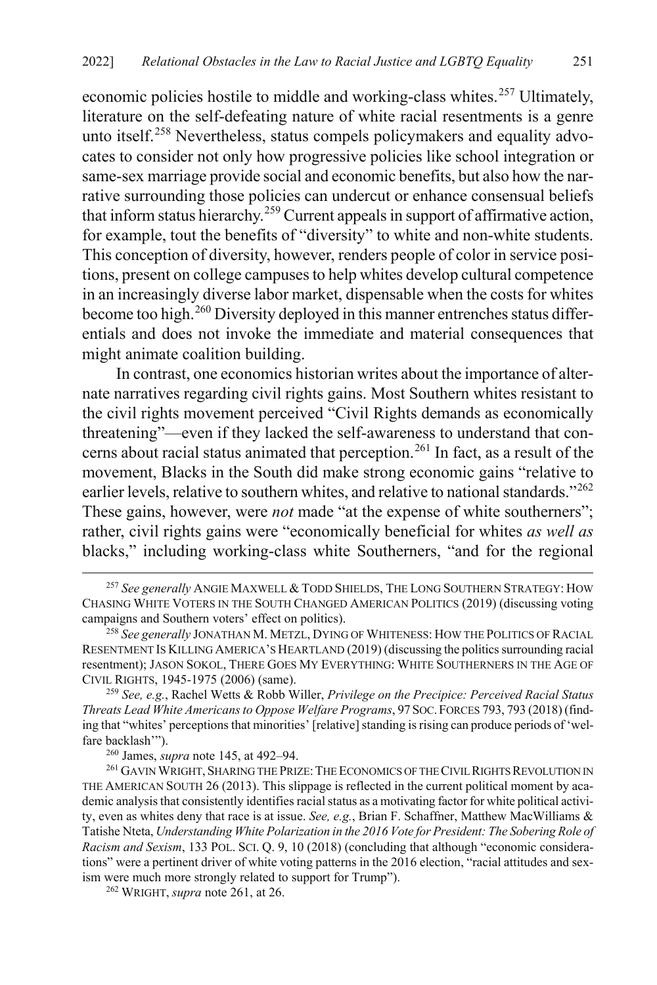economic policies hostile to middle and working-class whites.<sup>[257](#page-53-1)</sup> Ultimately, literature on the self-defeating nature of white racial resentments is a genre unto itself. [258](#page-53-2) Nevertheless, status compels policymakers and equality advocates to consider not only how progressive policies like school integration or same-sex marriage provide social and economic benefits, but also how the narrative surrounding those policies can undercut or enhance consensual beliefs that inform status hierarchy.[259](#page-53-3) Current appeals in support of affirmative action, for example, tout the benefits of "diversity" to white and non-white students. This conception of diversity, however, renders people of color in service positions, present on college campuses to help whites develop cultural competence in an increasingly diverse labor market, dispensable when the costs for whites become too high.<sup>[260](#page-53-4)</sup> Diversity deployed in this manner entrenches status differentials and does not invoke the immediate and material consequences that might animate coalition building.

<span id="page-53-0"></span>In contrast, one economics historian writes about the importance of alternate narratives regarding civil rights gains. Most Southern whites resistant to the civil rights movement perceived "Civil Rights demands as economically threatening"—even if they lacked the self-awareness to understand that con-cerns about racial status animated that perception.<sup>[261](#page-53-5)</sup> In fact, as a result of the movement, Blacks in the South did make strong economic gains "relative to earlier levels, relative to southern whites, and relative to national standards."<sup>[262](#page-53-6)</sup> These gains, however, were *not* made "at the expense of white southerners"; rather, civil rights gains were "economically beneficial for whites *as well as* blacks," including working-class white Southerners, "and for the regional

<span id="page-53-3"></span><sup>259</sup> *See, e.g.*, Rachel Wetts & Robb Willer, *Privilege on the Precipice: Perceived Racial Status Threats Lead White Americans to Oppose Welfare Programs*, 97SOC.FORCES 793, 793 (2018) (finding that "whites' perceptions that minorities' [relative] standing is rising can produce periods of 'welfare backlash'").

<span id="page-53-6"></span><sup>262</sup> WRIGHT, *supra* not[e 261,](#page-53-0) at 26.

<span id="page-53-1"></span> <sup>257</sup> *See generally* ANGIE MAXWELL & TODD SHIELDS, THE LONG SOUTHERN STRATEGY: HOW CHASING WHITE VOTERS IN THE SOUTH CHANGED AMERICAN POLITICS (2019) (discussing voting campaigns and Southern voters' effect on politics).

<span id="page-53-2"></span><sup>258</sup> *See generally* JONATHAN M. METZL, DYING OF WHITENESS: HOW THE POLITICS OF RACIAL RESENTMENT IS KILLING AMERICA'S HEARTLAND (2019) (discussing the politics surrounding racial resentment); JASON SOKOL, THERE GOES MY EVERYTHING: WHITE SOUTHERNERS IN THE AGE OF CIVIL RIGHTS, 1945-1975 (2006) (same).

<span id="page-53-5"></span><span id="page-53-4"></span><sup>&</sup>lt;sup>260</sup> James, *supra* not[e 145,](#page-30-4) at 492–94.<br><sup>261</sup> GAVIN WRIGHT, SHARING THE PRIZE: THE ECONOMICS OF THE CIVIL RIGHTS REVOLUTION IN THE AMERICAN SOUTH 26 (2013). This slippage is reflected in the current political moment by academic analysis that consistently identifies racial status as a motivating factor for white political activity, even as whites deny that race is at issue. *See, e.g.*, Brian F. Schaffner, Matthew MacWilliams & Tatishe Nteta, *Understanding White Polarization in the 2016 Vote for President: The Sobering Role of Racism and Sexism*, 133 POL. SCI. Q. 9, 10 (2018) (concluding that although "economic considerations" were a pertinent driver of white voting patterns in the 2016 election, "racial attitudes and sexism were much more strongly related to support for Trump").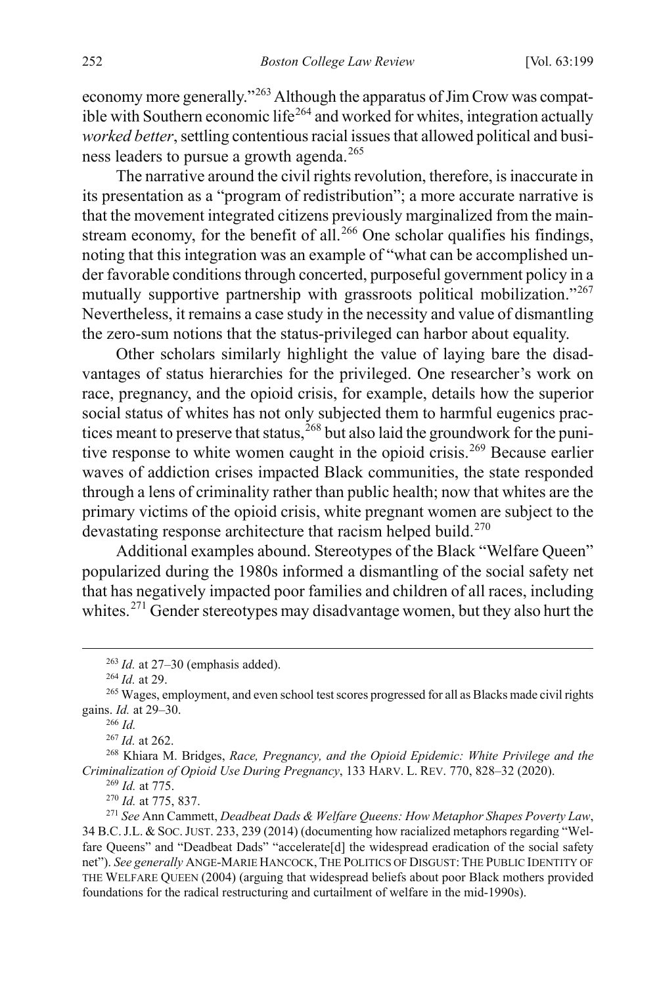economy more generally."<sup>[263](#page-54-0)</sup> Although the apparatus of Jim Crow was compat-ible with Southern economic life<sup>[264](#page-54-1)</sup> and worked for whites, integration actually *worked better*, settling contentious racial issues that allowed political and busi-ness leaders to pursue a growth agenda.<sup>[265](#page-54-2)</sup>

The narrative around the civil rights revolution, therefore, is inaccurate in its presentation as a "program of redistribution"; a more accurate narrative is that the movement integrated citizens previously marginalized from the main-stream economy, for the benefit of all.<sup>[266](#page-54-3)</sup> One scholar qualifies his findings, noting that this integration was an example of "what can be accomplished under favorable conditions through concerted, purposeful government policy in a mutually supportive partnership with grassroots political mobilization."<sup>[267](#page-54-4)</sup> Nevertheless, it remains a case study in the necessity and value of dismantling the zero-sum notions that the status-privileged can harbor about equality.

Other scholars similarly highlight the value of laying bare the disadvantages of status hierarchies for the privileged. One researcher's work on race, pregnancy, and the opioid crisis, for example, details how the superior social status of whites has not only subjected them to harmful eugenics practices meant to preserve that status,  $^{268}$  $^{268}$  $^{268}$  but also laid the groundwork for the puni-tive response to white women caught in the opioid crisis.<sup>[269](#page-54-6)</sup> Because earlier waves of addiction crises impacted Black communities, the state responded through a lens of criminality rather than public health; now that whites are the primary victims of the opioid crisis, white pregnant women are subject to the devastating response architecture that racism helped build.<sup>[270](#page-54-7)</sup>

Additional examples abound. Stereotypes of the Black "Welfare Queen" popularized during the 1980s informed a dismantling of the social safety net that has negatively impacted poor families and children of all races, including whites.<sup>[271](#page-54-8)</sup> Gender stereotypes may disadvantage women, but they also hurt the

<sup>263</sup> *Id.* at 27–30 (emphasis added). 264 *Id.* at 29.

<span id="page-54-3"></span><span id="page-54-2"></span><span id="page-54-1"></span><span id="page-54-0"></span><sup>&</sup>lt;sup>265</sup> Wages, employment, and even school test scores progressed for all as Blacks made civil rights gains. *Id.* at 29–30.

<sup>266</sup> *Id.*

<sup>267</sup> *Id.* at 262.

<span id="page-54-6"></span><span id="page-54-5"></span><span id="page-54-4"></span><sup>268</sup> Khiara M. Bridges, *Race, Pregnancy, and the Opioid Epidemic: White Privilege and the Criminalization of Opioid Use During Pregnancy*, 133 HARV. L. REV. 770, 828–32 (2020).

<sup>&</sup>lt;sup>269</sup> *Id.* at 775.<br><sup>270</sup> *Id.* at 775, 837.

<span id="page-54-8"></span><span id="page-54-7"></span><sup>&</sup>lt;sup>271</sup> *See Ann Cammett, Deadbeat Dads & Welfare Queens: How Metaphor Shapes Poverty Law,* 34 B.C.J.L. & SOC.JUST. 233, 239 (2014) (documenting how racialized metaphors regarding "Welfare Queens" and "Deadbeat Dads" "accelerate[d] the widespread eradication of the social safety net"). *See generally* ANGE-MARIE HANCOCK, THE POLITICS OF DISGUST: THE PUBLIC IDENTITY OF THE WELFARE QUEEN (2004) (arguing that widespread beliefs about poor Black mothers provided foundations for the radical restructuring and curtailment of welfare in the mid-1990s).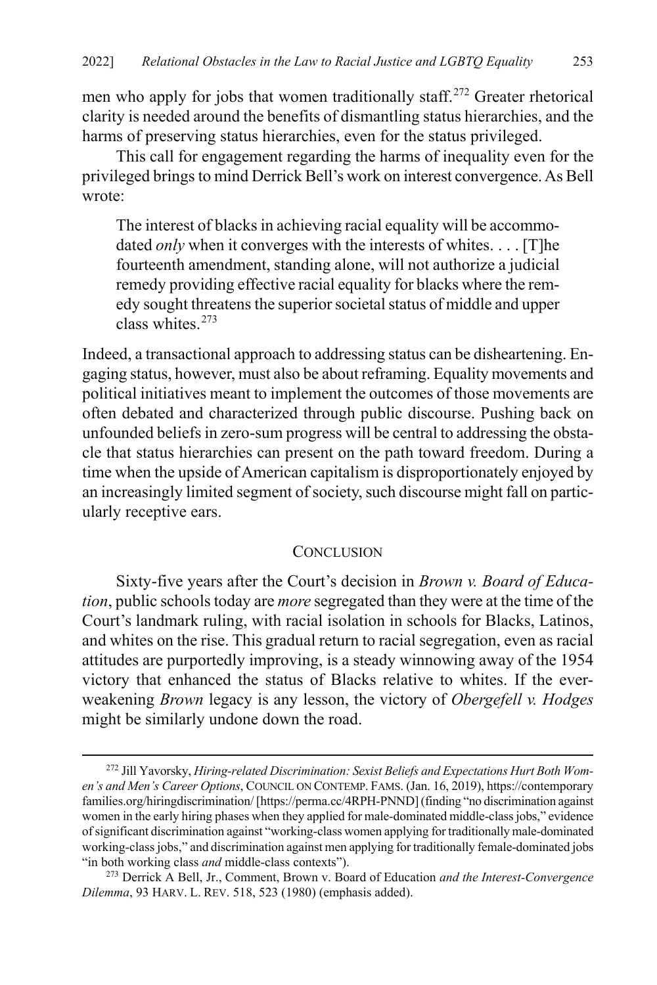men who apply for jobs that women traditionally staff.<sup>[272](#page-55-1)</sup> Greater rhetorical clarity is needed around the benefits of dismantling status hierarchies, and the harms of preserving status hierarchies, even for the status privileged.

This call for engagement regarding the harms of inequality even for the privileged brings to mind Derrick Bell's work on interest convergence. As Bell wrote:

The interest of blacks in achieving racial equality will be accommodated *only* when it converges with the interests of whites. . . . [T] he fourteenth amendment, standing alone, will not authorize a judicial remedy providing effective racial equality for blacks where the remedy sought threatens the superior societal status of middle and upper class whites.[273](#page-55-2)

<span id="page-55-0"></span>Indeed, a transactional approach to addressing status can be disheartening. Engaging status, however, must also be about reframing. Equality movements and political initiatives meant to implement the outcomes of those movements are often debated and characterized through public discourse. Pushing back on unfounded beliefs in zero-sum progress will be central to addressing the obstacle that status hierarchies can present on the path toward freedom. During a time when the upside of American capitalism is disproportionately enjoyed by an increasingly limited segment of society, such discourse might fall on particularly receptive ears.

#### **CONCLUSION**

Sixty-five years after the Court's decision in *Brown v. Board of Education*, public schools today are *more* segregated than they were at the time of the Court's landmark ruling, with racial isolation in schools for Blacks, Latinos, and whites on the rise. This gradual return to racial segregation, even as racial attitudes are purportedly improving, is a steady winnowing away of the 1954 victory that enhanced the status of Blacks relative to whites. If the everweakening *Brown* legacy is any lesson, the victory of *Obergefell v. Hodges* might be similarly undone down the road.

<span id="page-55-1"></span> <sup>272</sup> Jill Yavorsky, *Hiring-related Discrimination: Sexist Beliefs and Expectations Hurt Both Women's and Men's Career Options*, COUNCIL ON CONTEMP. FAMS. (Jan. 16, 2019), https://contemporary families.org/hiringdiscrimination/ [https://perma.cc/4RPH-PNND] (finding "no discrimination against women in the early hiring phases when they applied for male-dominated middle-class jobs," evidence of significant discrimination against "working-class women applying for traditionally male-dominated working-class jobs," and discrimination against men applying for traditionally female-dominated jobs<br>"in both working class *and* middle-class contexts").

<span id="page-55-2"></span><sup>&</sup>lt;sup>273</sup> Derrick A Bell, Jr., Comment, Brown v. Board of Education *and the Interest-Convergence Dilemma*, 93 HARV. L. REV. 518, 523 (1980) (emphasis added).